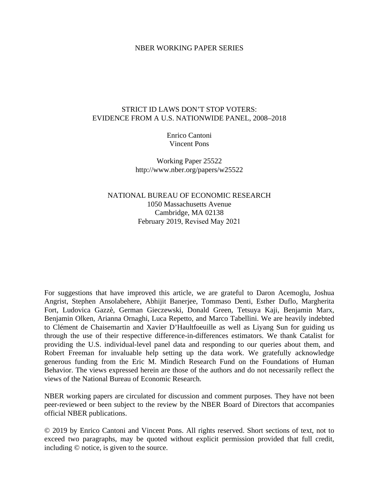### NBER WORKING PAPER SERIES

## STRICT ID LAWS DON'T STOP VOTERS: EVIDENCE FROM A U.S. NATIONWIDE PANEL, 2008–2018

Enrico Cantoni Vincent Pons

Working Paper 25522 http://www.nber.org/papers/w25522

NATIONAL BUREAU OF ECONOMIC RESEARCH 1050 Massachusetts Avenue Cambridge, MA 02138 February 2019, Revised May 2021

For suggestions that have improved this article, we are grateful to Daron Acemoglu, Joshua Angrist, Stephen Ansolabehere, Abhijit Banerjee, Tommaso Denti, Esther Duflo, Margherita Fort, Ludovica Gazzè, German Gieczewski, Donald Green, Tetsuya Kaji, Benjamin Marx, Benjamin Olken, Arianna Ornaghi, Luca Repetto, and Marco Tabellini. We are heavily indebted to Clément de Chaisemartin and Xavier D'Haultfoeuille as well as Liyang Sun for guiding us through the use of their respective difference-in-differences estimators. We thank Catalist for providing the U.S. individual-level panel data and responding to our queries about them, and Robert Freeman for invaluable help setting up the data work. We gratefully acknowledge generous funding from the Eric M. Mindich Research Fund on the Foundations of Human Behavior. The views expressed herein are those of the authors and do not necessarily reflect the views of the National Bureau of Economic Research.

NBER working papers are circulated for discussion and comment purposes. They have not been peer-reviewed or been subject to the review by the NBER Board of Directors that accompanies official NBER publications.

© 2019 by Enrico Cantoni and Vincent Pons. All rights reserved. Short sections of text, not to exceed two paragraphs, may be quoted without explicit permission provided that full credit, including © notice, is given to the source.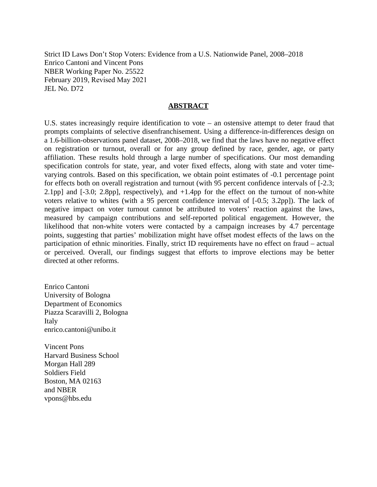Strict ID Laws Don't Stop Voters: Evidence from a U.S. Nationwide Panel, 2008–2018 Enrico Cantoni and Vincent Pons NBER Working Paper No. 25522 February 2019, Revised May 2021 JEL No. D72

## **ABSTRACT**

U.S. states increasingly require identification to vote – an ostensive attempt to deter fraud that prompts complaints of selective disenfranchisement. Using a difference-in-differences design on a 1.6-billion-observations panel dataset, 2008–2018, we find that the laws have no negative effect on registration or turnout, overall or for any group defined by race, gender, age, or party affiliation. These results hold through a large number of specifications. Our most demanding specification controls for state, year, and voter fixed effects, along with state and voter timevarying controls. Based on this specification, we obtain point estimates of -0.1 percentage point for effects both on overall registration and turnout (with 95 percent confidence intervals of [-2.3; 2.1pp] and  $[-3.0; 2.8$ pp], respectively), and  $+1.4$ pp for the effect on the turnout of non-white voters relative to whites (with a 95 percent confidence interval of [-0.5; 3.2pp]). The lack of negative impact on voter turnout cannot be attributed to voters' reaction against the laws, measured by campaign contributions and self-reported political engagement. However, the likelihood that non-white voters were contacted by a campaign increases by 4.7 percentage points, suggesting that parties' mobilization might have offset modest effects of the laws on the participation of ethnic minorities. Finally, strict ID requirements have no effect on fraud – actual or perceived. Overall, our findings suggest that efforts to improve elections may be better directed at other reforms.

Enrico Cantoni University of Bologna Department of Economics Piazza Scaravilli 2, Bologna Italy enrico.cantoni@unibo.it

Vincent Pons Harvard Business School Morgan Hall 289 Soldiers Field Boston, MA 02163 and NBER vpons@hbs.edu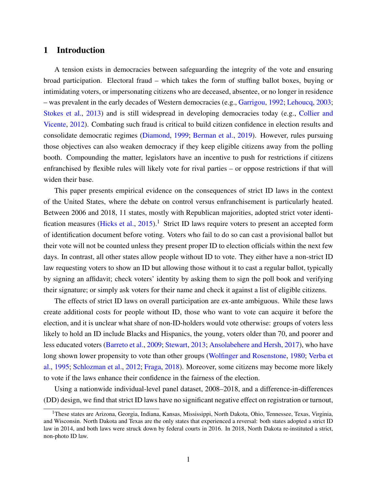# 1 Introduction

A tension exists in democracies between safeguarding the integrity of the vote and ensuring broad participation. Electoral fraud – which takes the form of stuffing ballot boxes, buying or intimidating voters, or impersonating citizens who are deceased, absentee, or no longer in residence – was prevalent in the early decades of Western democracies (e.g., [Garrigou,](#page-38-0) [1992;](#page-38-0) [Lehoucq,](#page-40-0) [2003;](#page-40-0) [Stokes et al.,](#page-42-0) [2013\)](#page-42-0) and is still widespread in developing democracies today (e.g., [Collier and](#page-37-0) [Vicente,](#page-37-0) [2012\)](#page-37-0). Combating such fraud is critical to build citizen confidence in election results and consolidate democratic regimes [\(Diamond,](#page-37-1) [1999;](#page-37-1) [Berman et al.,](#page-35-0) [2019\)](#page-35-0). However, rules pursuing those objectives can also weaken democracy if they keep eligible citizens away from the polling booth. Compounding the matter, legislators have an incentive to push for restrictions if citizens enfranchised by flexible rules will likely vote for rival parties – or oppose restrictions if that will widen their base.

This paper presents empirical evidence on the consequences of strict ID laws in the context of the United States, where the debate on control versus enfranchisement is particularly heated. Between 2006 and 2018, 11 states, mostly with Republican majorities, adopted strict voter identi-fication measures [\(Hicks et al.,](#page-39-0) [2015\)](#page-39-0).<sup>1</sup> Strict ID laws require voters to present an accepted form of identification document before voting. Voters who fail to do so can cast a provisional ballot but their vote will not be counted unless they present proper ID to election officials within the next few days. In contrast, all other states allow people without ID to vote. They either have a non-strict ID law requesting voters to show an ID but allowing those without it to cast a regular ballot, typically by signing an affidavit; check voters' identity by asking them to sign the poll book and verifying their signature; or simply ask voters for their name and check it against a list of eligible citizens.

The effects of strict ID laws on overall participation are ex-ante ambiguous. While these laws create additional costs for people without ID, those who want to vote can acquire it before the election, and it is unclear what share of non-ID-holders would vote otherwise: groups of voters less likely to hold an ID include Blacks and Hispanics, the young, voters older than 70, and poorer and less educated voters [\(Barreto et al.,](#page-35-1) [2009;](#page-35-1) [Stewart,](#page-42-1) [2013;](#page-42-1) [Ansolabehere and Hersh,](#page-35-2) [2017\)](#page-35-2), who have long shown lower propensity to vote than other groups [\(Wolfinger and Rosenstone,](#page-43-0) [1980;](#page-43-0) [Verba et](#page-43-1) [al.,](#page-43-1) [1995;](#page-43-1) [Schlozman et al.,](#page-42-2) [2012;](#page-42-2) [Fraga,](#page-38-1) [2018\)](#page-38-1). Moreover, some citizens may become more likely to vote if the laws enhance their confidence in the fairness of the election.

Using a nationwide individual-level panel dataset, 2008–2018, and a difference-in-differences (DD) design, we find that strict ID laws have no significant negative effect on registration or turnout,

<sup>&</sup>lt;sup>1</sup>These states are Arizona, Georgia, Indiana, Kansas, Mississippi, North Dakota, Ohio, Tennessee, Texas, Virginia, and Wisconsin. North Dakota and Texas are the only states that experienced a reversal: both states adopted a strict ID law in 2014, and both laws were struck down by federal courts in 2016. In 2018, North Dakota re-instituted a strict, non-photo ID law.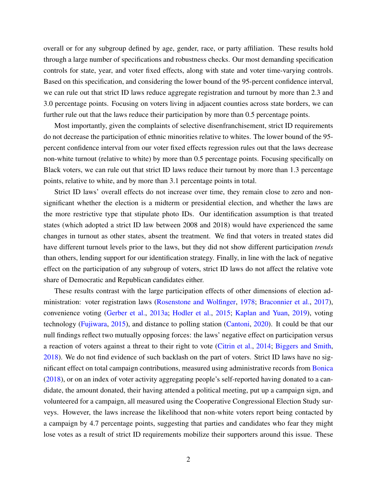overall or for any subgroup defined by age, gender, race, or party affiliation. These results hold through a large number of specifications and robustness checks. Our most demanding specification controls for state, year, and voter fixed effects, along with state and voter time-varying controls. Based on this specification, and considering the lower bound of the 95-percent confidence interval, we can rule out that strict ID laws reduce aggregate registration and turnout by more than 2.3 and 3.0 percentage points. Focusing on voters living in adjacent counties across state borders, we can further rule out that the laws reduce their participation by more than 0.5 percentage points.

Most importantly, given the complaints of selective disenfranchisement, strict ID requirements do not decrease the participation of ethnic minorities relative to whites. The lower bound of the 95 percent confidence interval from our voter fixed effects regression rules out that the laws decrease non-white turnout (relative to white) by more than 0.5 percentage points. Focusing specifically on Black voters, we can rule out that strict ID laws reduce their turnout by more than 1.3 percentage points, relative to white, and by more than 3.1 percentage points in total.

Strict ID laws' overall effects do not increase over time, they remain close to zero and nonsignificant whether the election is a midterm or presidential election, and whether the laws are the more restrictive type that stipulate photo IDs. Our identification assumption is that treated states (which adopted a strict ID law between 2008 and 2018) would have experienced the same changes in turnout as other states, absent the treatment. We find that voters in treated states did have different turnout levels prior to the laws, but they did not show different participation *trends* than others, lending support for our identification strategy. Finally, in line with the lack of negative effect on the participation of any subgroup of voters, strict ID laws do not affect the relative vote share of Democratic and Republican candidates either.

These results contrast with the large participation effects of other dimensions of election administration: voter registration laws [\(Rosenstone and Wolfinger,](#page-42-3) [1978;](#page-42-3) [Braconnier et al.,](#page-36-0) [2017\)](#page-36-0), convenience voting [\(Gerber et al.,](#page-38-2) [2013a;](#page-38-2) [Hodler et al.,](#page-40-1) [2015;](#page-40-1) [Kaplan and Yuan,](#page-40-2) [2019\)](#page-40-2), voting technology [\(Fujiwara,](#page-38-3) [2015\)](#page-38-3), and distance to polling station [\(Cantoni,](#page-37-2) [2020\)](#page-37-2). It could be that our null findings reflect two mutually opposing forces: the laws' negative effect on participation versus a reaction of voters against a threat to their right to vote [\(Citrin et al.,](#page-37-3) [2014;](#page-37-3) [Biggers and Smith,](#page-36-1) [2018\)](#page-36-1). We do not find evidence of such backlash on the part of voters. Strict ID laws have no significant effect on total campaign contributions, measured using administrative records from [Bonica](#page-36-2) [\(2018\)](#page-36-2), or on an index of voter activity aggregating people's self-reported having donated to a candidate, the amount donated, their having attended a political meeting, put up a campaign sign, and volunteered for a campaign, all measured using the Cooperative Congressional Election Study surveys. However, the laws increase the likelihood that non-white voters report being contacted by a campaign by 4.7 percentage points, suggesting that parties and candidates who fear they might lose votes as a result of strict ID requirements mobilize their supporters around this issue. These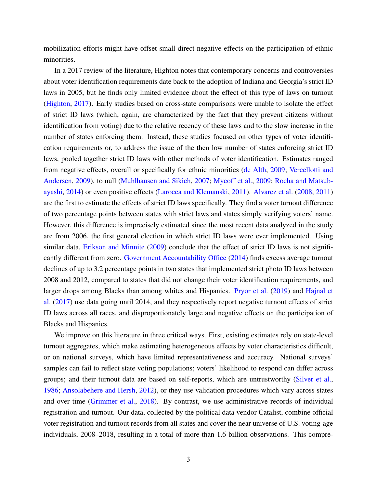mobilization efforts might have offset small direct negative effects on the participation of ethnic minorities.

In a 2017 review of the literature, Highton notes that contemporary concerns and controversies about voter identification requirements date back to the adoption of Indiana and Georgia's strict ID laws in 2005, but he finds only limited evidence about the effect of this type of laws on turnout [\(Highton,](#page-39-1) [2017\)](#page-39-1). Early studies based on cross-state comparisons were unable to isolate the effect of strict ID laws (which, again, are characterized by the fact that they prevent citizens without identification from voting) due to the relative recency of these laws and to the slow increase in the number of states enforcing them. Instead, these studies focused on other types of voter identification requirements or, to address the issue of the then low number of states enforcing strict ID laws, pooled together strict ID laws with other methods of voter identification. Estimates ranged from negative effects, overall or specifically for ethnic minorities [\(de Alth,](#page-37-4) [2009;](#page-37-4) [Vercellotti and](#page-43-2) [Andersen,](#page-43-2) [2009\)](#page-43-2), to null [\(Muhlhausen and Sikich,](#page-41-0) [2007;](#page-41-0) [Mycoff et al.,](#page-41-1) [2009;](#page-41-1) [Rocha and Matsub](#page-42-4)[ayashi,](#page-42-4) [2014\)](#page-42-4) or even positive effects [\(Larocca and Klemanski,](#page-40-3) [2011\)](#page-40-3). [Alvarez et al.](#page-35-3) [\(2008,](#page-35-3) [2011\)](#page-35-4) are the first to estimate the effects of strict ID laws specifically. They find a voter turnout difference of two percentage points between states with strict laws and states simply verifying voters' name. However, this difference is imprecisely estimated since the most recent data analyzed in the study are from 2006, the first general election in which strict ID laws were ever implemented. Using similar data, [Erikson and Minnite](#page-38-4) [\(2009\)](#page-38-4) conclude that the effect of strict ID laws is not significantly different from zero. [Government Accountability Office](#page-39-2) [\(2014\)](#page-39-2) finds excess average turnout declines of up to 3.2 percentage points in two states that implemented strict photo ID laws between 2008 and 2012, compared to states that did not change their voter identification requirements, and larger drops among Blacks than among whites and Hispanics. [Pryor et al.](#page-42-5) [\(2019\)](#page-42-5) and [Hajnal et](#page-39-3) [al.](#page-39-3) [\(2017\)](#page-39-3) use data going until 2014, and they respectively report negative turnout effects of strict ID laws across all races, and disproportionately large and negative effects on the participation of Blacks and Hispanics.

We improve on this literature in three critical ways. First, existing estimates rely on state-level turnout aggregates, which make estimating heterogeneous effects by voter characteristics difficult, or on national surveys, which have limited representativeness and accuracy. National surveys' samples can fail to reflect state voting populations; voters' likelihood to respond can differ across groups; and their turnout data are based on self-reports, which are untrustworthy [\(Silver et al.,](#page-42-6) [1986;](#page-42-6) [Ansolabehere and Hersh,](#page-35-5) [2012\)](#page-35-5), or they use validation procedures which vary across states and over time [\(Grimmer et al.,](#page-39-4) [2018\)](#page-39-4). By contrast, we use administrative records of individual registration and turnout. Our data, collected by the political data vendor Catalist, combine official voter registration and turnout records from all states and cover the near universe of U.S. voting-age individuals, 2008–2018, resulting in a total of more than 1.6 billion observations. This compre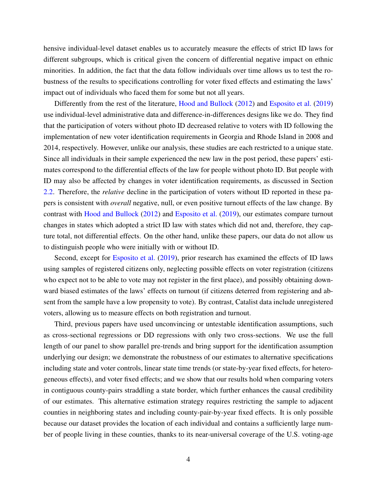hensive individual-level dataset enables us to accurately measure the effects of strict ID laws for different subgroups, which is critical given the concern of differential negative impact on ethnic minorities. In addition, the fact that the data follow individuals over time allows us to test the robustness of the results to specifications controlling for voter fixed effects and estimating the laws' impact out of individuals who faced them for some but not all years.

Differently from the rest of the literature, [Hood and Bullock](#page-40-4) [\(2012\)](#page-40-4) and [Esposito et al.](#page-38-5) [\(2019\)](#page-38-5) use individual-level administrative data and difference-in-differences designs like we do. They find that the participation of voters without photo ID decreased relative to voters with ID following the implementation of new voter identification requirements in Georgia and Rhode Island in 2008 and 2014, respectively. However, unlike our analysis, these studies are each restricted to a unique state. Since all individuals in their sample experienced the new law in the post period, these papers' estimates correspond to the differential effects of the law for people without photo ID. But people with ID may also be affected by changes in voter identification requirements, as discussed in Section [2.2.](#page-9-0) Therefore, the *relative* decline in the participation of voters without ID reported in these papers is consistent with *overall* negative, null, or even positive turnout effects of the law change. By contrast with [Hood and Bullock](#page-40-4) [\(2012\)](#page-40-4) and [Esposito et al.](#page-38-5) [\(2019\)](#page-38-5), our estimates compare turnout changes in states which adopted a strict ID law with states which did not and, therefore, they capture total, not differential effects. On the other hand, unlike these papers, our data do not allow us to distinguish people who were initially with or without ID.

Second, except for [Esposito et al.](#page-38-5) [\(2019\)](#page-38-5), prior research has examined the effects of ID laws using samples of registered citizens only, neglecting possible effects on voter registration (citizens who expect not to be able to vote may not register in the first place), and possibly obtaining downward biased estimates of the laws' effects on turnout (if citizens deterred from registering and absent from the sample have a low propensity to vote). By contrast, Catalist data include unregistered voters, allowing us to measure effects on both registration and turnout.

Third, previous papers have used unconvincing or untestable identification assumptions, such as cross-sectional regressions or DD regressions with only two cross-sections. We use the full length of our panel to show parallel pre-trends and bring support for the identification assumption underlying our design; we demonstrate the robustness of our estimates to alternative specifications including state and voter controls, linear state time trends (or state-by-year fixed effects, for heterogeneous effects), and voter fixed effects; and we show that our results hold when comparing voters in contiguous county-pairs straddling a state border, which further enhances the causal credibility of our estimates. This alternative estimation strategy requires restricting the sample to adjacent counties in neighboring states and including county-pair-by-year fixed effects. It is only possible because our dataset provides the location of each individual and contains a sufficiently large number of people living in these counties, thanks to its near-universal coverage of the U.S. voting-age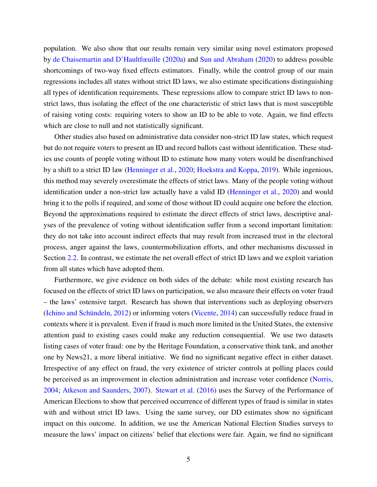population. We also show that our results remain very similar using novel estimators proposed by [de Chaisemartin and D'Haultfœuille](#page-37-5) [\(2020a\)](#page-37-5) and [Sun and Abraham](#page-43-3) [\(2020\)](#page-43-3) to address possible shortcomings of two-way fixed effects estimators. Finally, while the control group of our main regressions includes all states without strict ID laws, we also estimate specifications distinguishing all types of identification requirements. These regressions allow to compare strict ID laws to nonstrict laws, thus isolating the effect of the one characteristic of strict laws that is most susceptible of raising voting costs: requiring voters to show an ID to be able to vote. Again, we find effects which are close to null and not statistically significant.

Other studies also based on administrative data consider non-strict ID law states, which request but do not require voters to present an ID and record ballots cast without identification. These studies use counts of people voting without ID to estimate how many voters would be disenfranchised by a shift to a strict ID law [\(Henninger et al.,](#page-39-5) [2020;](#page-39-5) [Hoekstra and Koppa,](#page-40-5) [2019\)](#page-40-5). While ingenious, this method may severely overestimate the effects of strict laws. Many of the people voting without identification under a non-strict law actually have a valid ID [\(Henninger et al.,](#page-39-5) [2020\)](#page-39-5) and would bring it to the polls if required, and some of those without ID could acquire one before the election. Beyond the approximations required to estimate the direct effects of strict laws, descriptive analyses of the prevalence of voting without identification suffer from a second important limitation: they do not take into account indirect effects that may result from increased trust in the electoral process, anger against the laws, countermobilization efforts, and other mechanisms discussed in Section [2.2.](#page-9-0) In contrast, we estimate the net overall effect of strict ID laws and we exploit variation from all states which have adopted them.

Furthermore, we give evidence on both sides of the debate: while most existing research has focused on the effects of strict ID laws on participation, we also measure their effects on voter fraud – the laws' ostensive target. Research has shown that interventions such as deploying observers [\(Ichino and Schündeln,](#page-40-6) [2012\)](#page-40-6) or informing voters [\(Vicente,](#page-43-4) [2014\)](#page-43-4) can successfully reduce fraud in contexts where it is prevalent. Even if fraud is much more limited in the United States, the extensive attention paid to existing cases could make any reduction consequential. We use two datasets listing cases of voter fraud: one by the Heritage Foundation, a conservative think tank, and another one by News21, a more liberal initiative. We find no significant negative effect in either dataset. Irrespective of any effect on fraud, the very existence of stricter controls at polling places could be perceived as an improvement in election administration and increase voter confidence [\(Norris,](#page-41-2) [2004;](#page-41-2) [Atkeson and Saunders,](#page-35-6) [2007\)](#page-35-6). [Stewart et al.](#page-42-7) [\(2016\)](#page-42-7) uses the Survey of the Performance of American Elections to show that perceived occurrence of different types of fraud is similar in states with and without strict ID laws. Using the same survey, our DD estimates show no significant impact on this outcome. In addition, we use the American National Election Studies surveys to measure the laws' impact on citizens' belief that elections were fair. Again, we find no significant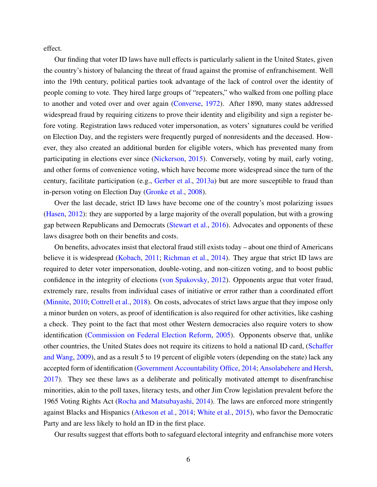effect.

Our finding that voter ID laws have null effects is particularly salient in the United States, given the country's history of balancing the threat of fraud against the promise of enfranchisement. Well into the 19th century, political parties took advantage of the lack of control over the identity of people coming to vote. They hired large groups of "repeaters," who walked from one polling place to another and voted over and over again [\(Converse,](#page-37-6) [1972\)](#page-37-6). After 1890, many states addressed widespread fraud by requiring citizens to prove their identity and eligibility and sign a register before voting. Registration laws reduced voter impersonation, as voters' signatures could be verified on Election Day, and the registers were frequently purged of nonresidents and the deceased. However, they also created an additional burden for eligible voters, which has prevented many from participating in elections ever since [\(Nickerson,](#page-41-3) [2015\)](#page-41-3). Conversely, voting by mail, early voting, and other forms of convenience voting, which have become more widespread since the turn of the century, facilitate participation (e.g., [Gerber et al.,](#page-38-2) [2013a\)](#page-38-2) but are more susceptible to fraud than in-person voting on Election Day [\(Gronke et al.,](#page-39-6) [2008\)](#page-39-6).

Over the last decade, strict ID laws have become one of the country's most polarizing issues [\(Hasen,](#page-39-7) [2012\)](#page-39-7): they are supported by a large majority of the overall population, but with a growing gap between Republicans and Democrats [\(Stewart et al.,](#page-42-7) [2016\)](#page-42-7). Advocates and opponents of these laws disagree both on their benefits and costs.

On benefits, advocates insist that electoral fraud still exists today – about one third of Americans believe it is widespread [\(Kobach,](#page-40-7) [2011;](#page-40-7) [Richman et al.,](#page-42-8) [2014\)](#page-42-8). They argue that strict ID laws are required to deter voter impersonation, double-voting, and non-citizen voting, and to boost public confidence in the integrity of elections [\(von Spakovsky,](#page-43-5) [2012\)](#page-43-5). Opponents argue that voter fraud, extremely rare, results from individual cases of initiative or error rather than a coordinated effort [\(Minnite,](#page-41-4) [2010;](#page-41-4) [Cottrell et al.,](#page-37-7) [2018\)](#page-37-7). On costs, advocates of strict laws argue that they impose only a minor burden on voters, as proof of identification is also required for other activities, like cashing a check. They point to the fact that most other Western democracies also require voters to show identification [\(Commission on Federal Election Reform,](#page-37-8) [2005\)](#page-37-8). Opponents observe that, unlike other countries, the United States does not require its citizens to hold a national ID card, [\(Schaffer](#page-42-9) [and Wang,](#page-42-9) [2009\)](#page-42-9), and as a result 5 to 19 percent of eligible voters (depending on the state) lack any accepted form of identification [\(Government Accountability Office,](#page-39-2) [2014;](#page-39-2) [Ansolabehere and Hersh,](#page-35-2) [2017\)](#page-35-2). They see these laws as a deliberate and politically motivated attempt to disenfranchise minorities, akin to the poll taxes, literacy tests, and other Jim Crow legislation prevalent before the 1965 Voting Rights Act [\(Rocha and Matsubayashi,](#page-42-4) [2014\)](#page-42-4). The laws are enforced more stringently against Blacks and Hispanics [\(Atkeson et al.,](#page-35-7) [2014;](#page-35-7) [White et al.,](#page-43-6) [2015\)](#page-43-6), who favor the Democratic Party and are less likely to hold an ID in the first place.

Our results suggest that efforts both to safeguard electoral integrity and enfranchise more voters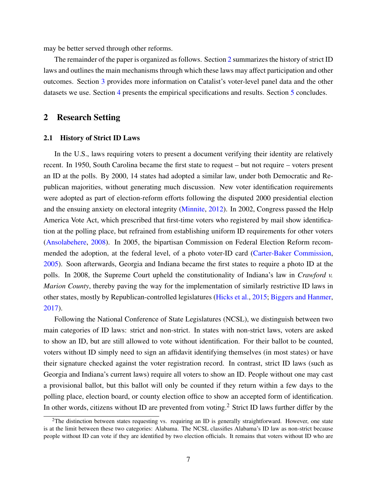may be better served through other reforms.

The remainder of the paper is organized as follows. Section [2](#page-8-0) summarizes the history of strict ID laws and outlines the main mechanisms through which these laws may affect participation and other outcomes. Section [3](#page-11-0) provides more information on Catalist's voter-level panel data and the other datasets we use. Section [4](#page-15-0) presents the empirical specifications and results. Section [5](#page-26-0) concludes.

# <span id="page-8-0"></span>2 Research Setting

#### <span id="page-8-1"></span>2.1 History of Strict ID Laws

In the U.S., laws requiring voters to present a document verifying their identity are relatively recent. In 1950, South Carolina became the first state to request – but not require – voters present an ID at the polls. By 2000, 14 states had adopted a similar law, under both Democratic and Republican majorities, without generating much discussion. New voter identification requirements were adopted as part of election-reform efforts following the disputed 2000 presidential election and the ensuing anxiety on electoral integrity [\(Minnite,](#page-41-5) [2012\)](#page-41-5). In 2002, Congress passed the Help America Vote Act, which prescribed that first-time voters who registered by mail show identification at the polling place, but refrained from establishing uniform ID requirements for other voters [\(Ansolabehere,](#page-35-8) [2008\)](#page-35-8). In 2005, the bipartisan Commission on Federal Election Reform recommended the adoption, at the federal level, of a photo voter-ID card [\(Carter-Baker Commission,](#page-37-9) [2005\)](#page-37-9). Soon afterwards, Georgia and Indiana became the first states to require a photo ID at the polls. In 2008, the Supreme Court upheld the constitutionality of Indiana's law in *Crawford v. Marion County*, thereby paving the way for the implementation of similarly restrictive ID laws in other states, mostly by Republican-controlled legislatures [\(Hicks et al.,](#page-39-0) [2015;](#page-39-0) [Biggers and Hanmer,](#page-36-3) [2017\)](#page-36-3).

Following the National Conference of State Legislatures (NCSL), we distinguish between two main categories of ID laws: strict and non-strict. In states with non-strict laws, voters are asked to show an ID, but are still allowed to vote without identification. For their ballot to be counted, voters without ID simply need to sign an affidavit identifying themselves (in most states) or have their signature checked against the voter registration record. In contrast, strict ID laws (such as Georgia and Indiana's current laws) require all voters to show an ID. People without one may cast a provisional ballot, but this ballot will only be counted if they return within a few days to the polling place, election board, or county election office to show an accepted form of identification. In other words, citizens without ID are prevented from voting.<sup>2</sup> Strict ID laws further differ by the

 $2$ The distinction between states requesting vs. requiring an ID is generally straightforward. However, one state is at the limit between these two categories: Alabama. The NCSL classifies Alabama's ID law as non-strict because people without ID can vote if they are identified by two election officials. It remains that voters without ID who are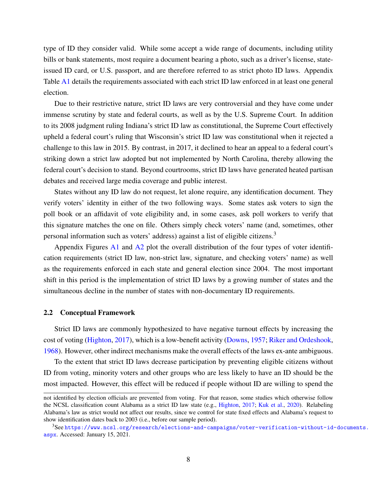type of ID they consider valid. While some accept a wide range of documents, including utility bills or bank statements, most require a document bearing a photo, such as a driver's license, stateissued ID card, or U.S. passport, and are therefore referred to as strict photo ID laws. Appendix Table [A1](#page-49-0) details the requirements associated with each strict ID law enforced in at least one general election.

Due to their restrictive nature, strict ID laws are very controversial and they have come under immense scrutiny by state and federal courts, as well as by the U.S. Supreme Court. In addition to its 2008 judgment ruling Indiana's strict ID law as constitutional, the Supreme Court effectively upheld a federal court's ruling that Wisconsin's strict ID law was constitutional when it rejected a challenge to this law in 2015. By contrast, in 2017, it declined to hear an appeal to a federal court's striking down a strict law adopted but not implemented by North Carolina, thereby allowing the federal court's decision to stand. Beyond courtrooms, strict ID laws have generated heated partisan debates and received large media coverage and public interest.

States without any ID law do not request, let alone require, any identification document. They verify voters' identity in either of the two following ways. Some states ask voters to sign the poll book or an affidavit of vote eligibility and, in some cases, ask poll workers to verify that this signature matches the one on file. Others simply check voters' name (and, sometimes, other personal information such as voters' address) against a list of eligible citizens.<sup>3</sup>

Appendix Figures [A1](#page-47-0) and [A2](#page-48-0) plot the overall distribution of the four types of voter identification requirements (strict ID law, non-strict law, signature, and checking voters' name) as well as the requirements enforced in each state and general election since 2004. The most important shift in this period is the implementation of strict ID laws by a growing number of states and the simultaneous decline in the number of states with non-documentary ID requirements.

#### <span id="page-9-0"></span>2.2 Conceptual Framework

Strict ID laws are commonly hypothesized to have negative turnout effects by increasing the cost of voting [\(Highton,](#page-39-1) [2017\)](#page-39-1), which is a low-benefit activity [\(Downs,](#page-37-10) [1957;](#page-37-10) [Riker and Ordeshook,](#page-42-10) [1968\)](#page-42-10). However, other indirect mechanisms make the overall effects of the laws ex-ante ambiguous.

To the extent that strict ID laws decrease participation by preventing eligible citizens without ID from voting, minority voters and other groups who are less likely to have an ID should be the most impacted. However, this effect will be reduced if people without ID are willing to spend the

not identified by election officials are prevented from voting. For that reason, some studies which otherwise follow the NCSL classification count Alabama as a strict ID law state (e.g., [Highton,](#page-39-1) [2017;](#page-39-1) [Kuk et al.,](#page-40-8) [2020\)](#page-40-8). Relabeling Alabama's law as strict would not affect our results, since we control for state fixed effects and Alabama's request to show identification dates back to 2003 (i.e., before our sample period).

<sup>3</sup>See [https://www.ncsl.org/research/elections-and-campaigns/voter-verification-without-id-](https://www.ncsl.org/research/elections-and-campaigns/voter-verification-without-id-documents.aspx)documents. [aspx](https://www.ncsl.org/research/elections-and-campaigns/voter-verification-without-id-documents.aspx). Accessed: January 15, 2021.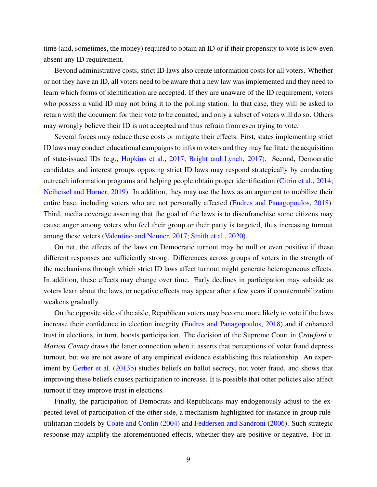time (and, sometimes, the money) required to obtain an ID or if their propensity to vote is low even absent any ID requirement.

Beyond administrative costs, strict ID laws also create information costs for all voters. Whether or not they have an ID, all voters need to be aware that a new law was implemented and they need to learn which forms of identification are accepted. If they are unaware of the ID requirement, voters who possess a valid ID may not bring it to the polling station. In that case, they will be asked to return with the document for their vote to be counted, and only a subset of voters will do so. Others may wrongly believe their ID is not accepted and thus refrain from even trying to vote.

Several forces may reduce these costs or mitigate their effects. First, states implementing strict ID laws may conduct educational campaigns to inform voters and they may facilitate the acquisition of state-issued IDs (e.g., [Hopkins et al.,](#page-40-9) [2017;](#page-40-9) [Bright and Lynch,](#page-36-4) [2017\)](#page-36-4). Second, Democratic candidates and interest groups opposing strict ID laws may respond strategically by conducting outreach information programs and helping people obtain proper identification [\(Citrin et al.,](#page-37-3) [2014;](#page-37-3) [Neiheisel and Horner,](#page-41-6) [2019\)](#page-41-6). In addition, they may use the laws as an argument to mobilize their entire base, including voters who are not personally affected [\(Endres and Panagopoulos,](#page-38-6) [2018\)](#page-38-6). Third, media coverage asserting that the goal of the laws is to disenfranchise some citizens may cause anger among voters who feel their group or their party is targeted, thus increasing turnout among these voters [\(Valentino and Neuner,](#page-43-7) [2017;](#page-43-7) [Smith et al.,](#page-42-11) [2020\)](#page-42-11).

On net, the effects of the laws on Democratic turnout may be null or even positive if these different responses are sufficiently strong. Differences across groups of voters in the strength of the mechanisms through which strict ID laws affect turnout might generate heterogeneous effects. In addition, these effects may change over time. Early declines in participation may subside as voters learn about the laws, or negative effects may appear after a few years if countermobilization weakens gradually.

On the opposite side of the aisle, Republican voters may become more likely to vote if the laws increase their confidence in election integrity [\(Endres and Panagopoulos,](#page-38-6) [2018\)](#page-38-6) and if enhanced trust in elections, in turn, boosts participation. The decision of the Supreme Court in *Crawford v. Marion County* draws the latter connection when it asserts that perceptions of voter fraud depress turnout, but we are not aware of any empirical evidence establishing this relationship. An experiment by [Gerber et al.](#page-39-8) [\(2013b\)](#page-39-8) studies beliefs on ballot secrecy, not voter fraud, and shows that improving these beliefs causes participation to increase. It is possible that other policies also affect turnout if they improve trust in elections.

Finally, the participation of Democrats and Republicans may endogenously adjust to the expected level of participation of the other side, a mechanism highlighted for instance in group ruleutilitarian models by [Coate and Conlin](#page-37-11) [\(2004\)](#page-37-11) and [Feddersen and Sandroni](#page-38-7) [\(2006\)](#page-38-7). Such strategic response may amplify the aforementioned effects, whether they are positive or negative. For in-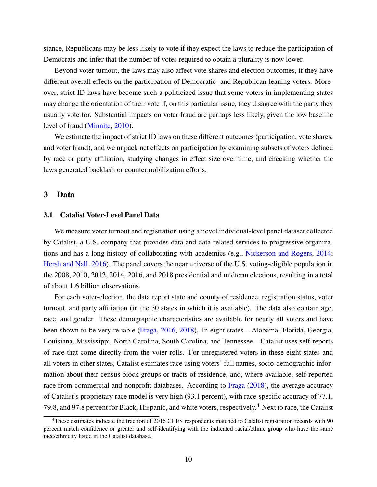stance, Republicans may be less likely to vote if they expect the laws to reduce the participation of Democrats and infer that the number of votes required to obtain a plurality is now lower.

Beyond voter turnout, the laws may also affect vote shares and election outcomes, if they have different overall effects on the participation of Democratic- and Republican-leaning voters. Moreover, strict ID laws have become such a politicized issue that some voters in implementing states may change the orientation of their vote if, on this particular issue, they disagree with the party they usually vote for. Substantial impacts on voter fraud are perhaps less likely, given the low baseline level of fraud [\(Minnite,](#page-41-4) [2010\)](#page-41-4).

We estimate the impact of strict ID laws on these different outcomes (participation, vote shares, and voter fraud), and we unpack net effects on participation by examining subsets of voters defined by race or party affiliation, studying changes in effect size over time, and checking whether the laws generated backlash or countermobilization efforts.

## <span id="page-11-0"></span>3 Data

## <span id="page-11-1"></span>3.1 Catalist Voter-Level Panel Data

We measure voter turnout and registration using a novel individual-level panel dataset collected by Catalist, a U.S. company that provides data and data-related services to progressive organizations and has a long history of collaborating with academics (e.g., [Nickerson and Rogers,](#page-41-7) [2014;](#page-41-7) [Hersh and Nall,](#page-39-9) [2016\)](#page-39-9). The panel covers the near universe of the U.S. voting-eligible population in the 2008, 2010, 2012, 2014, 2016, and 2018 presidential and midterm elections, resulting in a total of about 1.6 billion observations.

For each voter-election, the data report state and county of residence, registration status, voter turnout, and party affiliation (in the 30 states in which it is available). The data also contain age, race, and gender. These demographic characteristics are available for nearly all voters and have been shown to be very reliable [\(Fraga,](#page-38-8) [2016,](#page-38-8) [2018\)](#page-38-1). In eight states – Alabama, Florida, Georgia, Louisiana, Mississippi, North Carolina, South Carolina, and Tennessee – Catalist uses self-reports of race that come directly from the voter rolls. For unregistered voters in these eight states and all voters in other states, Catalist estimates race using voters' full names, socio-demographic information about their census block groups or tracts of residence, and, where available, self-reported race from commercial and nonprofit databases. According to [Fraga](#page-38-1) [\(2018\)](#page-38-1), the average accuracy of Catalist's proprietary race model is very high (93.1 percent), with race-specific accuracy of 77.1, 79.8, and 97.8 percent for Black, Hispanic, and white voters, respectively.<sup>4</sup> Next to race, the Catalist

<sup>&</sup>lt;sup>4</sup>These estimates indicate the fraction of 2016 CCES respondents matched to Catalist registration records with 90 percent match confidence or greater and self-identifying with the indicated racial/ethnic group who have the same race/ethnicity listed in the Catalist database.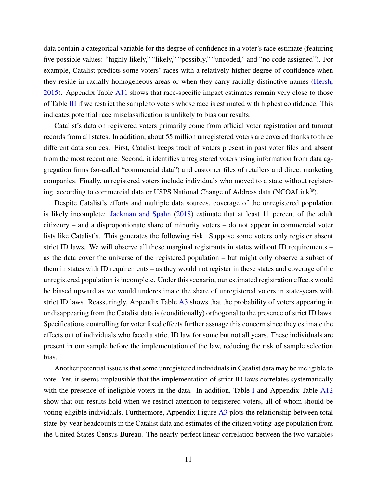data contain a categorical variable for the degree of confidence in a voter's race estimate (featuring five possible values: "highly likely," "likely," "possibly," "uncoded," and "no code assigned"). For example, Catalist predicts some voters' races with a relatively higher degree of confidence when they reside in racially homogeneous areas or when they carry racially distinctive names [\(Hersh,](#page-39-10)  $2015$ ). Appendix Table [A11](#page-64-0) shows that race-specific impact estimates remain very close to those of Table [III](#page-32-0) if we restrict the sample to voters whose race is estimated with highest confidence. This indicates potential race misclassification is unlikely to bias our results.

Catalist's data on registered voters primarily come from official voter registration and turnout records from all states. In addition, about 55 million unregistered voters are covered thanks to three different data sources. First, Catalist keeps track of voters present in past voter files and absent from the most recent one. Second, it identifies unregistered voters using information from data aggregation firms (so-called "commercial data") and customer files of retailers and direct marketing companies. Finally, unregistered voters include individuals who moved to a state without registering, according to commercial data or USPS National Change of Address data (NCOALink®).

Despite Catalist's efforts and multiple data sources, coverage of the unregistered population is likely incomplete: [Jackman and Spahn](#page-40-10) [\(2018\)](#page-40-10) estimate that at least 11 percent of the adult citizenry – and a disproportionate share of minority voters – do not appear in commercial voter lists like Catalist's. This generates the following risk. Suppose some voters only register absent strict ID laws. We will observe all these marginal registrants in states without ID requirements – as the data cover the universe of the registered population – but might only observe a subset of them in states with ID requirements – as they would not register in these states and coverage of the unregistered population is incomplete. Under this scenario, our estimated registration effects would be biased upward as we would underestimate the share of unregistered voters in state-years with strict ID laws. Reassuringly, Appendix Table [A3](#page-56-0) shows that the probability of voters appearing in or disappearing from the Catalist data is (conditionally) orthogonal to the presence of strict ID laws. Specifications controlling for voter fixed effects further assuage this concern since they estimate the effects out of individuals who faced a strict ID law for some but not all years. These individuals are present in our sample before the implementation of the law, reducing the risk of sample selection bias.

Another potential issue is that some unregistered individuals in Catalist data may be ineligible to vote. Yet, it seems implausible that the implementation of strict ID laws correlates systematically with the presence of ineligible voters in the data. [I](#page-30-0)n addition, Table I and Appendix Table [A12](#page-65-0) show that our results hold when we restrict attention to registered voters, all of whom should be voting-eligible individuals. Furthermore, Appendix Figure [A3](#page-52-0) plots the relationship between total state-by-year headcounts in the Catalist data and estimates of the citizen voting-age population from the United States Census Bureau. The nearly perfect linear correlation between the two variables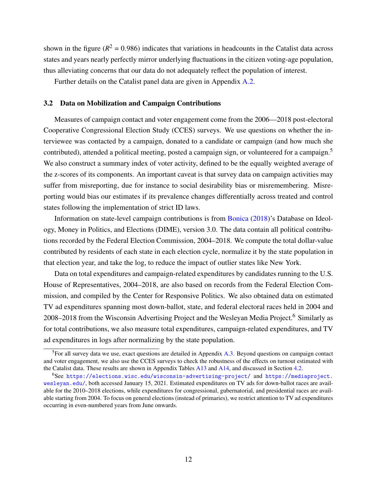shown in the figure ( $R^2 = 0.986$ ) indicates that variations in headcounts in the Catalist data across states and years nearly perfectly mirror underlying fluctuations in the citizen voting-age population, thus alleviating concerns that our data do not adequately reflect the population of interest.

Further details on the Catalist panel data are given in Appendix [A.2.](#page-51-0)

### 3.2 Data on Mobilization and Campaign Contributions

Measures of campaign contact and voter engagement come from the 2006—2018 post-electoral Cooperative Congressional Election Study (CCES) surveys. We use questions on whether the interviewee was contacted by a campaign, donated to a candidate or campaign (and how much she contributed), attended a political meeting, posted a campaign sign, or volunteered for a campaign.<sup>5</sup> We also construct a summary index of voter activity, defined to be the equally weighted average of the z-scores of its components. An important caveat is that survey data on campaign activities may suffer from misreporting, due for instance to social desirability bias or misremembering. Misreporting would bias our estimates if its prevalence changes differentially across treated and control states following the implementation of strict ID laws.

Information on state-level campaign contributions is from [Bonica](#page-36-2) [\(2018\)](#page-36-2)'s Database on Ideology, Money in Politics, and Elections (DIME), version 3.0. The data contain all political contributions recorded by the Federal Election Commission, 2004–2018. We compute the total dollar-value contributed by residents of each state in each election cycle, normalize it by the state population in that election year, and take the log, to reduce the impact of outlier states like New York.

Data on total expenditures and campaign-related expenditures by candidates running to the U.S. House of Representatives, 2004–2018, are also based on records from the Federal Election Commission, and compiled by the Center for Responsive Politics. We also obtained data on estimated TV ad expenditures spanning most down-ballot, state, and federal electoral races held in 2004 and 2008–2018 from the Wisconsin Advertising Project and the Wesleyan Media Project.<sup>6</sup> Similarly as for total contributions, we also measure total expenditures, campaign-related expenditures, and TV ad expenditures in logs after normalizing by the state population.

<span id="page-13-0"></span><sup>&</sup>lt;sup>5</sup>For all survey data we use, exact questions are detailed in Appendix [A.3.](#page-51-1) Beyond questions on campaign contact and voter engagement, we also use the CCES surveys to check the robustness of the effects on turnout estimated with the Catalist data. These results are shown in Appendix Tables [A13](#page-66-0) and [A14,](#page-67-0) and discussed in Section [4.2.](#page-19-0)

<sup>6</sup>See <https://elections.wisc.edu/wisconsin-advertising-project/> and [https://mediaproject.](https://mediaproject.wesleyan.edu/) [wesleyan.edu/](https://mediaproject.wesleyan.edu/), both accessed January 15, 2021. Estimated expenditures on TV ads for down-ballot races are available for the 2010–2018 elections, while expenditures for congressional, gubernatorial, and presidential races are available starting from 2004. To focus on general elections (instead of primaries), we restrict attention to TV ad expenditures occurring in even-numbered years from June onwards.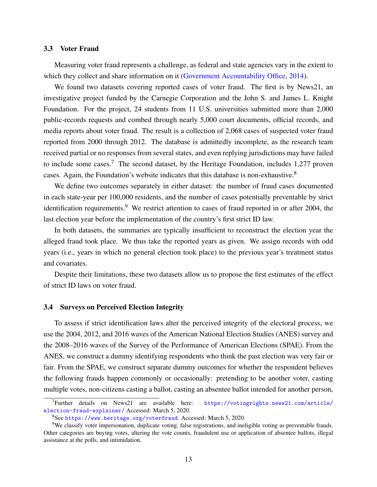## 3.3 Voter Fraud

Measuring voter fraud represents a challenge, as federal and state agencies vary in the extent to which they collect and share information on it [\(Government Accountability Office,](#page-39-2) [2014\)](#page-39-2).

We found two datasets covering reported cases of voter fraud. The first is by News21, an investigative project funded by the Carnegie Corporation and the John S. and James L. Knight Foundation. For the project, 24 students from 11 U.S. universities submitted more than 2,000 public-records requests and combed through nearly 5,000 court documents, official records, and media reports about voter fraud. The result is a collection of 2,068 cases of suspected voter fraud reported from 2000 through 2012. The database is admittedly incomplete, as the research team received partial or no responses from several states, and even replying jurisdictions may have failed to include some cases.<sup>7</sup> The second dataset, by the Heritage Foundation, includes 1,277 proven cases. Again, the Foundation's website indicates that this database is non-exhaustive.<sup>8</sup>

We define two outcomes separately in either dataset: the number of fraud cases documented in each state-year per 100,000 residents, and the number of cases potentially preventable by strict identification requirements.<sup>9</sup> We restrict attention to cases of fraud reported in or after 2004, the last election year before the implementation of the country's first strict ID law.

In both datasets, the summaries are typically insufficient to reconstruct the election year the alleged fraud took place. We thus take the reported years as given. We assign records with odd years (i.e., years in which no general election took place) to the previous year's treatment status and covariates.

Despite their limitations, these two datasets allow us to propose the first estimates of the effect of strict ID laws on voter fraud.

## 3.4 Surveys on Perceived Election Integrity

To assess if strict identification laws alter the perceived integrity of the electoral process, we use the 2004, 2012, and 2016 waves of the American National Election Studies (ANES) survey and the 2008–2016 waves of the Survey of the Performance of American Elections (SPAE). From the ANES, we construct a dummy identifying respondents who think the past election was very fair or fair. From the SPAE, we construct separate dummy outcomes for whether the respondent believes the following frauds happen commonly or occasionally: pretending to be another voter, casting multiple votes, non-citizens casting a ballot, casting an absentee ballot intended for another person,

 $7$ Further details on News21 are available here: [https://votingrights.news21.com/article/](https://votingrights.news21.com/article/election-fraud-explainer/) [election-fraud-explainer/](https://votingrights.news21.com/article/election-fraud-explainer/) Accessed: March 5, 2020.

<sup>8</sup>See <https://www.heritage.org/voterfraud>. Accessed: March 5, 2020.

<sup>&</sup>lt;sup>9</sup>We classify voter impersonation, duplicate voting, false registrations, and ineligible voting as preventable frauds. Other categories are buying votes, altering the vote counts, fraudulent use or application of absentee ballots, illegal assistance at the polls, and intimidation.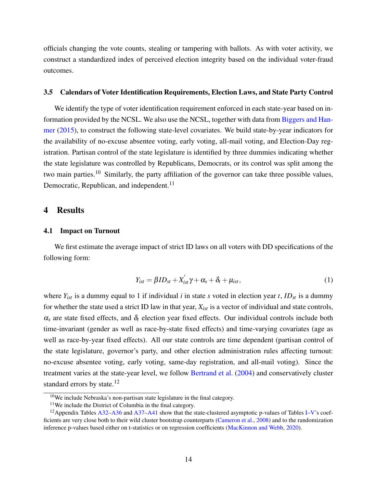officials changing the vote counts, stealing or tampering with ballots. As with voter activity, we construct a standardized index of perceived election integrity based on the individual voter-fraud outcomes.

### 3.5 Calendars of Voter Identification Requirements, Election Laws, and State Party Control

We identify the type of voter identification requirement enforced in each state-year based on information provided by the NCSL. We also use the NCSL, together with data from [Biggers and Han](#page-36-5)[mer](#page-36-5) [\(2015\)](#page-36-5), to construct the following state-level covariates. We build state-by-year indicators for the availability of no-excuse absentee voting, early voting, all-mail voting, and Election-Day registration. Partisan control of the state legislature is identified by three dummies indicating whether the state legislature was controlled by Republicans, Democrats, or its control was split among the two main parties.<sup>10</sup> Similarly, the party affiliation of the governor can take three possible values, Democratic, Republican, and independent.<sup>11</sup>

## <span id="page-15-0"></span>4 Results

## <span id="page-15-2"></span>4.1 Impact on Turnout

We first estimate the average impact of strict ID laws on all voters with DD specifications of the following form:

<span id="page-15-1"></span>
$$
Y_{ist} = \beta ID_{st} + X'_{ist}\gamma + \alpha_s + \delta_t + \mu_{ist},
$$
\n(1)

where  $Y_{ist}$  is a dummy equal to 1 if individual *i* in state *s* voted in election year *t*, *ID<sub>st</sub>* is a dummy for whether the state used a strict ID law in that year, *Xist* is a vector of individual and state controls,  $\alpha_s$  are state fixed effects, and  $\delta_t$  election year fixed effects. Our individual controls include both time-invariant (gender as well as race-by-state fixed effects) and time-varying covariates (age as well as race-by-year fixed effects). All our state controls are time dependent (partisan control of the state legislature, governor's party, and other election administration rules affecting turnout: no-excuse absentee voting, early voting, same-day registration, and all-mail voting). Since the treatment varies at the state-year level, we follow [Bertrand et al.](#page-36-6) [\(2004\)](#page-36-6) and conservatively cluster standard errors by state.<sup>12</sup>

<sup>10</sup>We include Nebraska's non-partisan state legislature in the final category.

 $11$ We include the District of Columbia in the final category.

<sup>&</sup>lt;sup>12</sup> Appendix Tables [A32–](#page-89-0)[A36](#page-93-0) and [A37–](#page-94-0)[A41](#page-98-0) show that the state-clustered asymptotic p-values of Tables [I](#page-30-0)[–V'](#page-34-0)s coefficients are very close both to their wild cluster bootstrap counterparts [\(Cameron et al.,](#page-36-7) [2008\)](#page-36-7) and to the randomization inference p-values based either on t-statistics or on regression coefficients [\(MacKinnon and Webb,](#page-40-11) [2020\)](#page-40-11).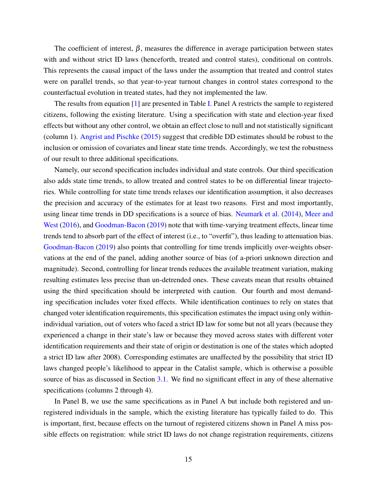The coefficient of interest,  $\beta$ , measures the difference in average participation between states with and without strict ID laws (henceforth, treated and control states), conditional on controls. This represents the causal impact of the laws under the assumption that treated and control states were on parallel trends, so that year-to-year turnout changes in control states correspond to the counterfactual evolution in treated states, had they not implemented the law.

The results from equation [\[1\]](#page-15-1) are presented in Table [I.](#page-30-0) Panel A restricts the sample to registered citizens, following the existing literature. Using a specification with state and election-year fixed effects but without any other control, we obtain an effect close to null and not statistically significant (column 1). [Angrist and Pischke](#page-35-9) [\(2015\)](#page-35-9) suggest that credible DD estimates should be robust to the inclusion or omission of covariates and linear state time trends. Accordingly, we test the robustness of our result to three additional specifications.

Namely, our second specification includes individual and state controls. Our third specification also adds state time trends, to allow treated and control states to be on differential linear trajectories. While controlling for state time trends relaxes our identification assumption, it also decreases the precision and accuracy of the estimates for at least two reasons. First and most importantly, using linear time trends in DD specifications is a source of bias. [Neumark et al.](#page-41-8) [\(2014\)](#page-41-8), [Meer and](#page-41-9) [West](#page-41-9) [\(2016\)](#page-41-9), and [Goodman-Bacon](#page-39-11) [\(2019\)](#page-39-11) note that with time-varying treatment effects, linear time trends tend to absorb part of the effect of interest (i.e., to "overfit"), thus leading to attenuation bias. [Goodman-Bacon](#page-39-11) [\(2019\)](#page-39-11) also points that controlling for time trends implicitly over-weights observations at the end of the panel, adding another source of bias (of a-priori unknown direction and magnitude). Second, controlling for linear trends reduces the available treatment variation, making resulting estimates less precise than un-detrended ones. These caveats mean that results obtained using the third specification should be interpreted with caution. Our fourth and most demanding specification includes voter fixed effects. While identification continues to rely on states that changed voter identification requirements, this specification estimates the impact using only withinindividual variation, out of voters who faced a strict ID law for some but not all years (because they experienced a change in their state's law or because they moved across states with different voter identification requirements and their state of origin or destination is one of the states which adopted a strict ID law after 2008). Corresponding estimates are unaffected by the possibility that strict ID laws changed people's likelihood to appear in the Catalist sample, which is otherwise a possible source of bias as discussed in Section [3.1.](#page-11-1) We find no significant effect in any of these alternative specifications (columns 2 through 4).

In Panel B, we use the same specifications as in Panel A but include both registered and unregistered individuals in the sample, which the existing literature has typically failed to do. This is important, first, because effects on the turnout of registered citizens shown in Panel A miss possible effects on registration: while strict ID laws do not change registration requirements, citizens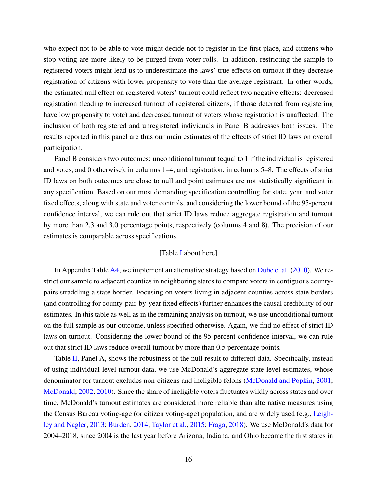who expect not to be able to vote might decide not to register in the first place, and citizens who stop voting are more likely to be purged from voter rolls. In addition, restricting the sample to registered voters might lead us to underestimate the laws' true effects on turnout if they decrease registration of citizens with lower propensity to vote than the average registrant. In other words, the estimated null effect on registered voters' turnout could reflect two negative effects: decreased registration (leading to increased turnout of registered citizens, if those deterred from registering have low propensity to vote) and decreased turnout of voters whose registration is unaffected. The inclusion of both registered and unregistered individuals in Panel B addresses both issues. The results reported in this panel are thus our main estimates of the effects of strict ID laws on overall participation.

Panel B considers two outcomes: unconditional turnout (equal to 1 if the individual is registered and votes, and 0 otherwise), in columns 1–4, and registration, in columns 5–8. The effects of strict ID laws on both outcomes are close to null and point estimates are not statistically significant in any specification. Based on our most demanding specification controlling for state, year, and voter fixed effects, along with state and voter controls, and considering the lower bound of the 95-percent confidence interval, we can rule out that strict ID laws reduce aggregate registration and turnout by more than 2.3 and 3.0 percentage points, respectively (columns 4 and 8). The precision of our estimates is comparable across specifications.

## [Table [I](#page-30-0) about here]

In Appendix Table [A4,](#page-57-0) we implement an alternative strategy based on [Dube et al.](#page-38-9) [\(2010\)](#page-38-9). We restrict our sample to adjacent counties in neighboring states to compare voters in contiguous countypairs straddling a state border. Focusing on voters living in adjacent counties across state borders (and controlling for county-pair-by-year fixed effects) further enhances the causal credibility of our estimates. In this table as well as in the remaining analysis on turnout, we use unconditional turnout on the full sample as our outcome, unless specified otherwise. Again, we find no effect of strict ID laws on turnout. Considering the lower bound of the 95-percent confidence interval, we can rule out that strict ID laws reduce overall turnout by more than 0.5 percentage points.

Table [II,](#page-31-0) Panel A, shows the robustness of the null result to different data. Specifically, instead of using individual-level turnout data, we use McDonald's aggregate state-level estimates, whose denominator for turnout excludes non-citizens and ineligible felons [\(McDonald and Popkin,](#page-41-10) [2001;](#page-41-10) [McDonald,](#page-40-12) [2002,](#page-40-12) [2010\)](#page-41-11). Since the share of ineligible voters fluctuates wildly across states and over time, McDonald's turnout estimates are considered more reliable than alternative measures using the Census Bureau voting-age (or citizen voting-age) population, and are widely used (e.g., [Leigh](#page-40-13)[ley and Nagler,](#page-40-13) [2013;](#page-40-13) [Burden,](#page-36-8) [2014;](#page-36-8) [Taylor et al.,](#page-43-8) [2015;](#page-43-8) [Fraga,](#page-38-1) [2018\)](#page-38-1). We use McDonald's data for 2004–2018, since 2004 is the last year before Arizona, Indiana, and Ohio became the first states in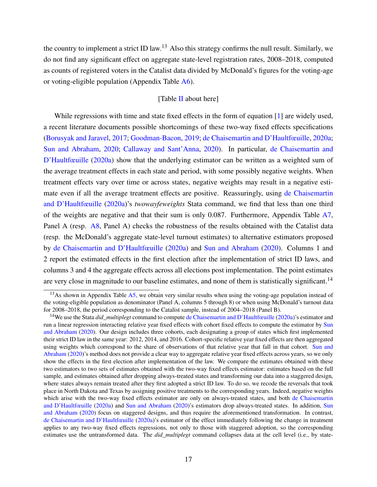the country to implement a strict ID law.<sup>13</sup> Also this strategy confirms the null result. Similarly, we do not find any significant effect on aggregate state-level registration rates, 2008–2018, computed as counts of registered voters in the Catalist data divided by McDonald's figures for the voting-age or voting-eligible population (Appendix Table [A6\)](#page-59-0).

## [Table [II](#page-31-0) about here]

While regressions with time and state fixed effects in the form of equation [\[1\]](#page-15-1) are widely used, a recent literature documents possible shortcomings of these two-way fixed effects specifications [\(Borusyak and Jaravel,](#page-36-9) [2017;](#page-36-9) [Goodman-Bacon,](#page-39-11) [2019;](#page-39-11) [de Chaisemartin and D'Haultfœuille,](#page-37-5) [2020a;](#page-37-5) [Sun and Abraham,](#page-43-3) [2020;](#page-43-3) [Callaway and Sant'Anna,](#page-36-10) [2020\)](#page-36-10). In particular, [de Chaisemartin and](#page-37-5) [D'Haultfœuille](#page-37-5) [\(2020a\)](#page-37-5) show that the underlying estimator can be written as a weighted sum of the average treatment effects in each state and period, with some possibly negative weights. When treatment effects vary over time or across states, negative weights may result in a negative estimate even if all the average treatment effects are positive. Reassuringly, using [de Chaisemartin](#page-37-5) [and D'Haultfœuille](#page-37-5) [\(2020a\)](#page-37-5)'s *twowayfeweights* Stata command, we find that less than one third of the weights are negative and that their sum is only 0.087. Furthermore, Appendix Table [A7,](#page-60-0) Panel A (resp. [A8,](#page-61-0) Panel A) checks the robustness of the results obtained with the Catalist data (resp. the McDonald's aggregate state-level turnout estimates) to alternative estimators proposed by [de Chaisemartin and D'Haultfœuille](#page-37-5) [\(2020a\)](#page-37-5) and [Sun and Abraham](#page-43-3) [\(2020\)](#page-43-3). Columns 1 and 2 report the estimated effects in the first election after the implementation of strict ID laws, and columns 3 and 4 the aggregate effects across all elections post implementation. The point estimates are very close in magnitude to our baseline estimates, and none of them is statistically significant.<sup>14</sup>

<sup>&</sup>lt;sup>13</sup>As shown in Appendix Table  $\overline{A5}$ , we obtain very similar results when using the voting-age population instead of the voting-eligible population as denominator (Panel A, columns 5 through 8) or when using McDonald's turnout data for 2008–2018, the period corresponding to the Catalist sample, instead of 2004–2018 (Panel B).

<sup>14</sup>We use the Stata *did\_multiplegt* command to compute [de Chaisemartin and D'Haultfœuille](#page-37-5) [\(2020a\)](#page-37-5)'s estimator and run a linear regression interacting relative year fixed effects with cohort fixed effects to compute the estimator by [Sun](#page-43-3) [and Abraham](#page-43-3) [\(2020\)](#page-43-3). Our design includes three cohorts, each designating a group of states which first implemented their strict ID law in the same year: 2012, 2014, and 2016. Cohort-specific relative year fixed effects are then aggregated using weights which correspond to the share of observations of that relative year that fall in that cohort. [Sun and](#page-43-3) [Abraham](#page-43-3) [\(2020\)](#page-43-3)'s method does not provide a clear way to aggregate relative year fixed effects across years, so we only show the effects in the first election after implementation of the law. We compare the estimates obtained with these two estimators to two sets of estimates obtained with the two-way fixed effects estimator: estimates based on the full sample, and estimates obtained after dropping always-treated states and transforming our data into a staggered design, where states always remain treated after they first adopted a strict ID law. To do so, we recode the reversals that took place in North Dakota and Texas by assigning positive treatments to the corresponding years. Indeed, negative weights which arise with the two-way fixed effects estimator are only on always-treated states, and both [de Chaisemartin](#page-37-5) [and D'Haultfœuille](#page-37-5) [\(2020a\)](#page-37-5) and [Sun and Abraham](#page-43-3) [\(2020\)](#page-43-3)'s estimators drop always-treated states. In addition, [Sun](#page-43-3) [and Abraham](#page-43-3) [\(2020\)](#page-43-3) focus on staggered designs, and thus require the aforementioned transformation. In contrast, [de Chaisemartin and D'Haultfœuille](#page-37-5) [\(2020a\)](#page-37-5)'s estimator of the effect immediately following the change in treatment applies to any two-way fixed effects regressions, not only to those with staggered adoption, so the corresponding estimates use the untransformed data. The *did\_multiplegt* command collapses data at the cell level (i.e., by state-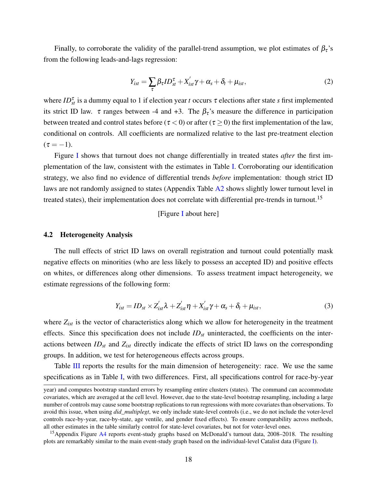Finally, to corroborate the validity of the parallel-trend assumption, we plot estimates of  $\beta_{\tau}$ 's from the following leads-and-lags regression:

<span id="page-19-1"></span>
$$
Y_{ist} = \sum_{\tau} \beta_{\tau} I D_{st}^{\tau} + X'_{ist} \gamma + \alpha_s + \delta_t + \mu_{ist}, \qquad (2)
$$

where  $ID_{st}^{\tau}$  is a dummy equal to 1 if election year *t* occurs  $\tau$  elections after state *s* first implemented its strict ID law.  $\tau$  ranges between -4 and +3. The  $\beta_{\tau}$ 's measure the difference in participation between treated and control states before ( $\tau < 0$ ) or after ( $\tau \ge 0$ ) the first implementation of the law, conditional on controls. All coefficients are normalized relative to the last pre-treatment election  $(\tau = -1).$ 

Figure [I](#page-28-0) shows that turnout does not change differentially in treated states *after* the first implementation of the law, consistent with the estimates in Table [I.](#page-30-0) Corroborating our identification strategy, we also find no evidence of differential trends *before* implementation: though strict ID laws are not randomly assigned to states (Appendix Table [A2](#page-53-0) shows slightly lower turnout level in treated states), their implementation does not correlate with differential pre-trends in turnout.<sup>15</sup>

### [Figure [I](#page-28-0) about here]

#### <span id="page-19-0"></span>4.2 Heterogeneity Analysis

The null effects of strict ID laws on overall registration and turnout could potentially mask negative effects on minorities (who are less likely to possess an accepted ID) and positive effects on whites, or differences along other dimensions. To assess treatment impact heterogeneity, we estimate regressions of the following form:

$$
Y_{ist} = ID_{st} \times Z'_{ist} \lambda + Z'_{ist} \eta + X'_{ist} \gamma + \alpha_s + \delta_t + \mu_{ist},
$$
\n(3)

where  $Z_{ist}$  is the vector of characteristics along which we allow for heterogeneity in the treatment effects. Since this specification does not include *IDst* uninteracted, the coefficients on the interactions between *IDst* and *Zist* directly indicate the effects of strict ID laws on the corresponding groups. In addition, we test for heterogeneous effects across groups.

Table [III](#page-32-0) reports the results for the main dimension of heterogeneity: race. We use the same specifications as in Table [I,](#page-30-0) with two differences. First, all specifications control for race-by-year

year) and computes bootstrap standard errors by resampling entire clusters (states). The command can accommodate covariates, which are averaged at the cell level. However, due to the state-level bootstrap resampling, including a large number of controls may cause some bootstrap replications to run regressions with more covariates than observations. To avoid this issue, when using *did\_multiplegt*, we only include state-level controls (i.e., we do not include the voter-level controls race-by-year, race-by-state, age ventile, and gender fixed effects). To ensure comparability across methods, all other estimates in the table similarly control for state-level covariates, but not for voter-level ones.

<sup>&</sup>lt;sup>15</sup>Appendix Figure [A4](#page-55-0) reports event-study graphs based on McDonald's turnout data, 2008–2018. The resulting plots are remarkably similar to the main event-study graph based on the individual-level Catalist data (Figure [I\)](#page-28-0).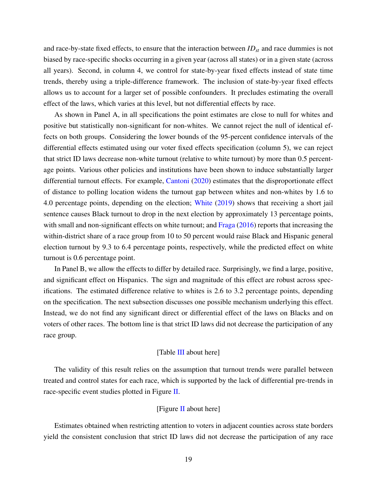and race-by-state fixed effects, to ensure that the interaction between *IDst* and race dummies is not biased by race-specific shocks occurring in a given year (across all states) or in a given state (across all years). Second, in column 4, we control for state-by-year fixed effects instead of state time trends, thereby using a triple-difference framework. The inclusion of state-by-year fixed effects allows us to account for a larger set of possible confounders. It precludes estimating the overall effect of the laws, which varies at this level, but not differential effects by race.

As shown in Panel A, in all specifications the point estimates are close to null for whites and positive but statistically non-significant for non-whites. We cannot reject the null of identical effects on both groups. Considering the lower bounds of the 95-percent confidence intervals of the differential effects estimated using our voter fixed effects specification (column 5), we can reject that strict ID laws decrease non-white turnout (relative to white turnout) by more than 0.5 percentage points. Various other policies and institutions have been shown to induce substantially larger differential turnout effects. For example, [Cantoni](#page-37-2) [\(2020\)](#page-37-2) estimates that the disproportionate effect of distance to polling location widens the turnout gap between whites and non-whites by 1.6 to 4.0 percentage points, depending on the election; [White](#page-43-9) [\(2019\)](#page-43-9) shows that receiving a short jail sentence causes Black turnout to drop in the next election by approximately 13 percentage points, with small and non-significant effects on white turnout; and [Fraga](#page-38-8) [\(2016\)](#page-38-8) reports that increasing the within-district share of a race group from 10 to 50 percent would raise Black and Hispanic general election turnout by 9.3 to 6.4 percentage points, respectively, while the predicted effect on white turnout is 0.6 percentage point.

In Panel B, we allow the effects to differ by detailed race. Surprisingly, we find a large, positive, and significant effect on Hispanics. The sign and magnitude of this effect are robust across specifications. The estimated difference relative to whites is 2.6 to 3.2 percentage points, depending on the specification. The next subsection discusses one possible mechanism underlying this effect. Instead, we do not find any significant direct or differential effect of the laws on Blacks and on voters of other races. The bottom line is that strict ID laws did not decrease the participation of any race group.

#### [Table [III](#page-32-0) about here]

The validity of this result relies on the assumption that turnout trends were parallel between treated and control states for each race, which is supported by the lack of differential pre-trends in race-specific event studies plotted in Figure [II.](#page-29-0)

### [Figure [II](#page-29-0) about here]

Estimates obtained when restricting attention to voters in adjacent counties across state borders yield the consistent conclusion that strict ID laws did not decrease the participation of any race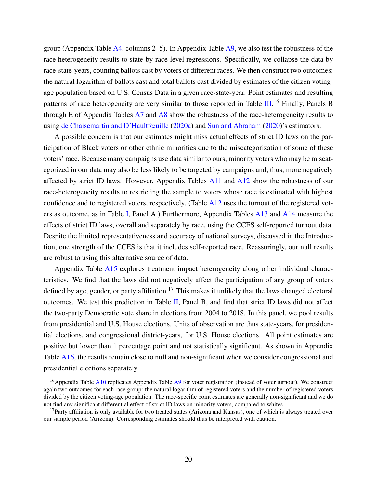group (Appendix Table  $\overline{A4}$ , columns 2–5). In Appendix Table  $\overline{A9}$ , we also test the robustness of the race heterogeneity results to state-by-race-level regressions. Specifically, we collapse the data by race-state-years, counting ballots cast by voters of different races. We then construct two outcomes: the natural logarithm of ballots cast and total ballots cast divided by estimates of the citizen votingage population based on U.S. Census Data in a given race-state-year. Point estimates and resulting patterns of race heterogeneity are very similar to those reported in Table [III.](#page-32-0)<sup>16</sup> Finally, Panels B through E of Appendix Tables [A7](#page-60-0) and [A8](#page-61-0) show the robustness of the race-heterogeneity results to using [de Chaisemartin and D'Haultfœuille](#page-37-5) [\(2020a\)](#page-37-5) and [Sun and Abraham](#page-43-3) [\(2020\)](#page-43-3)'s estimators.

A possible concern is that our estimates might miss actual effects of strict ID laws on the participation of Black voters or other ethnic minorities due to the miscategorization of some of these voters' race. Because many campaigns use data similar to ours, minority voters who may be miscategorized in our data may also be less likely to be targeted by campaigns and, thus, more negatively affected by strict ID laws. However, Appendix Tables [A11](#page-64-0) and [A12](#page-65-0) show the robustness of our race-heterogeneity results to restricting the sample to voters whose race is estimated with highest confidence and to registered voters, respectively. (Table [A12](#page-65-0) uses the turnout of the registered voters as outcome, as in Table [I,](#page-30-0) Panel A.) Furthermore, Appendix Tables [A13](#page-66-0) and [A14](#page-67-0) measure the effects of strict ID laws, overall and separately by race, using the CCES self-reported turnout data. Despite the limited representativeness and accuracy of national surveys, discussed in the Introduction, one strength of the CCES is that it includes self-reported race. Reassuringly, our null results are robust to using this alternative source of data.

Appendix Table [A15](#page-68-0) explores treatment impact heterogeneity along other individual characteristics. We find that the laws did not negatively affect the participation of any group of voters defined by age, gender, or party affiliation.<sup>17</sup> This makes it unlikely that the laws changed electoral outcomes. We test this prediction in Table [II,](#page-31-0) Panel B, and find that strict ID laws did not affect the two-party Democratic vote share in elections from 2004 to 2018. In this panel, we pool results from presidential and U.S. House elections. Units of observation are thus state-years, for presidential elections, and congressional district-years, for U.S. House elections. All point estimates are positive but lower than 1 percentage point and not statistically significant. As shown in Appendix Table [A16,](#page-69-0) the results remain close to null and non-significant when we consider congressional and presidential elections separately.

<sup>&</sup>lt;sup>16</sup>Appendix Table [A10](#page-63-0) replicates Appendix Table  $\overline{A9}$  $\overline{A9}$  $\overline{A9}$  for voter registration (instead of voter turnout). We construct again two outcomes for each race group: the natural logarithm of registered voters and the number of registered voters divided by the citizen voting-age population. The race-specific point estimates are generally non-significant and we do not find any significant differential effect of strict ID laws on minority voters, compared to whites.

 $17$ Party affiliation is only available for two treated states (Arizona and Kansas), one of which is always treated over our sample period (Arizona). Corresponding estimates should thus be interpreted with caution.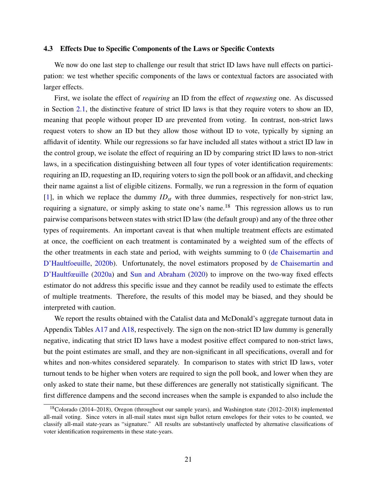### 4.3 Effects Due to Specific Components of the Laws or Specific Contexts

We now do one last step to challenge our result that strict ID laws have null effects on participation: we test whether specific components of the laws or contextual factors are associated with larger effects.

First, we isolate the effect of *requiring* an ID from the effect of *requesting* one. As discussed in Section [2.1,](#page-8-1) the distinctive feature of strict ID laws is that they require voters to show an ID, meaning that people without proper ID are prevented from voting. In contrast, non-strict laws request voters to show an ID but they allow those without ID to vote, typically by signing an affidavit of identity. While our regressions so far have included all states without a strict ID law in the control group, we isolate the effect of requiring an ID by comparing strict ID laws to non-strict laws, in a specification distinguishing between all four types of voter identification requirements: requiring an ID, requesting an ID, requiring voters to sign the poll book or an affidavit, and checking their name against a list of eligible citizens. Formally, we run a regression in the form of equation [\[1\]](#page-15-1), in which we replace the dummy *IDst* with three dummies, respectively for non-strict law, requiring a signature, or simply asking to state one's name.<sup>18</sup> This regression allows us to run pairwise comparisons between states with strict ID law (the default group) and any of the three other types of requirements. An important caveat is that when multiple treatment effects are estimated at once, the coefficient on each treatment is contaminated by a weighted sum of the effects of the other treatments in each state and period, with weights summing to 0 [\(de Chaisemartin and](#page-37-12) [D'Haultfoeuille,](#page-37-12) [2020b\)](#page-37-12). Unfortunately, the novel estimators proposed by [de Chaisemartin and](#page-37-5) [D'Haultfœuille](#page-37-5) [\(2020a\)](#page-37-5) and [Sun and Abraham](#page-43-3) [\(2020\)](#page-43-3) to improve on the two-way fixed effects estimator do not address this specific issue and they cannot be readily used to estimate the effects of multiple treatments. Therefore, the results of this model may be biased, and they should be interpreted with caution.

We report the results obtained with the Catalist data and McDonald's aggregate turnout data in Appendix Tables [A17](#page-70-0) and [A18,](#page-71-0) respectively. The sign on the non-strict ID law dummy is generally negative, indicating that strict ID laws have a modest positive effect compared to non-strict laws, but the point estimates are small, and they are non-significant in all specifications, overall and for whites and non-whites considered separately. In comparison to states with strict ID laws, voter turnout tends to be higher when voters are required to sign the poll book, and lower when they are only asked to state their name, but these differences are generally not statistically significant. The first difference dampens and the second increases when the sample is expanded to also include the

<sup>18</sup>Colorado (2014–2018), Oregon (throughout our sample years), and Washington state (2012–2018) implemented all-mail voting. Since voters in all-mail states must sign ballot return envelopes for their votes to be counted, we classify all-mail state-years as "signature." All results are substantively unaffected by alternative classifications of voter identification requirements in these state-years.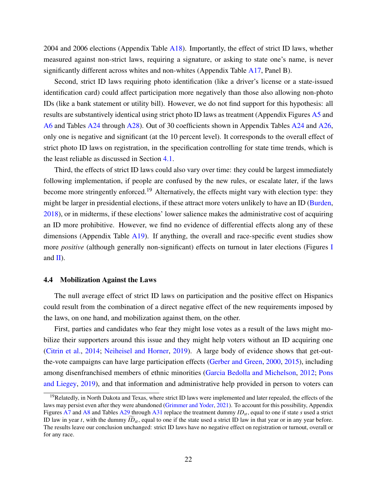2004 and 2006 elections (Appendix Table [A18\)](#page-71-0). Importantly, the effect of strict ID laws, whether measured against non-strict laws, requiring a signature, or asking to state one's name, is never significantly different across whites and non-whites (Appendix Table [A17,](#page-70-0) Panel B).

Second, strict ID laws requiring photo identification (like a driver's license or a state-issued identification card) could affect participation more negatively than those also allowing non-photo IDs (like a bank statement or utility bill). However, we do not find support for this hypothesis: all results are substantively identical using strict photo ID laws as treatment (Appendix Figures [A5](#page-77-0) and [A6](#page-78-0) and Tables [A24](#page-79-0) through [A28\)](#page-83-0). Out of 30 coefficients shown in Appendix Tables [A24](#page-79-0) and [A26,](#page-81-0) only one is negative and significant (at the 10 percent level). It corresponds to the overall effect of strict photo ID laws on registration, in the specification controlling for state time trends, which is the least reliable as discussed in Section [4.1.](#page-15-2)

Third, the effects of strict ID laws could also vary over time: they could be largest immediately following implementation, if people are confused by the new rules, or escalate later, if the laws become more stringently enforced.<sup>19</sup> Alternatively, the effects might vary with election type: they might be larger in presidential elections, if these attract more voters unlikely to have an ID [\(Burden,](#page-36-11) [2018\)](#page-36-11), or in midterms, if these elections' lower salience makes the administrative cost of acquiring an ID more prohibitive. However, we find no evidence of differential effects along any of these dimensions (Appendix Table  $A19$ ). If anything, the overall and race-specific event studies show more *positive* (although generally non-significant) effects on turnout in later elections (Figures [I](#page-28-0) and  $\mathbf{II}$ ).

#### 4.4 Mobilization Against the Laws

The null average effect of strict ID laws on participation and the positive effect on Hispanics could result from the combination of a direct negative effect of the new requirements imposed by the laws, on one hand, and mobilization against them, on the other.

First, parties and candidates who fear they might lose votes as a result of the laws might mobilize their supporters around this issue and they might help voters without an ID acquiring one [\(Citrin et al.,](#page-37-3) [2014;](#page-37-3) [Neiheisel and Horner,](#page-41-6) [2019\)](#page-41-6). A large body of evidence shows that get-outthe-vote campaigns can have large participation effects [\(Gerber and Green,](#page-38-10) [2000,](#page-38-10) [2015\)](#page-38-11), including among disenfranchised members of ethnic minorities [\(Garcia Bedolla and Michelson,](#page-38-12) [2012;](#page-38-12) [Pons](#page-42-12) [and Liegey,](#page-42-12) [2019\)](#page-42-12), and that information and administrative help provided in person to voters can

<sup>&</sup>lt;sup>19</sup>Relatedly, in North Dakota and Texas, where strict ID laws were implemented and later repealed, the effects of the laws may persist even after they were abandoned [\(Grimmer and Yoder,](#page-39-12) [2021\)](#page-39-12). To account for this possibility, Appendix Figures [A7](#page-84-0) and [A8](#page-85-0) and Tables [A29](#page-86-0) through [A31](#page-88-0) replace the treatment dummy  $ID_{st}$ , equal to one if state *s* used a strict ID law in year *t*, with the dummy  $\widehat{ID}_{st}$ , equal to one if the state used a strict ID law in that year or in any year before. The results leave our conclusion unchanged: strict ID laws have no negative effect on registration or turnout, overall or for any race.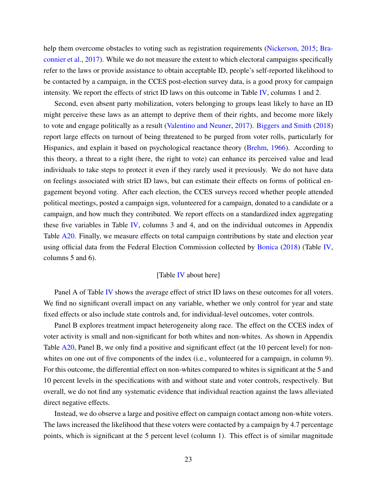help them overcome obstacles to voting such as registration requirements [\(Nickerson,](#page-41-3) [2015;](#page-41-3) [Bra](#page-36-0)[connier et al.,](#page-36-0) [2017\)](#page-36-0). While we do not measure the extent to which electoral campaigns specifically refer to the laws or provide assistance to obtain acceptable ID, people's self-reported likelihood to be contacted by a campaign, in the CCES post-election survey data, is a good proxy for campaign intensity. We report the effects of strict ID laws on this outcome in Table [IV,](#page-33-0) columns 1 and 2.

Second, even absent party mobilization, voters belonging to groups least likely to have an ID might perceive these laws as an attempt to deprive them of their rights, and become more likely to vote and engage politically as a result [\(Valentino and Neuner,](#page-43-7) [2017\)](#page-43-7). [Biggers and Smith](#page-36-1) [\(2018\)](#page-36-1) report large effects on turnout of being threatened to be purged from voter rolls, particularly for Hispanics, and explain it based on psychological reactance theory [\(Brehm,](#page-36-12) [1966\)](#page-36-12). According to this theory, a threat to a right (here, the right to vote) can enhance its perceived value and lead individuals to take steps to protect it even if they rarely used it previously. We do not have data on feelings associated with strict ID laws, but can estimate their effects on forms of political engagement beyond voting. After each election, the CCES surveys record whether people attended political meetings, posted a campaign sign, volunteered for a campaign, donated to a candidate or a campaign, and how much they contributed. We report effects on a standardized index aggregating these five variables in Table [IV,](#page-33-0) columns 3 and 4, and on the individual outcomes in Appendix Table [A20.](#page-73-0) Finally, we measure effects on total campaign contributions by state and election year using official data from the Federal Election Commission collected by [Bonica](#page-36-2) [\(2018\)](#page-36-2) (Table [IV,](#page-33-0) columns 5 and 6).

#### [Table [IV](#page-33-0) about here]

Panel A of Table [IV](#page-33-0) shows the average effect of strict ID laws on these outcomes for all voters. We find no significant overall impact on any variable, whether we only control for year and state fixed effects or also include state controls and, for individual-level outcomes, voter controls.

Panel B explores treatment impact heterogeneity along race. The effect on the CCES index of voter activity is small and non-significant for both whites and non-whites. As shown in Appendix Table [A20,](#page-73-0) Panel B, we only find a positive and significant effect (at the 10 percent level) for nonwhites on one out of five components of the index (i.e., volunteered for a campaign, in column 9). For this outcome, the differential effect on non-whites compared to whites is significant at the 5 and 10 percent levels in the specifications with and without state and voter controls, respectively. But overall, we do not find any systematic evidence that individual reaction against the laws alleviated direct negative effects.

Instead, we do observe a large and positive effect on campaign contact among non-white voters. The laws increased the likelihood that these voters were contacted by a campaign by 4.7 percentage points, which is significant at the 5 percent level (column 1). This effect is of similar magnitude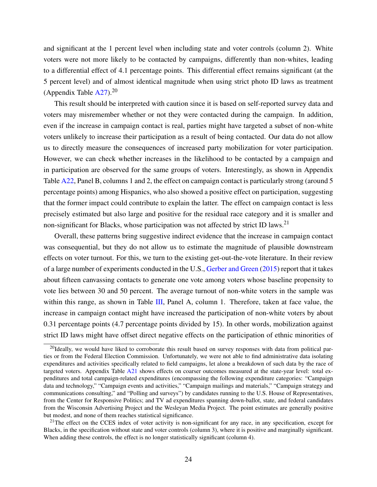and significant at the 1 percent level when including state and voter controls (column 2). White voters were not more likely to be contacted by campaigns, differently than non-whites, leading to a differential effect of 4.1 percentage points. This differential effect remains significant (at the 5 percent level) and of almost identical magnitude when using strict photo ID laws as treatment (Appendix Table  $A27$ ).<sup>20</sup>

This result should be interpreted with caution since it is based on self-reported survey data and voters may misremember whether or not they were contacted during the campaign. In addition, even if the increase in campaign contact is real, parties might have targeted a subset of non-white voters unlikely to increase their participation as a result of being contacted. Our data do not allow us to directly measure the consequences of increased party mobilization for voter participation. However, we can check whether increases in the likelihood to be contacted by a campaign and in participation are observed for the same groups of voters. Interestingly, as shown in Appendix Table [A22,](#page-75-0) Panel B, columns 1 and 2, the effect on campaign contact is particularly strong (around 5 percentage points) among Hispanics, who also showed a positive effect on participation, suggesting that the former impact could contribute to explain the latter. The effect on campaign contact is less precisely estimated but also large and positive for the residual race category and it is smaller and non-significant for Blacks, whose participation was not affected by strict ID laws.<sup>21</sup>

Overall, these patterns bring suggestive indirect evidence that the increase in campaign contact was consequential, but they do not allow us to estimate the magnitude of plausible downstream effects on voter turnout. For this, we turn to the existing get-out-the-vote literature. In their review of a large number of experiments conducted in the U.S., [Gerber and Green](#page-38-11) [\(2015\)](#page-38-11) report that it takes about fifteen canvassing contacts to generate one vote among voters whose baseline propensity to vote lies between 30 and 50 percent. The average turnout of non-white voters in the sample was within this range, as shown in Table [III,](#page-32-0) Panel A, column 1. Therefore, taken at face value, the increase in campaign contact might have increased the participation of non-white voters by about 0.31 percentage points (4.7 percentage points divided by 15). In other words, mobilization against strict ID laws might have offset direct negative effects on the participation of ethnic minorities of

<sup>&</sup>lt;sup>20</sup>Ideally, we would have liked to corroborate this result based on survey responses with data from political parties or from the Federal Election Commission. Unfortunately, we were not able to find administrative data isolating expenditures and activities specifically related to field campaigns, let alone a breakdown of such data by the race of targeted voters. Appendix Table [A21](#page-74-0) shows effects on coarser outcomes measured at the state-year level: total expenditures and total campaign-related expenditures (encompassing the following expenditure categories: "Campaign data and technology," "Campaign events and activities," "Campaign mailings and materials," "Campaign strategy and communications consulting," and "Polling and surveys") by candidates running to the U.S. House of Representatives, from the Center for Responsive Politics; and TV ad expenditures spanning down-ballot, state, and federal candidates from the Wisconsin Advertising Project and the Wesleyan Media Project. The point estimates are generally positive but modest, and none of them reaches statistical significance.

 $21$ The effect on the CCES index of voter activity is non-significant for any race, in any specification, except for Blacks, in the specification without state and voter controls (column 3), where it is positive and marginally significant. When adding these controls, the effect is no longer statistically significant (column 4).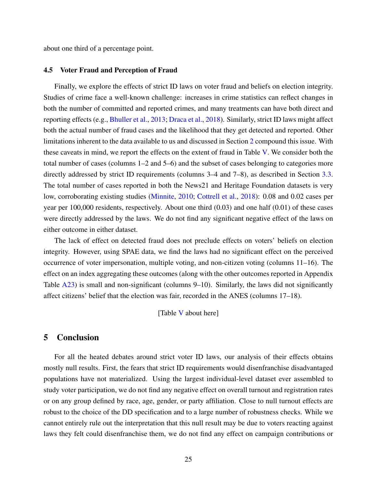about one third of a percentage point.

## 4.5 Voter Fraud and Perception of Fraud

Finally, we explore the effects of strict ID laws on voter fraud and beliefs on election integrity. Studies of crime face a well-known challenge: increases in crime statistics can reflect changes in both the number of committed and reported crimes, and many treatments can have both direct and reporting effects (e.g., [Bhuller et al.,](#page-36-13) [2013;](#page-36-13) [Draca et al.,](#page-38-13) [2018\)](#page-38-13). Similarly, strict ID laws might affect both the actual number of fraud cases and the likelihood that they get detected and reported. Other limitations inherent to the data available to us and discussed in Section [2](#page-8-0) compound this issue. With these caveats in mind, we report the effects on the extent of fraud in Table [V.](#page-34-0) We consider both the total number of cases (columns 1–2 and 5–6) and the subset of cases belonging to categories more directly addressed by strict ID requirements (columns 3–4 and 7–8), as described in Section [3.3.](#page-13-0) The total number of cases reported in both the News21 and Heritage Foundation datasets is very low, corroborating existing studies [\(Minnite,](#page-41-4) [2010;](#page-41-4) [Cottrell et al.,](#page-37-7) [2018\)](#page-37-7): 0.08 and 0.02 cases per year per 100,000 residents, respectively. About one third (0.03) and one half (0.01) of these cases were directly addressed by the laws. We do not find any significant negative effect of the laws on either outcome in either dataset.

The lack of effect on detected fraud does not preclude effects on voters' beliefs on election integrity. However, using SPAE data, we find the laws had no significant effect on the perceived occurrence of voter impersonation, multiple voting, and non-citizen voting (columns 11–16). The effect on an index aggregating these outcomes (along with the other outcomes reported in Appendix Table  $\overline{A23}$ ) is small and non-significant (columns 9–10). Similarly, the laws did not significantly affect citizens' belief that the election was fair, recorded in the ANES (columns 17–18).

[Table [V](#page-34-0) about here]

# <span id="page-26-0"></span>5 Conclusion

For all the heated debates around strict voter ID laws, our analysis of their effects obtains mostly null results. First, the fears that strict ID requirements would disenfranchise disadvantaged populations have not materialized. Using the largest individual-level dataset ever assembled to study voter participation, we do not find any negative effect on overall turnout and registration rates or on any group defined by race, age, gender, or party affiliation. Close to null turnout effects are robust to the choice of the DD specification and to a large number of robustness checks. While we cannot entirely rule out the interpretation that this null result may be due to voters reacting against laws they felt could disenfranchise them, we do not find any effect on campaign contributions or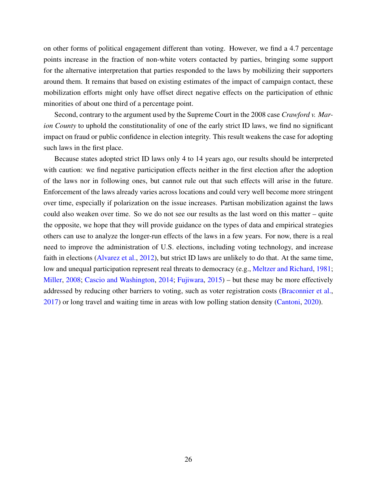on other forms of political engagement different than voting. However, we find a 4.7 percentage points increase in the fraction of non-white voters contacted by parties, bringing some support for the alternative interpretation that parties responded to the laws by mobilizing their supporters around them. It remains that based on existing estimates of the impact of campaign contact, these mobilization efforts might only have offset direct negative effects on the participation of ethnic minorities of about one third of a percentage point.

Second, contrary to the argument used by the Supreme Court in the 2008 case *Crawford v. Marion County* to uphold the constitutionality of one of the early strict ID laws, we find no significant impact on fraud or public confidence in election integrity. This result weakens the case for adopting such laws in the first place.

Because states adopted strict ID laws only 4 to 14 years ago, our results should be interpreted with caution: we find negative participation effects neither in the first election after the adoption of the laws nor in following ones, but cannot rule out that such effects will arise in the future. Enforcement of the laws already varies across locations and could very well become more stringent over time, especially if polarization on the issue increases. Partisan mobilization against the laws could also weaken over time. So we do not see our results as the last word on this matter – quite the opposite, we hope that they will provide guidance on the types of data and empirical strategies others can use to analyze the longer-run effects of the laws in a few years. For now, there is a real need to improve the administration of U.S. elections, including voting technology, and increase faith in elections [\(Alvarez et al.,](#page-35-10) [2012\)](#page-35-10), but strict ID laws are unlikely to do that. At the same time, low and unequal participation represent real threats to democracy (e.g., [Meltzer and Richard,](#page-41-12) [1981;](#page-41-12) [Miller,](#page-41-13) [2008;](#page-41-13) [Cascio and Washington,](#page-37-13) [2014;](#page-37-13) [Fujiwara,](#page-38-3) [2015\)](#page-38-3) – but these may be more effectively addressed by reducing other barriers to voting, such as voter registration costs [\(Braconnier et al.,](#page-36-0) [2017\)](#page-36-0) or long travel and waiting time in areas with low polling station density [\(Cantoni,](#page-37-2) [2020\)](#page-37-2).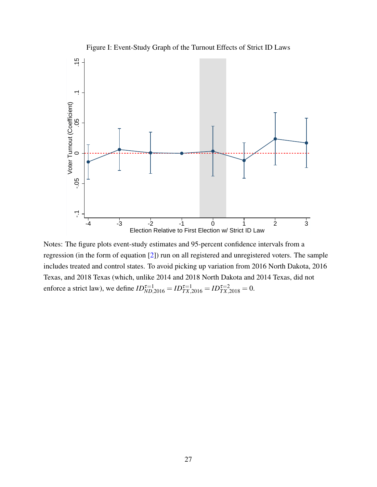<span id="page-28-0"></span>

Notes: The figure plots event-study estimates and 95-percent confidence intervals from a regression (in the form of equation [\[2\]](#page-19-1)) run on all registered and unregistered voters. The sample includes treated and control states. To avoid picking up variation from 2016 North Dakota, 2016 Texas, and 2018 Texas (which, unlike 2014 and 2018 North Dakota and 2014 Texas, did not enforce a strict law), we define  $ID_{ND,2016}^{\tau=1} = ID_{TX,2016}^{\tau=1} = ID_{TX,2018}^{\tau=2} = 0$ .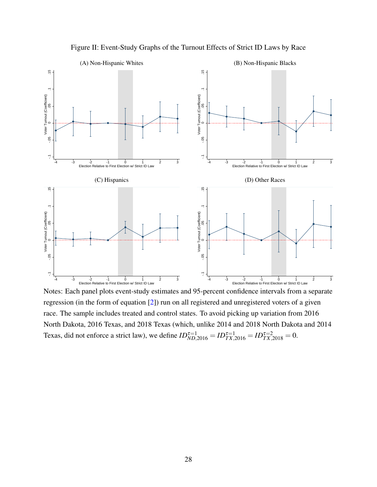<span id="page-29-0"></span>

Figure II: Event-Study Graphs of the Turnout Effects of Strict ID Laws by Race

Notes: Each panel plots event-study estimates and 95-percent confidence intervals from a separate regression (in the form of equation [\[2\]](#page-19-1)) run on all registered and unregistered voters of a given race. The sample includes treated and control states. To avoid picking up variation from 2016 North Dakota, 2016 Texas, and 2018 Texas (which, unlike 2014 and 2018 North Dakota and 2014 Texas, did not enforce a strict law), we define  $ID_{ND,2016}^{\tau=1} = ID_{TX,2016}^{\tau=1} = ID_{TX,2018}^{\tau=2} = 0$ .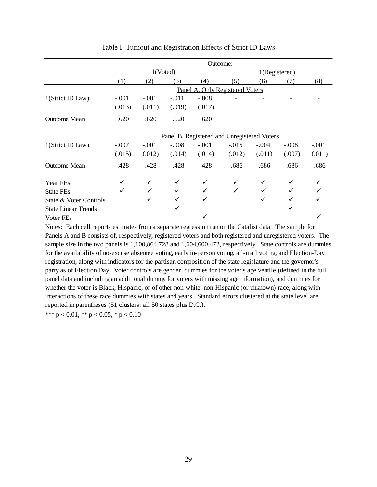<span id="page-30-0"></span>

|                            | Outcome:                                    |              |         |         |               |         |         |         |  |
|----------------------------|---------------------------------------------|--------------|---------|---------|---------------|---------|---------|---------|--|
|                            | 1(Voted)                                    |              |         |         | 1(Registered) |         |         |         |  |
|                            | (1)                                         | (2)          | (3)     | (4)     | (5)           | (6)     | (7)     | (8)     |  |
|                            | Panel A. Only Registered Voters             |              |         |         |               |         |         |         |  |
| 1(Strict ID Law)           | $-.001$                                     | $-.001$      | $-.011$ | $-.008$ |               |         |         |         |  |
|                            | (.013)                                      | (.011)       | (.019)  | (.017)  |               |         |         |         |  |
| <b>Outcome Mean</b>        | .620                                        | .620         | .620    | .620    |               |         |         |         |  |
|                            | Panel B. Registered and Unregistered Voters |              |         |         |               |         |         |         |  |
| $1$ (Strict ID Law)        | $-.007$                                     | $-.001$      | $-.008$ | $-.001$ | $-.015$       | $-.004$ | $-.008$ | $-.001$ |  |
|                            | (.015)                                      | (.012)       | (.014)  | (.014)  | (.012)        | (.011)  | (.007)  | (.011)  |  |
| <b>Outcome Mean</b>        | .428                                        | .428         | .428    | .428    | .686          | .686    | .686    | .686    |  |
| Year FEs                   |                                             | $\checkmark$ | ✓       | ✓       | ✓             | ✓       | ✓       |         |  |
| State FEs                  | ✓                                           | $\checkmark$ | ✓       |         | $\checkmark$  | ✓       |         |         |  |
| State & Voter Controls     |                                             | ✓            | ✓       |         |               | ✓       |         |         |  |
| <b>State Linear Trends</b> |                                             |              | ✓       |         |               |         |         |         |  |
| Voter FEs                  |                                             |              |         |         |               |         |         |         |  |

## Table I: Turnout and Registration Effects of Strict ID Laws

Notes: Each cell reports estimates from a separate regression run on the Catalist data. The sample for Panels A and B consists of, respectively, registered voters and both registered and unregistered voters. The sample size in the two panels is 1,100,864,728 and 1,604,600,472, respectively. State controls are dummies for the availability of no-excuse absentee voting, early in-person voting, all-mail voting, and Election-Day registration, along with indicators for the partisan composition of the state legislature and the governor's party as of Election Day. Voter controls are gender, dummies for the voter's age ventile (defined in the full panel data and including an additional dummy for voters with missing age information), and dummies for whether the voter is Black, Hispanic, or of other non-white, non-Hispanic (or unknown) race, along with interactions of these race dummies with states and years. Standard errors clustered at the state level are reported in parentheses (51 clusters: all 50 states plus D.C.).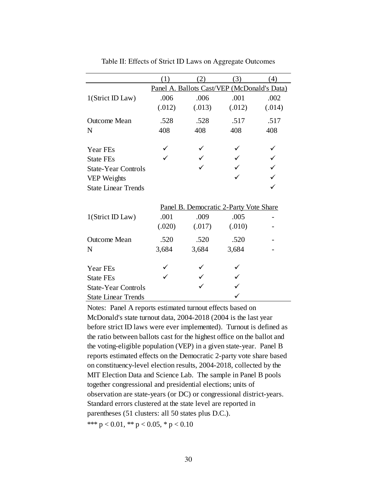<span id="page-31-0"></span>

|                            | (1)                                         | (2)    | (3)    | (4)    |  |  |  |  |  |
|----------------------------|---------------------------------------------|--------|--------|--------|--|--|--|--|--|
|                            | Panel A. Ballots Cast/VEP (McDonald's Data) |        |        |        |  |  |  |  |  |
| 1(Strict ID Law)           | .006                                        | .006   | .001   | .002   |  |  |  |  |  |
|                            | (.012)                                      | (.013) | (.012) | (.014) |  |  |  |  |  |
| <b>Outcome Mean</b>        | .528                                        | .528   | .517   | .517   |  |  |  |  |  |
| N                          | 408                                         | 408    | 408    | 408    |  |  |  |  |  |
| Year FEs                   |                                             |        |        |        |  |  |  |  |  |
| <b>State FEs</b>           |                                             |        |        |        |  |  |  |  |  |
| <b>State-Year Controls</b> |                                             |        |        |        |  |  |  |  |  |
| VEP Weights                |                                             |        |        |        |  |  |  |  |  |
| <b>State Linear Trends</b> |                                             |        |        |        |  |  |  |  |  |
|                            | Panel B. Democratic 2-Party Vote Share      |        |        |        |  |  |  |  |  |
| 1(Strict ID Law)           | .001                                        | .009   | .005   |        |  |  |  |  |  |
|                            | (.020)                                      | (.017) | (.010) |        |  |  |  |  |  |
| <b>Outcome Mean</b>        | .520                                        | .520   | .520   |        |  |  |  |  |  |
| N                          | 3,684                                       | 3,684  | 3,684  |        |  |  |  |  |  |
| Year FEs                   |                                             |        |        |        |  |  |  |  |  |
|                            |                                             |        |        |        |  |  |  |  |  |
| <b>State FEs</b>           |                                             |        |        |        |  |  |  |  |  |
| <b>State-Year Controls</b> |                                             |        |        |        |  |  |  |  |  |
| <b>State Linear Trends</b> |                                             |        |        |        |  |  |  |  |  |

Table II: Effects of Strict ID Laws on Aggregate Outcomes

Notes: Panel A reports estimated turnout effects based on McDonald's state turnout data, 2004-2018 (2004 is the last year before strict ID laws were ever implemented). Turnout is defined as the ratio between ballots cast for the highest office on the ballot and the voting-eligible population (VEP) in a given state-year. Panel B reports estimated effects on the Democratic 2-party vote share based on constituency-level election results, 2004-2018, collected by the MIT Election Data and Science Lab. The sample in Panel B pools together congressional and presidential elections; units of observation are state-years (or DC) or congressional district-years. Standard errors clustered at the state level are reported in parentheses (51 clusters: all 50 states plus D.C.). \*\*\*  $p < 0.01$ , \*\*  $p < 0.05$ , \*  $p < 0.10$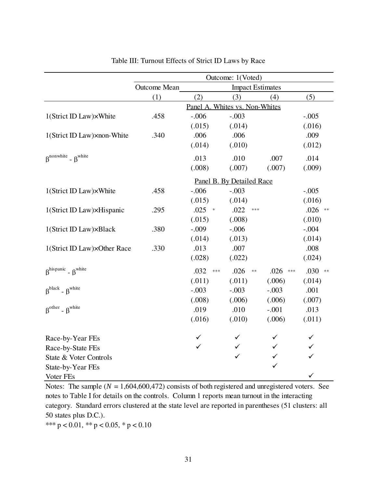<span id="page-32-0"></span>

|                                                        | Outcome: 1(Voted)                       |         |               |                           |            |               |                    |
|--------------------------------------------------------|-----------------------------------------|---------|---------------|---------------------------|------------|---------------|--------------------|
|                                                        | Outcome Mean<br><b>Impact Estimates</b> |         |               |                           |            |               |                    |
|                                                        | (1)                                     | (2)     |               | (3)                       |            | (4)           | (5)                |
|                                                        | Panel A. Whites vs. Non-Whites          |         |               |                           |            |               |                    |
| 1(Strict ID Law)×White                                 | .458                                    | $-.006$ |               | $-.003$                   |            |               | $-.005$            |
|                                                        |                                         | (.015)  |               | (.014)                    |            |               | (.016)             |
| 1(Strict ID Law)×non-White                             | .340                                    | .006    |               | .006                      |            |               | .009               |
|                                                        |                                         | (.014)  |               | (.010)                    |            |               | (.012)             |
| $\beta$ <sup>nonwhite</sup> - $\beta$ <sup>white</sup> |                                         | .013    |               | .010                      |            | .007          | .014               |
|                                                        |                                         | (.008)  |               | (.007)                    |            | (.007)        | (.009)             |
|                                                        |                                         |         |               | Panel B. By Detailed Race |            |               |                    |
| 1(Strict ID Law)×White                                 | .458                                    | $-.006$ |               | $-.003$                   |            |               | $-.005$            |
|                                                        |                                         | (.015)  |               | (.014)                    |            |               | (.016)             |
| 1(Strict ID Law)×Hispanic                              | .295                                    | .025    | $\Rightarrow$ | .022                      | ***        |               | .026<br>$\ast\ast$ |
|                                                        |                                         | (.015)  |               | (.008)                    |            |               | (.010)             |
| 1(Strict ID Law)×Black                                 | .380                                    | $-.009$ |               | $-.006$                   |            |               | $-.004$            |
|                                                        |                                         | (.014)  |               | (.013)                    |            |               | (.014)             |
| 1(Strict ID Law)×Other Race                            | .330                                    | .013    |               | .007                      |            |               | .008               |
|                                                        |                                         | (.028)  |               | (.022)                    |            |               | (.024)             |
| $\beta^{hispanic}$ - $\beta^{white}$                   |                                         | .032    | ***           | .026                      | $\ast\ast$ | .026<br>$***$ | .030<br>$\ast\ast$ |
|                                                        |                                         | (.011)  |               | (.011)                    |            | (.006)        | (.014)             |
| $\beta^{black}$ - $\beta^{white}$                      |                                         | $-.003$ |               | $-.003$                   |            | $-.003$       | .001               |
|                                                        |                                         | (.008)  |               | (.006)                    |            | (.006)        | (.007)             |
| $\beta^{\text{other}}$ - $\beta^{\text{white}}$        |                                         | .019    |               | .010                      |            | $-.001$       | .013               |
|                                                        |                                         | (.016)  |               | (.010)                    |            | (.006)        | (.011)             |
| Race-by-Year FEs                                       |                                         | ✓       |               |                           |            | ✓             | ✓                  |
| Race-by-State FEs                                      |                                         | ✓       |               | ✓                         |            | ✓             | ✓                  |
| State & Voter Controls                                 |                                         |         |               | $\checkmark$              |            | ✓             | $\checkmark$       |
|                                                        |                                         |         |               |                           |            |               |                    |
|                                                        |                                         |         |               |                           |            |               | ✓                  |
| State-by-Year FEs<br>Voter FEs                         |                                         |         |               |                           |            | $\checkmark$  |                    |

Table III: Turnout Effects of Strict ID Laws by Race

Notes: The sample  $(N = 1,604,600,472)$  consists of both registered and unregistered voters. See notes to Table I for details on the controls. Column 1 reports mean turnout in the interacting category. Standard errors clustered at the state level are reported in parentheses (51 clusters: all 50 states plus D.C.).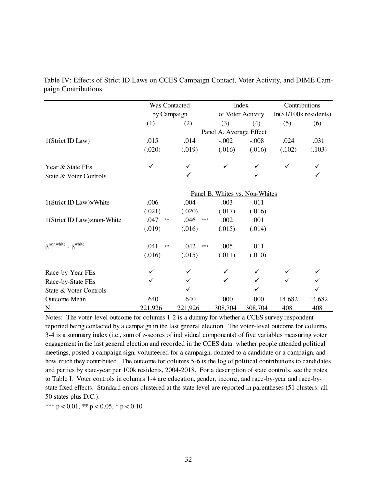|                                                        | Was Contacted         |                                | Index                   |         | Contributions           |        |  |  |
|--------------------------------------------------------|-----------------------|--------------------------------|-------------------------|---------|-------------------------|--------|--|--|
|                                                        |                       | by Campaign                    |                         |         | $ln($1/100k$ residents) |        |  |  |
|                                                        | (1)                   | (2)                            | (3)                     | (4)     | (5)                     | (6)    |  |  |
|                                                        |                       |                                | Panel A. Average Effect |         |                         |        |  |  |
| 1(Strict ID Law)                                       | .015                  | .014                           | $-.002$                 | $-.008$ | .024                    | .031   |  |  |
|                                                        | (.020)                | (.019)                         | (.016)                  | (.016)  | (.102)                  | (.103) |  |  |
| Year & State FEs                                       | ✓                     |                                | ✓                       |         | ✓                       |        |  |  |
| State & Voter Controls                                 |                       | ✓                              |                         |         |                         | ✓      |  |  |
|                                                        |                       | Panel B. Whites vs. Non-Whites |                         |         |                         |        |  |  |
| 1(Strict ID Law)×White                                 | .006                  | .004                           | $-.003$                 | $-.011$ |                         |        |  |  |
|                                                        | (.021)                | (.020)                         | (.017)                  | (.016)  |                         |        |  |  |
| 1(Strict ID Law)×non-White                             | .047<br>$\ast$        | .046<br>***                    | .002                    | .001    |                         |        |  |  |
|                                                        | (.019)                | (.016)                         | (.015)                  | (.014)  |                         |        |  |  |
| $\beta$ <sup>nonwhite</sup> - $\beta$ <sup>white</sup> | .041<br>$\ast$ $\ast$ | .042<br>$\ast\ast\ast$         | .005                    | .011    |                         |        |  |  |
|                                                        | (.016)                | (.015)                         | (.011)                  | (.010)  |                         |        |  |  |
| Race-by-Year FEs                                       |                       |                                | $\checkmark$            |         |                         |        |  |  |
| Race-by-State FEs                                      |                       |                                | $\checkmark$            | ✓       | ✓                       |        |  |  |
| State & Voter Controls                                 |                       |                                |                         |         |                         |        |  |  |
| Outcome Mean                                           | .640                  | .640                           | .000                    | .000    | 14.682                  | 14.682 |  |  |
| N                                                      | 221,926               | 221,926                        | 308,704                 | 308,704 | 408                     | 408    |  |  |

<span id="page-33-0"></span>Table IV: Effects of Strict ID Laws on CCES Campaign Contact, Voter Activity, and DIME Campaign Contributions

Notes: The voter-level outcome for columns 1-2 is a dummy for whether a CCES survey respondent reported being contacted by a campaign in the last general election. The voter-level outcome for columns 3-4 is a summary index (i.e., sum of z-scores of individual components) of five variables measuring voter engagement in the last general election and recorded in the CCES data: whether people attended political meetings, posted a campaign sign, volunteered for a campaign, donated to a candidate or a campaign, and how much they contributed. The outcome for columns 5-6 is the log of political contributions to candidates and parties by state-year per 100k residents, 2004-2018. For a description of state controls, see the notes to Table I. Voter controls in columns 1-4 are education, gender, income, and race-by-year and race-bystate fixed effects. Standard errors clustered at the state level are reported in parentheses (51 clusters: all 50 states plus D.C.).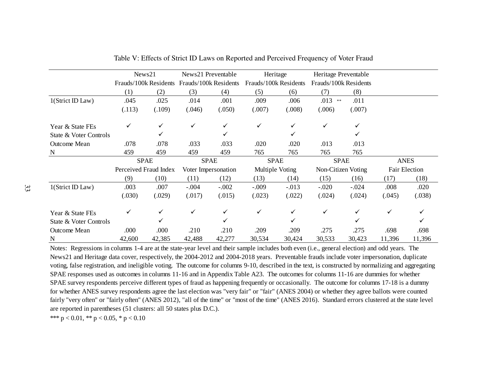|                        | News21                |        | News21 Preventable                          |         | Heritage              |         | Heritage Preventable  |         |               |        |
|------------------------|-----------------------|--------|---------------------------------------------|---------|-----------------------|---------|-----------------------|---------|---------------|--------|
|                        |                       |        | Frauds/100k Residents Frauds/100k Residents |         | Frauds/100k Residents |         | Frauds/100k Residents |         |               |        |
|                        | (1)                   | (2)    | (3)                                         | (4)     | (5)                   | (6)     | (7)                   | (8)     |               |        |
| 1(Strict ID Law)       | .045                  | .025   | .014                                        | .001    | .009                  | .006    | $.013$ **             | .011    |               |        |
|                        | (.113)                | (.109) | (.046)                                      | (.050)  | (.007)                | (.008)  | (.006)                | (.007)  |               |        |
| Year & State FEs       |                       |        |                                             |         | ✓                     |         |                       |         |               |        |
| State & Voter Controls |                       | ✓      |                                             |         |                       |         |                       |         |               |        |
| Outcome Mean           | .078                  | .078   | .033                                        | .033    | .020                  | .020    | .013                  | .013    |               |        |
| N                      | 459                   | 459    | 459                                         | 459     | 765                   | 765     | 765                   | 765     |               |        |
|                        | <b>SPAE</b>           |        | <b>SPAE</b>                                 |         | <b>SPAE</b>           |         | <b>SPAE</b>           |         | <b>ANES</b>   |        |
|                        | Perceived Fraud Index |        | Voter Impersonation                         |         | Multiple Voting       |         | Non-Citizen Voting    |         | Fair Election |        |
|                        | (9)                   | (10)   | (11)                                        | (12)    | (13)                  | (14)    | (15)                  | (16)    | (17)          | (18)   |
| 1(Strict ID Law)       | .003                  | .007   | $-.004$                                     | $-.002$ | $-.009$               | $-.013$ | $-.020$               | $-.024$ | .008          | .020   |
|                        | (.030)                | (.029) | (.017)                                      | (.015)  | (.023)                | (.022)  | (.024)                | (.024)  | (.045)        | (.038) |
| Year & State FEs       |                       |        |                                             |         | ✓                     |         | ✓                     |         |               |        |
| State & Voter Controls |                       |        |                                             |         |                       |         |                       |         |               |        |
| Outcome Mean           | .000                  | .000   | .210                                        | .210    | .209                  | .209    | .275                  | .275    | .698          | .698   |
| N                      | 42,600                | 42,385 | 42,488                                      | 42,277  | 30,534                | 30,424  | 30,533                | 30,423  | 11,396        | 11,396 |

<span id="page-34-0"></span>Table V: Effects of Strict ID Laws on Reported and Perceived Frequency of Voter Fraud

Notes: Regressions in columns 1-4 are at the state-year level and their sample includes both even (i.e., general election) and odd years. The News21 and Heritage data cover, respectively, the 2004-2012 and 2004-2018 years. Preventable frauds include voter impersonation, duplicate voting, false registration, and ineligible voting. The outcome for columns 9-10, described in the text, is constructed by normalizing and aggregating SPAE responses used as outcomes in columns 11-16 and in Appendix Table A23. The outcomes for columns 11-16 are dummies for whether SPAE survey respondents perceive different types of fraud as happening frequently or occasionally. The outcome for columns 17-18 is a dummy for whether ANES survey respondents agree the last election was "very fair" or "fair" (ANES 2004) or whether they agree ballots were counted fairly "very often" or "fairly often" (ANES 2012), "all of the time" or "most of the time" (ANES 2016). Standard errors clustered at the state level are reported in parentheses (51 clusters: all 50 states plus D.C.).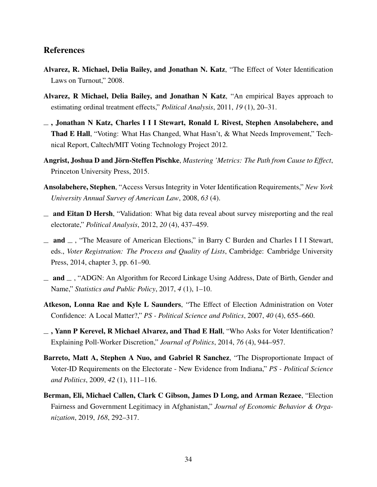# References

- <span id="page-35-3"></span>Alvarez, R. Michael, Delia Bailey, and Jonathan N. Katz, "The Effect of Voter Identification Laws on Turnout," 2008.
- <span id="page-35-4"></span>Alvarez, R Michael, Delia Bailey, and Jonathan N Katz, "An empirical Bayes approach to estimating ordinal treatment effects," *Political Analysis*, 2011, *19* (1), 20–31.
- <span id="page-35-10"></span>, Jonathan N Katz, Charles I I I Stewart, Ronald L Rivest, Stephen Ansolabehere, and Thad E Hall, "Voting: What Has Changed, What Hasn't, & What Needs Improvement," Technical Report, Caltech/MIT Voting Technology Project 2012.
- <span id="page-35-9"></span>Angrist, Joshua D and Jörn-Steffen Pischke, *Mastering 'Metrics: The Path from Cause to Effect*, Princeton University Press, 2015.
- <span id="page-35-8"></span>Ansolabehere, Stephen, "Access Versus Integrity in Voter Identification Requirements," *New York University Annual Survey of American Law*, 2008, *63* (4).
- <span id="page-35-5"></span> $\equiv$  and Eitan D Hersh, "Validation: What big data reveal about survey misreporting and the real electorate," *Political Analysis*, 2012, *20* (4), 437–459.
- $\equiv$  and  $\equiv$ , "The Measure of American Elections," in Barry C Burden and Charles I I I Stewart, eds., *Voter Registration: The Process and Quality of Lists*, Cambridge: Cambridge University Press, 2014, chapter 3, pp. 61–90.
- <span id="page-35-2"></span> $\Box$  and  $\Box$ , "ADGN: An Algorithm for Record Linkage Using Address, Date of Birth, Gender and Name," *Statistics and Public Policy*, 2017, *4* (1), 1–10.
- <span id="page-35-6"></span>Atkeson, Lonna Rae and Kyle L Saunders, "The Effect of Election Administration on Voter Confidence: A Local Matter?," *PS - Political Science and Politics*, 2007, *40* (4), 655–660.
- <span id="page-35-7"></span>, Yann P Kerevel, R Michael Alvarez, and Thad E Hall, "Who Asks for Voter Identification? Explaining Poll-Worker Discretion," *Journal of Politics*, 2014, *76* (4), 944–957.
- <span id="page-35-1"></span>Barreto, Matt A, Stephen A Nuo, and Gabriel R Sanchez, "The Disproportionate Impact of Voter-ID Requirements on the Electorate - New Evidence from Indiana," *PS - Political Science and Politics*, 2009, *42* (1), 111–116.
- <span id="page-35-0"></span>Berman, Eli, Michael Callen, Clark C Gibson, James D Long, and Arman Rezaee, "Election Fairness and Government Legitimacy in Afghanistan," *Journal of Economic Behavior & Organization*, 2019, *168*, 292–317.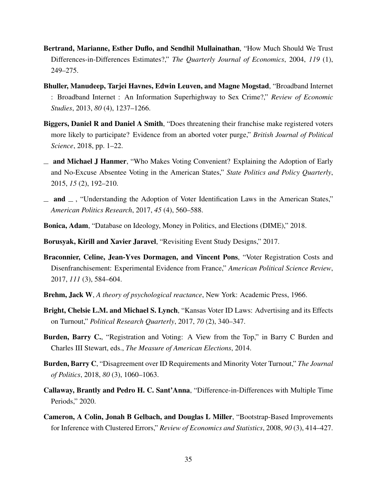- Bertrand, Marianne, Esther Duflo, and Sendhil Mullainathan, "How Much Should We Trust Differences-in-Differences Estimates?," *The Quarterly Journal of Economics*, 2004, *119* (1), 249–275.
- Bhuller, Manudeep, Tarjei Havnes, Edwin Leuven, and Magne Mogstad, "Broadband Internet : Broadband Internet : An Information Superhighway to Sex Crime?," *Review of Economic Studies*, 2013, *80* (4), 1237–1266.
- Biggers, Daniel R and Daniel A Smith, "Does threatening their franchise make registered voters more likely to participate? Evidence from an aborted voter purge," *British Journal of Political Science*, 2018, pp. 1–22.
- and Michael J Hanmer, "Who Makes Voting Convenient? Explaining the Adoption of Early and No-Excuse Absentee Voting in the American States," *State Politics and Policy Quarterly*, 2015, *15* (2), 192–210.
- $\Box$  and  $\Box$ , "Understanding the Adoption of Voter Identification Laws in the American States," *American Politics Research*, 2017, *45* (4), 560–588.
- Bonica, Adam, "Database on Ideology, Money in Politics, and Elections (DIME)," 2018.
- Borusyak, Kirill and Xavier Jaravel, "Revisiting Event Study Designs," 2017.
- Braconnier, Celine, Jean-Yves Dormagen, and Vincent Pons, "Voter Registration Costs and Disenfranchisement: Experimental Evidence from France," *American Political Science Review*, 2017, *111* (3), 584–604.
- Brehm, Jack W, *A theory of psychological reactance*, New York: Academic Press, 1966.
- Bright, Chelsie L.M. and Michael S. Lynch, "Kansas Voter ID Laws: Advertising and its Effects on Turnout," *Political Research Quarterly*, 2017, *70* (2), 340–347.
- Burden, Barry C., "Registration and Voting: A View from the Top," in Barry C Burden and Charles III Stewart, eds., *The Measure of American Elections*, 2014.
- Burden, Barry C, "Disagreement over ID Requirements and Minority Voter Turnout," *The Journal of Politics*, 2018, *80* (3), 1060–1063.
- Callaway, Brantly and Pedro H. C. Sant'Anna, "Difference-in-Differences with Multiple Time Periods," 2020.
- Cameron, A Colin, Jonah B Gelbach, and Douglas L Miller, "Bootstrap-Based Improvements for Inference with Clustered Errors," *Review of Economics and Statistics*, 2008, *90* (3), 414–427.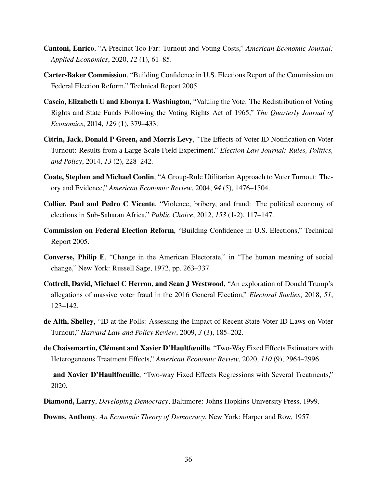- Cantoni, Enrico, "A Precinct Too Far: Turnout and Voting Costs," *American Economic Journal: Applied Economics*, 2020, *12* (1), 61–85.
- Carter-Baker Commission, "Building Confidence in U.S. Elections Report of the Commission on Federal Election Reform," Technical Report 2005.
- Cascio, Elizabeth U and Ebonya L Washington, "Valuing the Vote: The Redistribution of Voting Rights and State Funds Following the Voting Rights Act of 1965," *The Quarterly Journal of Economics*, 2014, *129* (1), 379–433.
- Citrin, Jack, Donald P Green, and Morris Levy, "The Effects of Voter ID Notification on Voter Turnout: Results from a Large-Scale Field Experiment," *Election Law Journal: Rules, Politics, and Policy*, 2014, *13* (2), 228–242.
- Coate, Stephen and Michael Conlin, "A Group-Rule Utilitarian Approach to Voter Turnout: Theory and Evidence," *American Economic Review*, 2004, *94* (5), 1476–1504.
- Collier, Paul and Pedro C Vicente, "Violence, bribery, and fraud: The political economy of elections in Sub-Saharan Africa," *Public Choice*, 2012, *153* (1-2), 117–147.
- Commission on Federal Election Reform, "Building Confidence in U.S. Elections," Technical Report 2005.
- Converse, Philip E, "Change in the American Electorate," in "The human meaning of social change," New York: Russell Sage, 1972, pp. 263–337.
- Cottrell, David, Michael C Herron, and Sean J Westwood, "An exploration of Donald Trump's allegations of massive voter fraud in the 2016 General Election," *Electoral Studies*, 2018, *51*, 123–142.
- de Alth, Shelley, "ID at the Polls: Assessing the Impact of Recent State Voter ID Laws on Voter Turnout," *Harvard Law and Policy Review*, 2009, *3* (3), 185–202.
- de Chaisemartin, Clément and Xavier D'Haultfœuille, "Two-Way Fixed Effects Estimators with Heterogeneous Treatment Effects," *American Economic Review*, 2020, *110* (9), 2964–2996.
- and Xavier D'Haultfoeuille, "Two-way Fixed Effects Regressions with Several Treatments," 2020.
- Diamond, Larry, *Developing Democracy*, Baltimore: Johns Hopkins University Press, 1999.

Downs, Anthony, *An Economic Theory of Democracy*, New York: Harper and Row, 1957.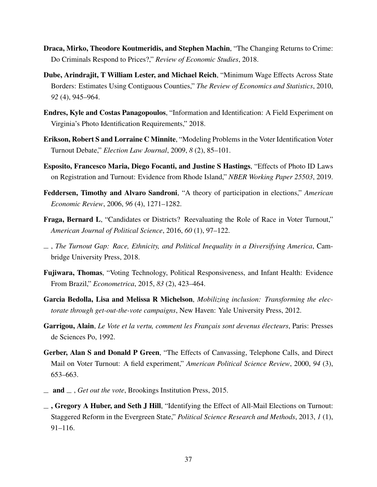- Draca, Mirko, Theodore Koutmeridis, and Stephen Machin, "The Changing Returns to Crime: Do Criminals Respond to Prices?," *Review of Economic Studies*, 2018.
- Dube, Arindrajit, T William Lester, and Michael Reich, "Minimum Wage Effects Across State Borders: Estimates Using Contiguous Counties," *The Review of Economics and Statistics*, 2010, *92* (4), 945–964.
- Endres, Kyle and Costas Panagopoulos, "Information and Identification: A Field Experiment on Virginia's Photo Identification Requirements," 2018.
- Erikson, Robert S and Lorraine C Minnite, "Modeling Problems in the Voter Identification Voter Turnout Debate," *Election Law Journal*, 2009, *8* (2), 85–101.
- Esposito, Francesco Maria, Diego Focanti, and Justine S Hastings, "Effects of Photo ID Laws on Registration and Turnout: Evidence from Rhode Island," *NBER Working Paper 25503*, 2019.
- Feddersen, Timothy and Alvaro Sandroni, "A theory of participation in elections," *American Economic Review*, 2006, *96* (4), 1271–1282.
- Fraga, Bernard L, "Candidates or Districts? Reevaluating the Role of Race in Voter Turnout," *American Journal of Political Science*, 2016, *60* (1), 97–122.
- , *The Turnout Gap: Race, Ethnicity, and Political Inequality in a Diversifying America*, Cambridge University Press, 2018.
- Fujiwara, Thomas, "Voting Technology, Political Responsiveness, and Infant Health: Evidence From Brazil," *Econometrica*, 2015, *83* (2), 423–464.
- Garcia Bedolla, Lisa and Melissa R Michelson, *Mobilizing inclusion: Transforming the electorate through get-out-the-vote campaigns*, New Haven: Yale University Press, 2012.
- Garrigou, Alain, *Le Vote et la vertu, comment les Français sont devenus électeurs*, Paris: Presses de Sciences Po, 1992.
- Gerber, Alan S and Donald P Green, "The Effects of Canvassing, Telephone Calls, and Direct Mail on Voter Turnout: A field experiment," *American Political Science Review*, 2000, *94* (3), 653–663.
- and , *Get out the vote*, Brookings Institution Press, 2015.
- $\overline{\phantom{a}}$ , Gregory A Huber, and Seth J Hill, "Identifying the Effect of All-Mail Elections on Turnout: Staggered Reform in the Evergreen State," *Political Science Research and Methods*, 2013, *1* (1), 91–116.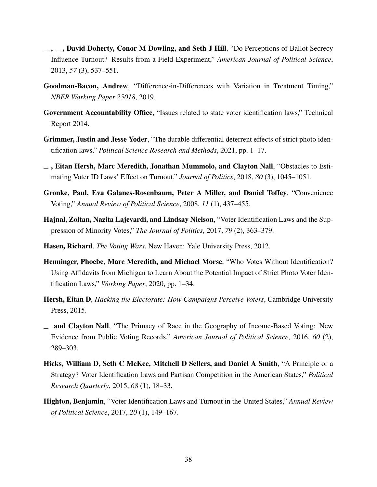- $\ldots$ , David Doherty, Conor M Dowling, and Seth J Hill, "Do Perceptions of Ballot Secrecy" Influence Turnout? Results from a Field Experiment," *American Journal of Political Science*, 2013, *57* (3), 537–551.
- Goodman-Bacon, Andrew, "Difference-in-Differences with Variation in Treatment Timing," *NBER Working Paper 25018*, 2019.
- Government Accountability Office, "Issues related to state voter identification laws," Technical Report 2014.
- Grimmer, Justin and Jesse Yoder, "The durable differential deterrent effects of strict photo identification laws," *Political Science Research and Methods*, 2021, pp. 1–17.
- $\overline{\phantom{a}}$ , Eitan Hersh, Marc Meredith, Jonathan Mummolo, and Clayton Nall, "Obstacles to Estimating Voter ID Laws' Effect on Turnout," *Journal of Politics*, 2018, *80* (3), 1045–1051.
- Gronke, Paul, Eva Galanes-Rosenbaum, Peter A Miller, and Daniel Toffey, "Convenience Voting," *Annual Review of Political Science*, 2008, *11* (1), 437–455.
- Hajnal, Zoltan, Nazita Lajevardi, and Lindsay Nielson, "Voter Identification Laws and the Suppression of Minority Votes," *The Journal of Politics*, 2017, *79* (2), 363–379.
- Hasen, Richard, *The Voting Wars*, New Haven: Yale University Press, 2012.
- Henninger, Phoebe, Marc Meredith, and Michael Morse, "Who Votes Without Identification? Using Affidavits from Michigan to Learn About the Potential Impact of Strict Photo Voter Identification Laws," *Working Paper*, 2020, pp. 1–34.
- Hersh, Eitan D, *Hacking the Electorate: How Campaigns Perceive Voters*, Cambridge University Press, 2015.
- and Clayton Nall, "The Primacy of Race in the Geography of Income-Based Voting: New Evidence from Public Voting Records," *American Journal of Political Science*, 2016, *60* (2), 289–303.
- Hicks, William D, Seth C McKee, Mitchell D Sellers, and Daniel A Smith, "A Principle or a Strategy? Voter Identification Laws and Partisan Competition in the American States," *Political Research Quarterly*, 2015, *68* (1), 18–33.
- Highton, Benjamin, "Voter Identification Laws and Turnout in the United States," *Annual Review of Political Science*, 2017, *20* (1), 149–167.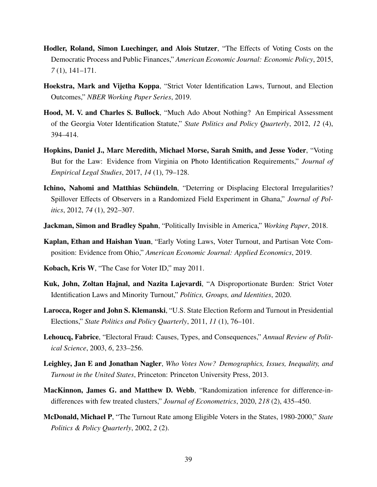- Hodler, Roland, Simon Luechinger, and Alois Stutzer, "The Effects of Voting Costs on the Democratic Process and Public Finances," *American Economic Journal: Economic Policy*, 2015, *7* (1), 141–171.
- Hoekstra, Mark and Vijetha Koppa, "Strict Voter Identification Laws, Turnout, and Election Outcomes," *NBER Working Paper Series*, 2019.
- Hood, M. V. and Charles S. Bullock, "Much Ado About Nothing? An Empirical Assessment of the Georgia Voter Identification Statute," *State Politics and Policy Quarterly*, 2012, *12* (4), 394–414.
- Hopkins, Daniel J., Marc Meredith, Michael Morse, Sarah Smith, and Jesse Yoder, "Voting But for the Law: Evidence from Virginia on Photo Identification Requirements," *Journal of Empirical Legal Studies*, 2017, *14* (1), 79–128.
- Ichino, Nahomi and Matthias Schündeln, "Deterring or Displacing Electoral Irregularities? Spillover Effects of Observers in a Randomized Field Experiment in Ghana," *Journal of Politics*, 2012, *74* (1), 292–307.
- Jackman, Simon and Bradley Spahn, "Politically Invisible in America," *Working Paper*, 2018.
- Kaplan, Ethan and Haishan Yuan, "Early Voting Laws, Voter Turnout, and Partisan Vote Composition: Evidence from Ohio," *American Economic Journal: Applied Economics*, 2019.
- Kobach, Kris W, "The Case for Voter ID," may 2011.
- Kuk, John, Zoltan Hajnal, and Nazita Lajevardi, "A Disproportionate Burden: Strict Voter Identification Laws and Minority Turnout," *Politics, Groups, and Identities*, 2020.
- Larocca, Roger and John S. Klemanski, "U.S. State Election Reform and Turnout in Presidential Elections," *State Politics and Policy Quarterly*, 2011, *11* (1), 76–101.
- Lehoucq, Fabrice, "Electoral Fraud: Causes, Types, and Consequences," *Annual Review of Political Science*, 2003, *6*, 233–256.
- Leighley, Jan E and Jonathan Nagler, *Who Votes Now? Demographics, Issues, Inequality, and Turnout in the United States*, Princeton: Princeton University Press, 2013.
- MacKinnon, James G. and Matthew D. Webb, "Randomization inference for difference-indifferences with few treated clusters," *Journal of Econometrics*, 2020, *218* (2), 435–450.
- McDonald, Michael P, "The Turnout Rate among Eligible Voters in the States, 1980-2000," *State Politics & Policy Quarterly*, 2002, *2* (2).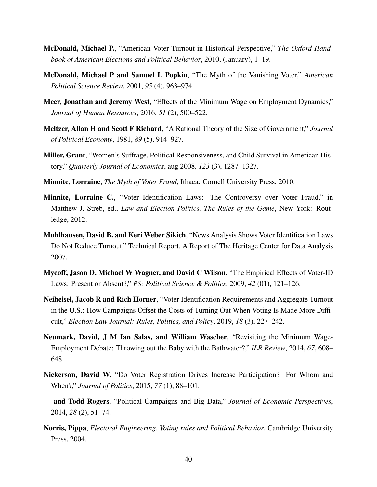- McDonald, Michael P., "American Voter Turnout in Historical Perspective," *The Oxford Handbook of American Elections and Political Behavior*, 2010, (January), 1–19.
- McDonald, Michael P and Samuel L Popkin, "The Myth of the Vanishing Voter," *American Political Science Review*, 2001, *95* (4), 963–974.
- Meer, Jonathan and Jeremy West, "Effects of the Minimum Wage on Employment Dynamics," *Journal of Human Resources*, 2016, *51* (2), 500–522.
- Meltzer, Allan H and Scott F Richard, "A Rational Theory of the Size of Government," *Journal of Political Economy*, 1981, *89* (5), 914–927.
- Miller, Grant, "Women's Suffrage, Political Responsiveness, and Child Survival in American History," *Quarterly Journal of Economics*, aug 2008, *123* (3), 1287–1327.
- Minnite, Lorraine, *The Myth of Voter Fraud*, Ithaca: Cornell University Press, 2010.
- Minnite, Lorraine C., "Voter Identification Laws: The Controversy over Voter Fraud," in Matthew J. Streb, ed., *Law and Election Politics. The Rules of the Game*, New York: Routledge, 2012.
- Muhlhausen, David B. and Keri Weber Sikich, "News Analysis Shows Voter Identification Laws Do Not Reduce Turnout," Technical Report, A Report of The Heritage Center for Data Analysis 2007.
- Mycoff, Jason D, Michael W Wagner, and David C Wilson, "The Empirical Effects of Voter-ID Laws: Present or Absent?," *PS: Political Science & Politics*, 2009, *42* (01), 121–126.
- Neiheisel, Jacob R and Rich Horner, "Voter Identification Requirements and Aggregate Turnout in the U.S.: How Campaigns Offset the Costs of Turning Out When Voting Is Made More Difficult," *Election Law Journal: Rules, Politics, and Policy*, 2019, *18* (3), 227–242.
- Neumark, David, J M Ian Salas, and William Wascher, "Revisiting the Minimum Wage-Employment Debate: Throwing out the Baby with the Bathwater?," *ILR Review*, 2014, *67*, 608– 648.
- Nickerson, David W, "Do Voter Registration Drives Increase Participation? For Whom and When?," *Journal of Politics*, 2015, *77* (1), 88–101.
- and Todd Rogers, "Political Campaigns and Big Data," *Journal of Economic Perspectives*, 2014, *28* (2), 51–74.
- Norris, Pippa, *Electoral Engineering. Voting rules and Political Behavior*, Cambridge University Press, 2004.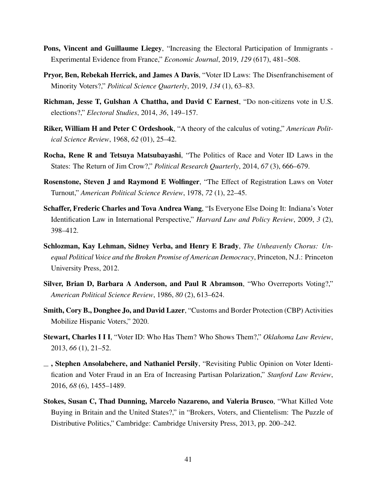- Pons, Vincent and Guillaume Liegey, "Increasing the Electoral Participation of Immigrants Experimental Evidence from France," *Economic Journal*, 2019, *129* (617), 481–508.
- Pryor, Ben, Rebekah Herrick, and James A Davis, "Voter ID Laws: The Disenfranchisement of Minority Voters?," *Political Science Quarterly*, 2019, *134* (1), 63–83.
- Richman, Jesse T, Gulshan A Chattha, and David C Earnest, "Do non-citizens vote in U.S. elections?," *Electoral Studies*, 2014, *36*, 149–157.
- Riker, William H and Peter C Ordeshook, "A theory of the calculus of voting," *American Political Science Review*, 1968, *62* (01), 25–42.
- Rocha, Rene R and Tetsuya Matsubayashi, "The Politics of Race and Voter ID Laws in the States: The Return of Jim Crow?," *Political Research Quarterly*, 2014, *67* (3), 666–679.
- Rosenstone, Steven J and Raymond E Wolfinger, "The Effect of Registration Laws on Voter Turnout," *American Political Science Review*, 1978, *72* (1), 22–45.
- Schaffer, Frederic Charles and Tova Andrea Wang, "Is Everyone Else Doing It: Indiana's Voter Identification Law in International Perspective," *Harvard Law and Policy Review*, 2009, *3* (2), 398–412.
- Schlozman, Kay Lehman, Sidney Verba, and Henry E Brady, *The Unheavenly Chorus: Unequal Political Voice and the Broken Promise of American Democracy*, Princeton, N.J.: Princeton University Press, 2012.
- Silver, Brian D, Barbara A Anderson, and Paul R Abramson, "Who Overreports Voting?," *American Political Science Review*, 1986, *80* (2), 613–624.
- Smith, Cory B., Donghee Jo, and David Lazer, "Customs and Border Protection (CBP) Activities Mobilize Hispanic Voters," 2020.
- Stewart, Charles I I I, "Voter ID: Who Has Them? Who Shows Them?," *Oklahoma Law Review*, 2013, *66* (1), 21–52.
- $\Box$ , Stephen Ansolabehere, and Nathaniel Persily, "Revisiting Public Opinion on Voter Identification and Voter Fraud in an Era of Increasing Partisan Polarization," *Stanford Law Review*, 2016, *68* (6), 1455–1489.
- Stokes, Susan C, Thad Dunning, Marcelo Nazareno, and Valeria Brusco, "What Killed Vote Buying in Britain and the United States?," in "Brokers, Voters, and Clientelism: The Puzzle of Distributive Politics," Cambridge: Cambridge University Press, 2013, pp. 200–242.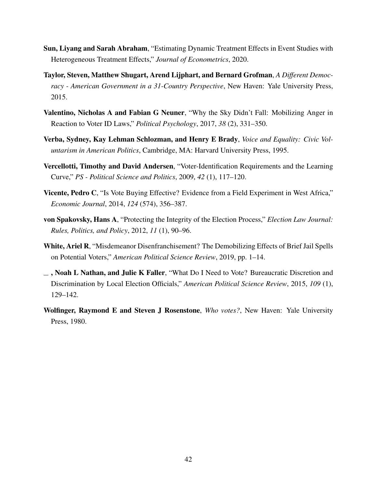- Sun, Liyang and Sarah Abraham, "Estimating Dynamic Treatment Effects in Event Studies with Heterogeneous Treatment Effects," *Journal of Econometrics*, 2020.
- Taylor, Steven, Matthew Shugart, Arend Lijphart, and Bernard Grofman, *A Different Democracy - American Government in a 31-Country Perspective*, New Haven: Yale University Press, 2015.
- Valentino, Nicholas A and Fabian G Neuner, "Why the Sky Didn't Fall: Mobilizing Anger in Reaction to Voter ID Laws," *Political Psychology*, 2017, *38* (2), 331–350.
- Verba, Sydney, Kay Lehman Schlozman, and Henry E Brady, *Voice and Equality: Civic Voluntarism in American Politics*, Cambridge, MA: Harvard University Press, 1995.
- Vercellotti, Timothy and David Andersen, "Voter-Identification Requirements and the Learning Curve," *PS - Political Science and Politics*, 2009, *42* (1), 117–120.
- Vicente, Pedro C, "Is Vote Buying Effective? Evidence from a Field Experiment in West Africa," *Economic Journal*, 2014, *124* (574), 356–387.
- von Spakovsky, Hans A, "Protecting the Integrity of the Election Process," *Election Law Journal: Rules, Politics, and Policy*, 2012, *11* (1), 90–96.
- White, Ariel R, "Misdemeanor Disenfranchisement? The Demobilizing Effects of Brief Jail Spells on Potential Voters," *American Political Science Review*, 2019, pp. 1–14.
- $\overline{\phantom{a}}$ , Noah L Nathan, and Julie K Faller, "What Do I Need to Vote? Bureaucratic Discretion and Discrimination by Local Election Officials," *American Political Science Review*, 2015, *109* (1), 129–142.
- Wolfinger, Raymond E and Steven J Rosenstone, *Who votes?*, New Haven: Yale University Press, 1980.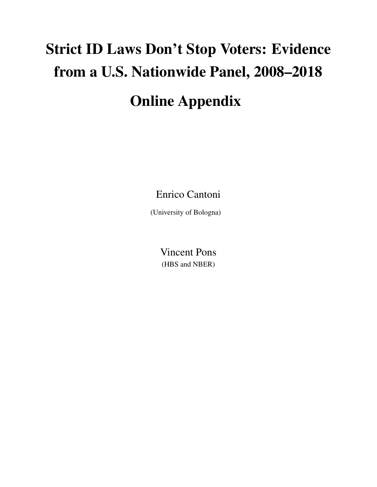# Strict ID Laws Don't Stop Voters: Evidence from a U.S. Nationwide Panel, 2008–2018 Online Appendix

Enrico Cantoni

(University of Bologna)

Vincent Pons (HBS and NBER)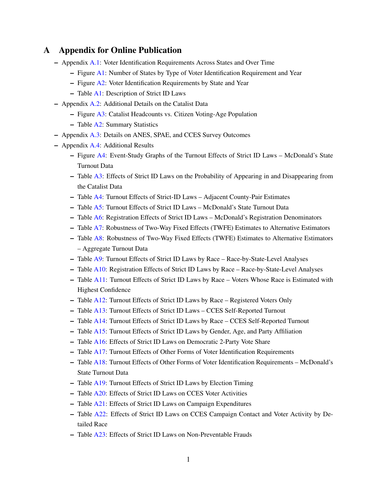# A Appendix for Online Publication

- Appendix [A.1:](#page-47-0) Voter Identification Requirements Across States and Over Time
	- Figure [A1:](#page-47-1) Number of States by Type of Voter Identification Requirement and Year
	- Figure [A2:](#page-48-0) Voter Identification Requirements by State and Year
	- Table [A1:](#page-49-0) Description of Strict ID Laws
- Appendix [A.2:](#page-51-0) Additional Details on the Catalist Data
	- Figure [A3:](#page-52-0) Catalist Headcounts vs. Citizen Voting-Age Population
	- Table [A2:](#page-53-0) Summary Statistics
- Appendix [A.3:](#page-51-1) Details on ANES, SPAE, and CCES Survey Outcomes
- Appendix [A.4:](#page-55-0) Additional Results
	- Figure [A4:](#page-55-1) Event-Study Graphs of the Turnout Effects of Strict ID Laws McDonald's State Turnout Data
	- Table [A3:](#page-56-0) Effects of Strict ID Laws on the Probability of Appearing in and Disappearing from the Catalist Data
	- Table [A4:](#page-57-0) Turnout Effects of Strict-ID Laws Adjacent County-Pair Estimates
	- Table [A5:](#page-58-0) Turnout Effects of Strict ID Laws McDonald's State Turnout Data
	- Table [A6:](#page-59-0) Registration Effects of Strict ID Laws McDonald's Registration Denominators
	- Table [A7:](#page-60-0) Robustness of Two-Way Fixed Effects (TWFE) Estimates to Alternative Estimators
	- Table [A8:](#page-61-0) Robustness of Two-Way Fixed Effects (TWFE) Estimates to Alternative Estimators – Aggregate Turnout Data
	- Table [A9:](#page-62-0) Turnout Effects of Strict ID Laws by Race Race-by-State-Level Analyses
	- Table [A10:](#page-63-0) Registration Effects of Strict ID Laws by Race Race-by-State-Level Analyses
	- Table [A11:](#page-64-0) Turnout Effects of Strict ID Laws by Race Voters Whose Race is Estimated with Highest Confidence
	- Table [A12:](#page-65-0) Turnout Effects of Strict ID Laws by Race Registered Voters Only
	- Table [A13:](#page-66-0) Turnout Effects of Strict ID Laws CCES Self-Reported Turnout
	- Table [A14:](#page-67-0) Turnout Effects of Strict ID Laws by Race CCES Self-Reported Turnout
	- Table [A15:](#page-68-0) Turnout Effects of Strict ID Laws by Gender, Age, and Party Affiliation
	- Table [A16:](#page-69-0) Effects of Strict ID Laws on Democratic 2-Party Vote Share
	- Table [A17:](#page-70-0) Turnout Effects of Other Forms of Voter Identification Requirements
	- Table [A18:](#page-71-0) Turnout Effects of Other Forms of Voter Identification Requirements McDonald's State Turnout Data
	- Table [A19:](#page-72-0) Turnout Effects of Strict ID Laws by Election Timing
	- Table [A20:](#page-73-0) Effects of Strict ID Laws on CCES Voter Activities
	- Table [A21:](#page-74-0) Effects of Strict ID Laws on Campaign Expenditures
	- Table [A22:](#page-75-0) Effects of Strict ID Laws on CCES Campaign Contact and Voter Activity by Detailed Race
	- Table [A23:](#page-76-0) Effects of Strict ID Laws on Non-Preventable Frauds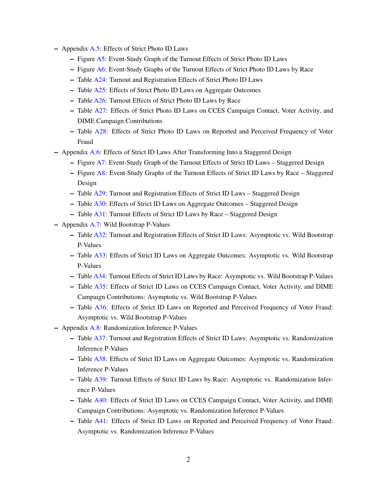- Appendix [A.5:](#page-77-0) Effects of Strict Photo ID Laws
	- Figure [A5:](#page-77-1) Event-Study Graph of the Turnout Effects of Strict Photo ID Laws
	- Figure [A6:](#page-78-0) Event-Study Graphs of the Turnout Effects of Strict Photo ID Laws by Race
	- Table [A24:](#page-79-0) Turnout and Registration Effects of Strict Photo ID Laws
	- Table [A25:](#page-80-0) Effects of Strict Photo ID Laws on Aggregate Outcomes
	- Table [A26:](#page-81-0) Turnout Effects of Strict Photo ID Laws by Race
	- Table [A27:](#page-82-0) Effects of Strict Photo ID Laws on CCES Campaign Contact, Voter Activity, and DIME Campaign Contributions
	- Table [A28:](#page-83-0) Effects of Strict Photo ID Laws on Reported and Perceived Frequency of Voter Fraud
- Appendix [A.6:](#page-84-0) Effects of Strict ID Laws After Transforming Into a Staggered Design
	- Figure [A7:](#page-84-1) Event-Study Graph of the Turnout Effects of Strict ID Laws Staggered Design
	- Figure [A8:](#page-85-0) Event-Study Graphs of the Turnout Effects of Strict ID Laws by Race Staggered Design
	- Table [A29:](#page-86-0) Turnout and Registration Effects of Strict ID Laws Staggered Design
	- Table [A30:](#page-87-0) Effects of Strict ID Laws on Aggregate Outcomes Staggered Design
	- Table [A31:](#page-88-0) Turnout Effects of Strict ID Laws by Race Staggered Design
- Appendix [A.7:](#page-89-0) Wild Bootstrap P-Values
	- Table [A32:](#page-89-1) Turnout and Registration Effects of Strict ID Laws: Asymptotic vs. Wild Bootstrap P-Values
	- Table [A33:](#page-90-0) Effects of Strict ID Laws on Aggregate Outcomes: Asymptotic vs. Wild Bootstrap P-Values
	- Table [A34:](#page-91-0) Turnout Effects of Strict ID Laws by Race: Asymptotic vs. Wild Bootstrap P-Values
	- Table [A35:](#page-92-0) Effects of Strict ID Laws on CCES Campaign Contact, Voter Activity, and DIME Campaign Contributions: Asymptotic vs. Wild Bootstrap P-Values
	- Table [A36:](#page-93-0) Effects of Strict ID Laws on Reported and Perceived Frequency of Voter Fraud: Asymptotic vs. Wild Bootstrap P-Values
- Appendix [A.8:](#page-94-0) Randomization Inference P-Values
	- Table [A37:](#page-94-1) Turnout and Registration Effects of Strict ID Laws: Asymptotic vs. Randomization Inference P-Values
	- Table [A38:](#page-95-0) Effects of Strict ID Laws on Aggregate Outcomes: Asymptotic vs. Randomization Inference P-Values
	- Table [A39:](#page-96-0) Turnout Effects of Strict ID Laws by Race: Asymptotic vs. Randomization Inference P-Values
	- Table [A40:](#page-97-0) Effects of Strict ID Laws on CCES Campaign Contact, Voter Activity, and DIME Campaign Contributions: Asymptotic vs. Randomization Inference P-Values
	- Table [A41:](#page-98-0) Effects of Strict ID Laws on Reported and Perceived Frequency of Voter Fraud: Asymptotic vs. Randomization Inference P-Values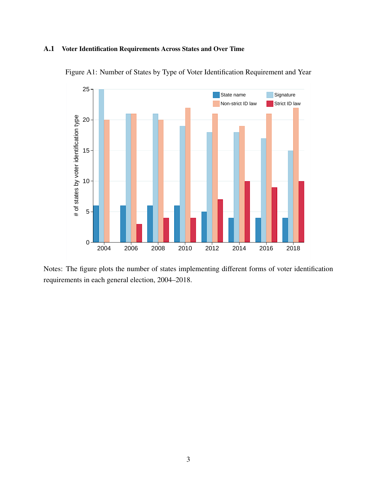## <span id="page-47-1"></span><span id="page-47-0"></span>A.1 Voter Identification Requirements Across States and Over Time



Figure A1: Number of States by Type of Voter Identification Requirement and Year

Notes: The figure plots the number of states implementing different forms of voter identification requirements in each general election, 2004–2018.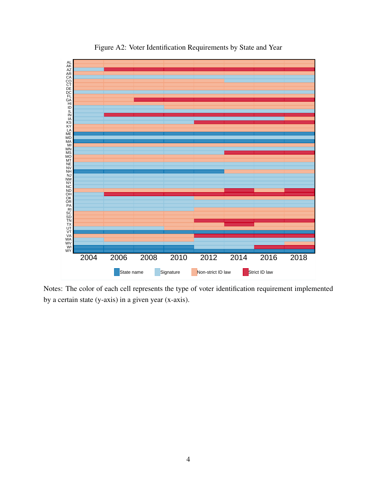<span id="page-48-0"></span>

Figure A2: Voter Identification Requirements by State and Year

Notes: The color of each cell represents the type of voter identification requirement implemented by a certain state (y-axis) in a given year (x-axis).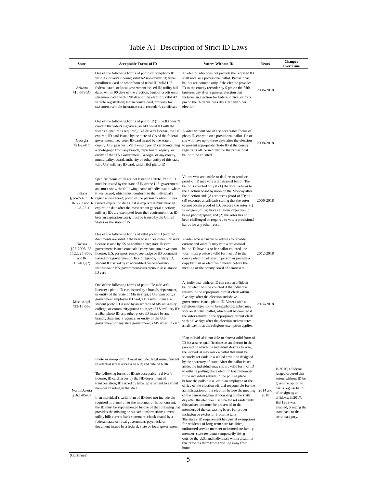<span id="page-49-0"></span>

| <b>State</b>                                       | <b>Acceptable Forms of ID</b>                                                                                                                                                                                                                                                                                                                                                                                                                                                                                                                                                                                                                                                                                                                    | <b>Voters Without ID</b>                                                                                                                                                                                                                                                                                                                                                                                                                                                                                                                                                                                                                                                                                                                                                                                                                                                                                                                                                                                                                                                                                                                                                                                                    | <b>Years</b> | <b>Changes</b><br>Over Time                                                                                                                                                                                                                   |
|----------------------------------------------------|--------------------------------------------------------------------------------------------------------------------------------------------------------------------------------------------------------------------------------------------------------------------------------------------------------------------------------------------------------------------------------------------------------------------------------------------------------------------------------------------------------------------------------------------------------------------------------------------------------------------------------------------------------------------------------------------------------------------------------------------------|-----------------------------------------------------------------------------------------------------------------------------------------------------------------------------------------------------------------------------------------------------------------------------------------------------------------------------------------------------------------------------------------------------------------------------------------------------------------------------------------------------------------------------------------------------------------------------------------------------------------------------------------------------------------------------------------------------------------------------------------------------------------------------------------------------------------------------------------------------------------------------------------------------------------------------------------------------------------------------------------------------------------------------------------------------------------------------------------------------------------------------------------------------------------------------------------------------------------------------|--------------|-----------------------------------------------------------------------------------------------------------------------------------------------------------------------------------------------------------------------------------------------|
| Arizona<br>$$16-579(A)$                            | One of the following forms of photo or non-photo ID:<br>valid AZ driver's license; valid AZ non-driver ID; tribal<br>enrollment card or other form of tribal ID; valid U.S.<br>federal, state, or local government-issued ID; utility bill<br>dated within 90 days of the election; bank or credit union<br>statement dated within 90 days of the election; valid AZ<br>vehicle registration; Indian census card; property tax<br>statement; vehicle insurance card; recorder's certificate                                                                                                                                                                                                                                                      | An elector who does not provide the required ID<br>shall receive a provisional ballot. Provisional<br>ballots are counted only if the elector provides<br>ID to the county recorder by 5 pm on the fifth<br>business day after a general election that<br>includes an election for federal office, or by 5<br>pm on the third business day after any other<br>election.                                                                                                                                                                                                                                                                                                                                                                                                                                                                                                                                                                                                                                                                                                                                                                                                                                                     | 2006-2018    |                                                                                                                                                                                                                                               |
| Georgia<br>$§21 - 2 - 417$                         | One of the following forms of photo ID (if the ID doesn't<br>contain the voter's signature, an additional ID with the<br>voter's signature is required): GA driver's license, even if A voter without one of the acceptable forms of<br>expired; ID card issued by the state of GA of the federal<br>government; free voter ID card issued by the state or<br>county; U.S. passport; Valid employee ID card containing to present appropriate photo ID at the county<br>a photograph from any branch, department, agency, or<br>entity of the U.S. Government, Georgia, or any county,<br>municipality, board, authority or other entity of this state;<br>valid U.S. military ID card; valid tribal photo ID                                    | photo ID can vote on a provisional ballot. He or<br>she will have up to three days after the election<br>registrar's office in order for the provisional<br>ballot to be counted.                                                                                                                                                                                                                                                                                                                                                                                                                                                                                                                                                                                                                                                                                                                                                                                                                                                                                                                                                                                                                                           | 2008-2018    |                                                                                                                                                                                                                                               |
| Indiana<br>$10-1-7.2$ and $3-$<br>$11 - 8 - 25.1$  | Specific forms of ID are not listed in statute. Photo ID<br>must be issued by the state of IN or the U.S. government<br>and must show the following: name of individual to whom<br>it was issued, which must conform to the individual's<br>§3-5-2-40.5, 3- registration record; photo of the person to whom it was<br>issued; expiration date (if it is expired, it must have an<br>expiration date after the most recent general election;<br>military IDs are exempted from the requirement that ID<br>bear an expiration date); must be issued by the United<br>States or the state of IN                                                                                                                                                    | Voters who are unable or decline to produce<br>proof of ID may vote a provisional ballot. The<br>ballot is counted only if (1) the voter returns to<br>the election board by noon on the Monday after<br>the election and: (A) produces proof of ID; or<br>(B) executes an affidavit stating that the voter<br>cannot obtain proof of ID, because the voter: (i)<br>is indigent; or (ii) has a religious objection to<br>being photographed; and (2) the voter has not<br>been challenged or required to vote a provisional<br>ballot for any other reason.                                                                                                                                                                                                                                                                                                                                                                                                                                                                                                                                                                                                                                                                 | 2006-2018    |                                                                                                                                                                                                                                               |
| Kansas<br>\$25-2908, 25-<br>and $8-$<br>1324(g)(2) | One of the following forms of valid photo ID (expired<br>documents are valid if the beared is 65 or older): driver's A voter who is unable or refuses to provide<br>license issued by KS or another state; state ID card;<br>government-issued concealed carry handgun or weapon<br>1122, 25-3002, license; U.S. passport; employee badge or ID document<br>issued by a government office or agency; military ID;<br>student ID issued by an accredited post-secondary<br>institution in KS; government-issued public asssistance<br>ID card                                                                                                                                                                                                     | current and valid ID may vote a provisional<br>ballot. To have his or her ballot counted, the<br>voter must provide a valid form of ID to the<br>county election officer in person or provide a<br>copy by mail or electronic means before the<br>meeting of the county board of canvassers                                                                                                                                                                                                                                                                                                                                                                                                                                                                                                                                                                                                                                                                                                                                                                                                                                                                                                                                 | 2012-2018    |                                                                                                                                                                                                                                               |
| Mississippi<br>\$23-15-563                         | One of the following forms of photo ID: a driver's<br>license; a photo ID card issued by a branch, department,<br>or entity of the State of Mississippi; a U.S. passport; a<br>government employee ID card; a firearms license; a<br>student photo ID issued by an accredited MS university,<br>college, or community/junior college; a U.S. military ID;<br>a tribal photo ID; any other photo ID issued by any<br>branch, department, agency, or entity of the U.S.<br>government, or any state government; a MS voter ID card                                                                                                                                                                                                                 | An individual without ID can cast an affidavit<br>ballot which will be counted if the individual<br>returns to the appropriate circuit clerk within<br>five days after the election and shows<br>government-issued photo ID. Voters with a<br>religious objection to being photographed may<br>vote an affidavit ballot, which will be counted if<br>the voter returns to the appropriate circuit clerk<br>within five days after the election and executes<br>an affidavit that the religious exemption applies.                                                                                                                                                                                                                                                                                                                                                                                                                                                                                                                                                                                                                                                                                                           | 2014-2018    |                                                                                                                                                                                                                                               |
| North Dakota<br>\$16.1-05-07                       | Photo or non-photo ID must include: legal name; current<br>residential street address in ND; and date of birth.<br>The following forms of ID are acceptable: a driver's<br>license; ID card issues by the ND department of<br>transportation; ID issued by tribal government to a tribal<br>member residing in the state.<br>If an individual's valid form of ID does not include the<br>required information or the information is not current,<br>the ID must be supplemented by one of the following that<br>provides the missing or outdated information: current<br>utility bill; current bank statement; check issued by a<br>federal, state or local government; paycheck; or<br>document issued by a federal, state or local government. | If an individual is not able to show a valid form of<br>ID but asserts qualifications as an elector in the<br>precinct in which the individual desires to vote,<br>the individual may mark a ballot that must be<br>securely set aside in a sealed envelope designed<br>by the secretary of state. After the ballot is set<br>aside, the individual may show a valid form of ID<br>to either a polling place election board member<br>if the individual returns to the polling place<br>before the polls close, or to an employee of the<br>office of the election official responsible for the<br>administration of the election before the meeting 2014 and<br>of the canvassing board occurring on the sixth<br>day after the election. Each ballot set aside under<br>this subsection must be presented to the<br>members of the canvassing board for proper<br>inclusion or exclusion from the tally.<br>The state's ID requirement has partial exemptions<br>for residents of long-term care facilities,<br>uniformed service member or immediate family<br>member, state residents temporarily living<br>outside the U.S., and individuals with a disability<br>that prevents them from traveling away from<br>home. | 2018         | In 2016, a federal<br>judged ordered that<br>voters without ID be<br>given the option to<br>cast a regular ballot<br>after signing an<br>affidavit. In 2017,<br>HB 1369 was<br>enacted, bringing the<br>state back to the<br>strict category. |

# Table A1: Description of Strict ID Laws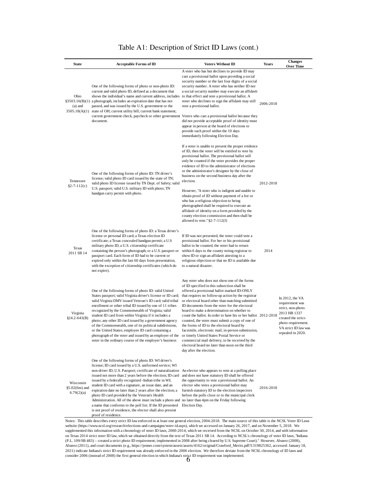| <b>State</b>                                          | <b>Acceptable Forms of ID</b>                                                                                                                                                                                                                                                                                                                                                                                                                                                                                                                                                                                                                                                                                                            | <b>Voters Without ID</b>                                                                                                                                                                                                                                                                                                                                                                                                                                                                                                                                                                                                                                                                                                                                  | Years     | <b>Changes</b><br>Over Time                                                                                                                                           |
|-------------------------------------------------------|------------------------------------------------------------------------------------------------------------------------------------------------------------------------------------------------------------------------------------------------------------------------------------------------------------------------------------------------------------------------------------------------------------------------------------------------------------------------------------------------------------------------------------------------------------------------------------------------------------------------------------------------------------------------------------------------------------------------------------------|-----------------------------------------------------------------------------------------------------------------------------------------------------------------------------------------------------------------------------------------------------------------------------------------------------------------------------------------------------------------------------------------------------------------------------------------------------------------------------------------------------------------------------------------------------------------------------------------------------------------------------------------------------------------------------------------------------------------------------------------------------------|-----------|-----------------------------------------------------------------------------------------------------------------------------------------------------------------------|
| Ohio<br>\$3503.16(B)(1)<br>$(a)$ and<br>3505.18(A)(1) | One of the following forms of photo or non-photo ID:<br>current and valid photo ID, defined as a document that<br>shows the individual's name and current address, includes<br>a photograph, includes an expiration date that has not<br>passed, and was issued by the U.S. government or the<br>state of OH; current utility bill; current bank statement;<br>current government check, paycheck or other government<br>document.                                                                                                                                                                                                                                                                                                       | A voter who has but declines to provide ID may<br>cast a provisional ballot upon providing a social<br>security number or the last four digits of a social<br>security number. A voter who has neither ID nor<br>a social security number may execute an affidavit<br>to that effect and vote a provisional ballot. A<br>voter who declines to sign the affidavit may still<br>vote a provisional ballot.<br>Voters who cast a provisional ballot because they<br>did not provide acceptable proof of identity must<br>appear in person at the board of elections to<br>provide such proof within the 10 days<br>immediately following Election Day.                                                                                                      | 2006-2018 |                                                                                                                                                                       |
| Tennessee<br>$§2 - 7 - 112(c)$                        | One of the following forms of photo ID: TN driver's<br>license; valid photo ID card issued by the state of TN;<br>valid photo ID license issued by TN Dept. of Safety; valid<br>U.S. passport; valid U.S. military ID with photo; TN<br>handgun carry permit with photo.                                                                                                                                                                                                                                                                                                                                                                                                                                                                 | If a voter is unable to present the proper evidence<br>of ID, then the voter will be entitled to vote by<br>provisional ballot. The provisional ballot will<br>only be counted if the voter provides the proper<br>evidence of ID to the administrator of elections<br>or the administrator's designee by the close of<br>business on the second business day after the<br>election.<br>However, "A voter who is indigent and unable to<br>obtain proof of ID without payment of a fee or<br>who has a religious objection to being<br>photographed shall be required to execute an<br>affidavit of identity on a form provided by the<br>county election commission and then shall be<br>allowed to vote." §2-7-112(f)                                   | 2012-2018 |                                                                                                                                                                       |
| Texas<br>2011 SB 14                                   | One of the following forms of photo ID: a Texas driver's<br>license or personal ID card; a Texas election ID<br>certificate; a Texas concealed handgun permit; a U.S<br>military photo ID; a U.S. citizenship certificate<br>containing the person's photograph; or a U.S. passport or<br>passport card. Each form of ID had to be current or<br>expired only within the last 60 days from presentation,<br>with the exception of citizenship certificates (which do<br>not expire).                                                                                                                                                                                                                                                     | If ID was not presented, the voter could vote a<br>provisional ballot. For her or his provisional<br>ballot to be counted, the voter had to return<br>within 6 days to the county voting registrar to<br>show ID or sign an affidavit attesting to a<br>religious objection or that no ID is available due<br>to a natural disaster.                                                                                                                                                                                                                                                                                                                                                                                                                      | 2014      |                                                                                                                                                                       |
| Virginia<br>$§24.2-643(B)$                            | One of the following forms of photo ID: valid United<br>States passport; valid Virginia driver's license or ID card;<br>valid Virginia DMV issued Veteran's ID card; valid tribal<br>enrollment or other tribal ID issued by one of 11 tribes<br>recognized by the Commonwealth of Virginia; valid<br>student ID card from within Virginia if it includes a<br>photo; any other ID card issued by a government agency<br>of the Commonwealth, one of its political subdivisions,<br>or the United States; employee ID card containing a<br>photograph of the voter and issued by an employer of the<br>voter in the ordinary course of the employer's business                                                                           | Any voter who does not show one of the forms<br>of ID specified in this subsection shall be<br>offered a provisional ballot marked ID-ONLY<br>that requires no follow-up action by the registrar<br>or electoral board other than matching submitted<br>ID documents from the voter for the electoral<br>board to make a determination on whether to<br>count the ballot. In order to have his or her ballot 2012-2018<br>counted, the voter must submit a copy of one of<br>the forms of ID to the electoral board by<br>facsimile, electronic mail, in-person submission,<br>or timely United States Postal Service or<br>commercial mail delivery, to be received by the<br>electoral board no later than noon on the third<br>day after the election. |           | In $2012$ , the VA<br>requirement was<br>strict, non-photo.<br>2013 HB 1337<br>created the strict-<br>photo requirement.<br>VA strict ID law was<br>repealed in 2020. |
| Wisconsin<br>§5.02(6m) and<br>6.79(2)(a)              | One of the following forms of photo ID: WI driver's<br>license; ID card issued by a U.S. uniformed service; WI<br>non-driver ID; U.S. Passport; certificate of naturalization<br>issued not more than 2 years before the election; ID card<br>issued by a federally recognized -Indian tribe in WI;<br>student ID card with a signature, an issue date, and an<br>expiration date no later than 2 years after the election; a<br>photo ID card provided by the Veteran's Health<br>Administration. All of the above must include a photo and no later than 4pm on the Friday following<br>a name that conforms to the poll list. If the ID presented<br>is not proof of residence, the elector shall also present<br>proof of residence. | An elector who appears to vote at a polling place<br>and does not have statutory ID shall be offered<br>the opportunity to vote a provisional ballot. An<br>elector who votes a provisional ballot may<br>furnish statutory ID to the election inspectors<br>before the polls close or to the municipal clerk<br>Election Day.                                                                                                                                                                                                                                                                                                                                                                                                                            | 2016-2018 |                                                                                                                                                                       |

### Table A1: Description of Strict ID Laws (cont.)

Notes: This table describes every strict ID law enforced in at least one general election, 2004-2018. The main source of this table is the NCSL Voter ID Laws website (https://www.ncsl.org/research/elections-and-campaigns/voter-id.aspx), which we accessed on January 26, 2017, and on November 5, 2018. We supplemented this information with a chronology of voter ID laws, 2000-2014, which we received from the NCSL on October 30, 2014, and with information on Texas 2014 strict voter ID law, which we obtained directly from the text of Texas 2011 SB 14. According to NCSL's chronology of voter ID laws, "Indiana (P.L. 109/SB 483) – created a strict photo ID requirement; implemented in 2008 after being cleared by U.S. Supreme Court)." However, Alvarez (2008), Alvarez (2011), and court documents (e.g., https://jenner.com/system/assets/assets/4162/original/Crawford\_Merits.pdf?1319825362, accessed: January 18, 2021) indicate Indiana's strict ID requirement was already enforced in the 2006 election. We therefore deviate from the NCSL chronology of ID laws and consider 2006 (instead of 2008) the first general election in which Indiana's strict ID requirement was implemented.<br>  $6$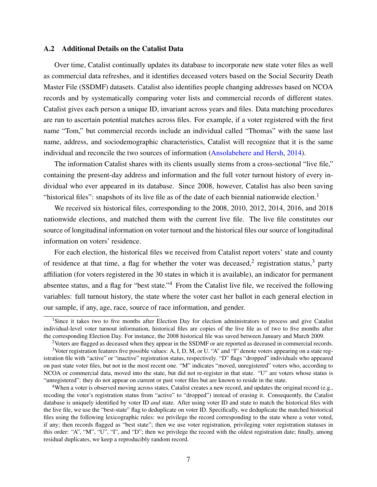#### <span id="page-51-0"></span>A.2 Additional Details on the Catalist Data

Over time, Catalist continually updates its database to incorporate new state voter files as well as commercial data refreshes, and it identifies deceased voters based on the Social Security Death Master File (SSDMF) datasets. Catalist also identifies people changing addresses based on NCOA records and by systematically comparing voter lists and commercial records of different states. Catalist gives each person a unique ID, invariant across years and files. Data matching procedures are run to ascertain potential matches across files. For example, if a voter registered with the first name "Tom," but commercial records include an individual called "Thomas" with the same last name, address, and sociodemographic characteristics, Catalist will recognize that it is the same individual and reconcile the two sources of information [\(Ansolabehere and Hersh,](#page-35-0) [2014\)](#page-35-0).

The information Catalist shares with its clients usually stems from a cross-sectional "live file," containing the present-day address and information and the full voter turnout history of every individual who ever appeared in its database. Since 2008, however, Catalist has also been saving "historical files": snapshots of its live file as of the date of each biennial nationwide election.<sup>1</sup>

We received six historical files, corresponding to the 2008, 2010, 2012, 2014, 2016, and 2018 nationwide elections, and matched them with the current live file. The live file constitutes our source of longitudinal information on voter turnout and the historical files our source of longitudinal information on voters' residence.

For each election, the historical files we received from Catalist report voters' state and county of residence at that time, a flag for whether the voter was deceased,<sup>2</sup> registration status,<sup>3</sup> party affiliation (for voters registered in the 30 states in which it is available), an indicator for permanent absentee status, and a flag for "best state."<sup>4</sup> From the Catalist live file, we received the following variables: full turnout history, the state where the voter cast her ballot in each general election in our sample, if any, age, race, source of race information, and gender.

<span id="page-51-1"></span><sup>&</sup>lt;sup>1</sup>Since it takes two to five months after Election Day for election administrators to process and give Catalist individual-level voter turnout information, historical files are copies of the live file as of two to five months after the corresponding Election Day. For instance, the 2008 historical file was saved between January and March 2009.

<sup>2</sup>Voters are flagged as deceased when they appear in the SSDMF or are reported as deceased in commercial records.

<sup>3</sup>Voter registration features five possible values: A, I, D, M, or U. "A" and "I" denote voters appearing on a state registration file with "active" or "inactive" registration status, respectively. "D" flags "dropped" individuals who appeared on past state voter files, but not in the most recent one. "M" indicates "moved, unregistered" voters who, according to NCOA or commercial data, moved into the state, but did not re-register in that state. "U" are voters whose status is "unregistered": they do not appear on current or past voter files but are known to reside in the state.

<sup>&</sup>lt;sup>4</sup>When a voter is observed moving across states, Catalist creates a new record, and updates the original record (e.g., recoding the voter's registration status from "active" to "dropped") instead of erasing it. Consequently, the Catalist database is uniquely identified by voter ID *and* state. After using voter ID and state to match the historical files with the live file, we use the "best-state" flag to deduplicate on voter ID. Specifically, we deduplicate the matched historical files using the following lexicographic rules: we privilege the record corresponding to the state where a voter voted, if any; then records flagged as "best state"; then we use voter registration, privileging voter registration statuses in this order: "A", "M", "U", "I", and "D"; then we privilege the record with the oldest registration date; finally, among residual duplicates, we keep a reproducibly random record.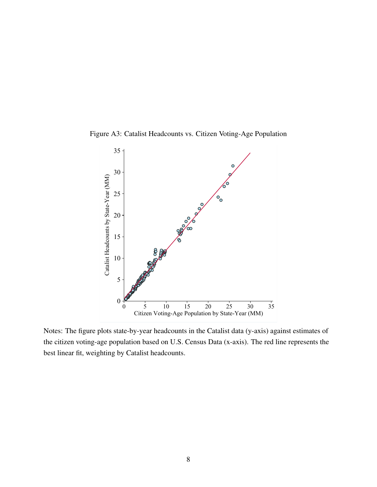<span id="page-52-0"></span>Figure A3: Catalist Headcounts vs. Citizen Voting-Age Population



Notes: The figure plots state-by-year headcounts in the Catalist data (y-axis) against estimates of the citizen voting-age population based on U.S. Census Data (x-axis). The red line represents the best linear fit, weighting by Catalist headcounts.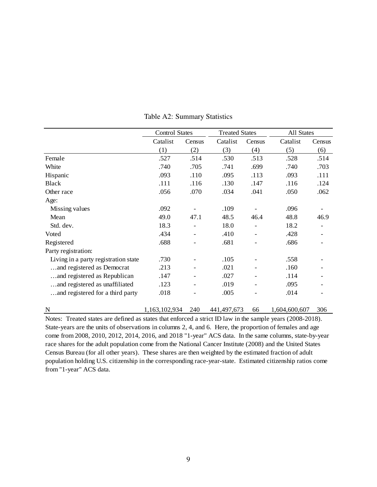<span id="page-53-0"></span>

|                                      | <b>Control States</b> |                   | <b>Treated States</b> |        | All States    |        |
|--------------------------------------|-----------------------|-------------------|-----------------------|--------|---------------|--------|
|                                      | Catalist              | Census            | Catalist              | Census | Catalist      | Census |
|                                      | (1)                   | (2)               | (3)                   | (4)    | (5)           | (6)    |
| Female                               | .527                  | .514              | .530                  | .513   | .528          | .514   |
| White                                | .740                  | .705              | .741                  | .699   | .740          | .703   |
| Hispanic                             | .093                  | .110              | .095                  | .113   | .093          | .111   |
| <b>Black</b>                         | .111                  | .116              | .130                  | .147   | .116          | .124   |
| Other race                           | .056                  | .070              | .034                  | .041   | .050          | .062   |
| Age:                                 |                       |                   |                       |        |               |        |
| Missing values                       | .092                  |                   | .109                  |        | .096          |        |
| Mean                                 | 49.0                  | 47.1              | 48.5                  | 46.4   | 48.8          | 46.9   |
| Std. dev.                            | 18.3                  |                   | 18.0                  |        | 18.2          |        |
| Voted                                | .434                  |                   | .410                  |        | .428          |        |
| Registered                           | .688                  |                   | .681                  |        | .686          |        |
| Party registration:                  |                       |                   |                       |        |               |        |
| Living in a party registration state | .730                  |                   | .105                  |        | .558          |        |
| and registered as Democrat           | .213                  | $\qquad \qquad -$ | .021                  |        | .160          |        |
| and registered as Republican         | .147                  |                   | .027                  |        | .114          |        |
| and registered as unaffiliated       | .123                  |                   | .019                  |        | .095          |        |
| and registered for a third party     | .018                  |                   | .005                  |        | .014          |        |
| N                                    | 1,163,102,934         | 240               | 441,497,673           | 66     | 1,604,600,607 | 306    |

Table A2: Summary Statistics

Notes: Treated states are defined as states that enforced a strict ID law in the sample years (2008-2018). State-years are the units of observations in columns 2, 4, and 6. Here, the proportion of females and age come from 2008, 2010, 2012, 2014, 2016, and 2018 "1-year" ACS data. In the same columns, state-by-year race shares for the adult population come from the National Cancer Institute (2008) and the United States Census Bureau (for all other years). These shares are then weighted by the estimated fraction of adult population holding U.S. citizenship in the corresponding race-year-state. Estimated citizenship ratios come from "1-year" ACS data.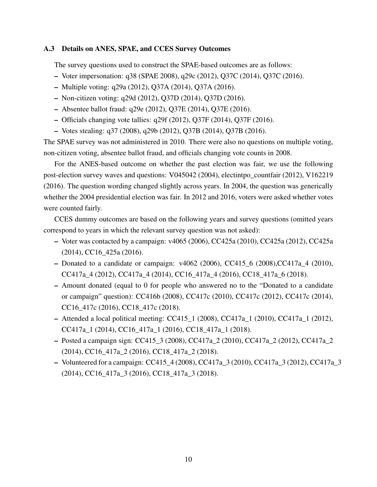#### A.3 Details on ANES, SPAE, and CCES Survey Outcomes

The survey questions used to construct the SPAE-based outcomes are as follows:

- Voter impersonation: q38 (SPAE 2008), q29c (2012), Q37C (2014), Q37C (2016).
- Multiple voting: q29a (2012), Q37A (2014), Q37A (2016).
- Non-citizen voting: q29d (2012), Q37D (2014), Q37D (2016).
- Absentee ballot fraud: q29e (2012), Q37E (2014), Q37E (2016).
- Officials changing vote tallies: q29f (2012), Q37F (2014), Q37F (2016).
- Votes stealing: q37 (2008), q29b (2012), Q37B (2014), Q37B (2016).

The SPAE survey was not administered in 2010. There were also no questions on multiple voting, non-citizen voting, absentee ballot fraud, and officials changing vote counts in 2008.

For the ANES-based outcome on whether the past election was fair, we use the following post-election survey waves and questions: V045042 (2004), electintpo\_countfair (2012), V162219 (2016). The question wording changed slightly across years. In 2004, the question was generically whether the 2004 presidential election was fair. In 2012 and 2016, voters were asked whether votes were counted fairly.

CCES dummy outcomes are based on the following years and survey questions (omitted years correspond to years in which the relevant survey question was not asked):

- Voter was contacted by a campaign: v4065 (2006), CC425a (2010), CC425a (2012), CC425a (2014), CC16\_425a (2016).
- Donated to a candidate or campaign: v4062 (2006), CC415\_6 (2008),CC417a\_4 (2010), CC417a\_4 (2012), CC417a\_4 (2014), CC16\_417a\_4 (2016), CC18\_417a\_6 (2018).
- Amount donated (equal to 0 for people who answered no to the "Donated to a candidate or campaign" question): CC416b (2008), CC417c (2010), CC417c (2012), CC417c (2014), CC16\_417c (2016), CC18\_417c (2018).
- $-$  Attended a local political meeting: CC415\_1 (2008), CC417a\_1 (2010), CC417a\_1 (2012), CC417a\_1 (2014), CC16\_417a\_1 (2016), CC18\_417a\_1 (2018).
- Posted a campaign sign: CC415\_3 (2008), CC417a\_2 (2010), CC417a\_2 (2012), CC417a\_2 (2014), CC16\_417a\_2 (2016), CC18\_417a\_2 (2018).
- Volunteered for a campaign: CC415  $\neq$  (2008), CC417a  $\neq$  3 (2010), CC417a  $\neq$  3 (2012), CC417a  $\neq$  3 (2014), CC16\_417a\_3 (2016), CC18\_417a\_3 (2018).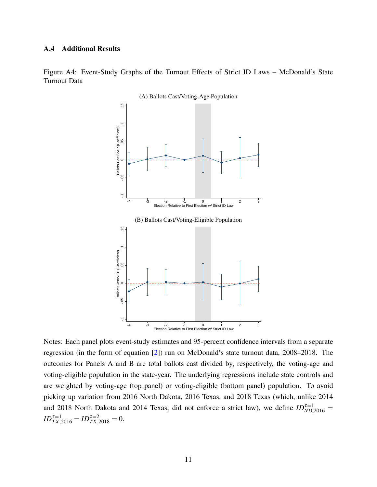#### <span id="page-55-0"></span>A.4 Additional Results

<span id="page-55-1"></span>Figure A4: Event-Study Graphs of the Turnout Effects of Strict ID Laws – McDonald's State Turnout Data



(A) Ballots Cast/Voting-Age Population

Notes: Each panel plots event-study estimates and 95-percent confidence intervals from a separate regression (in the form of equation [\[2\]](#page-19-0)) run on McDonald's state turnout data, 2008–2018. The outcomes for Panels A and B are total ballots cast divided by, respectively, the voting-age and voting-eligible population in the state-year. The underlying regressions include state controls and are weighted by voting-age (top panel) or voting-eligible (bottom panel) population. To avoid picking up variation from 2016 North Dakota, 2016 Texas, and 2018 Texas (which, unlike 2014 and 2018 North Dakota and 2014 Texas, did not enforce a strict law), we define  $ID_{ND,2016}^{\tau=1}$  $ID_{TX,2016}^{\tau=1} = ID_{TX,2018}^{\tau=2} = 0.$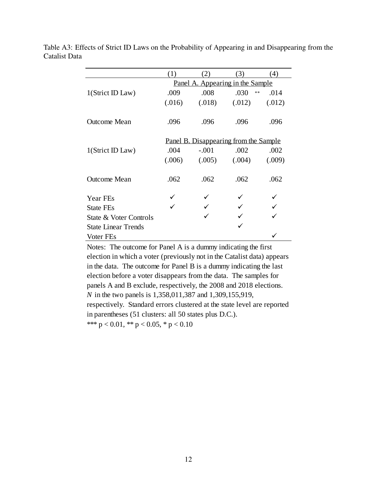|                            | (1)                                          | 2)                               | (3)          | (4)    |  |  |  |
|----------------------------|----------------------------------------------|----------------------------------|--------------|--------|--|--|--|
|                            |                                              | Panel A. Appearing in the Sample |              |        |  |  |  |
| 1(Strict ID Law)           | .009                                         | .008                             | .030<br>$**$ | .014   |  |  |  |
|                            | (.016)                                       | (.018)                           | (.012)       | (.012) |  |  |  |
|                            |                                              |                                  |              |        |  |  |  |
| <b>Outcome Mean</b>        | .096                                         | .096                             | .096         | .096   |  |  |  |
|                            |                                              |                                  |              |        |  |  |  |
|                            | <u>Panel B. Disappearing from the Sample</u> |                                  |              |        |  |  |  |
| 1(Strict ID Law)           | .004                                         | $-.001$                          | .002         | .002   |  |  |  |
|                            | (.006)                                       | (.005)                           | (.004)       | (.009) |  |  |  |
|                            |                                              |                                  |              |        |  |  |  |
| <b>Outcome Mean</b>        | .062                                         | .062                             | .062         | .062   |  |  |  |
| Year FEs                   |                                              |                                  |              |        |  |  |  |
| <b>State FEs</b>           |                                              |                                  |              |        |  |  |  |
|                            |                                              |                                  |              |        |  |  |  |
| State & Voter Controls     |                                              |                                  |              |        |  |  |  |
| <b>State Linear Trends</b> |                                              |                                  |              |        |  |  |  |
| Voter FEs                  |                                              |                                  |              |        |  |  |  |

<span id="page-56-0"></span>Table A3: Effects of Strict ID Laws on the Probability of Appearing in and Disappearing from the Catalist Data

> \*\*\*  $p < 0.01$ , \*\*  $p < 0.05$ , \*  $p < 0.10$ Notes: The outcome for Panel A is a dummy indicating the first election in which a voter (previously not in the Catalist data) appears in the data. The outcome for Panel B is a dummy indicating the last election before a voter disappears from the data. The samples for panels A and B exclude, respectively, the 2008 and 2018 elections. *N* in the two panels is 1,358,011,387 and 1,309,155,919, respectively. Standard errors clustered at the state level are reported in parentheses (51 clusters: all 50 states plus D.C.).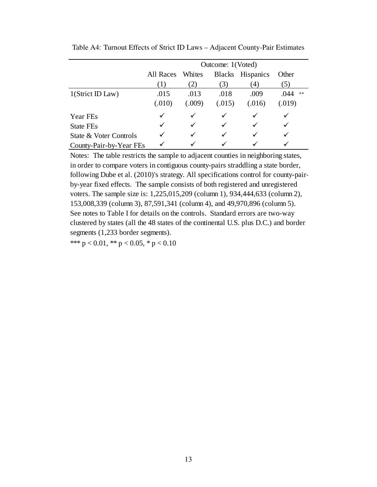|                         | Outcome: 1(Voted) |        |        |                  |                    |  |  |  |
|-------------------------|-------------------|--------|--------|------------------|--------------------|--|--|--|
|                         | All Races         | Whites |        | Blacks Hispanics | Other              |  |  |  |
|                         | (1)               | 2)     | (3)    | (4)              | $\left(5\right)$   |  |  |  |
| $1$ (Strict ID Law)     | .015              | .013   | .018   | .009             | .044<br>$\ast\ast$ |  |  |  |
|                         | (.010)            | (.009) | (.015) | (.016)           | (.019)             |  |  |  |
| Year FEs                |                   | ✓      |        |                  |                    |  |  |  |
| <b>State FEs</b>        |                   | ✓      |        |                  |                    |  |  |  |
| State & Voter Controls  |                   | ✓      |        |                  |                    |  |  |  |
| County-Pair-by-Year FEs |                   |        |        |                  |                    |  |  |  |

<span id="page-57-0"></span>Table A4: Turnout Effects of Strict ID Laws – Adjacent County-Pair Estimates

Notes: The table restricts the sample to adjacent counties in neighboring states, in order to compare voters in contiguous county-pairs straddling a state border, following Dube et al. (2010)'s strategy. All specifications control for county-pairby-year fixed effects. The sample consists of both registered and unregistered voters. The sample size is: 1,225,015,209 (column 1), 934,444,633 (column 2), 153,008,339 (column 3), 87,591,341 (column 4), and 49,970,896 (column 5). See notes to Table I for details on the controls. Standard errors are two-way clustered by states (all the 48 states of the continental U.S. plus D.C.) and border segments (1,233 border segments).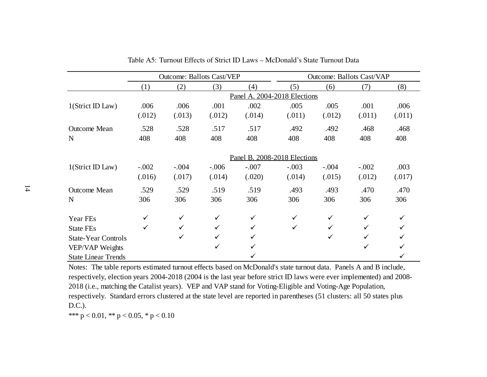|                            |              | <b>Outcome: Ballots Cast/VEP</b> |              |              | <b>Outcome: Ballots Cast/VAP</b> |         |         |        |  |
|----------------------------|--------------|----------------------------------|--------------|--------------|----------------------------------|---------|---------|--------|--|
|                            | (1)          | (2)                              | (3)          | (4)          | (5)                              | (6)     | (7)     | (8)    |  |
|                            |              |                                  |              |              | Panel A. 2004-2018 Elections     |         |         |        |  |
| 1(Strict ID Law)           | .006         | .006                             | .001         | .002         | .005                             | .005    | .001    | .006   |  |
|                            | (.012)       | (.013)                           | (.012)       | (.014)       | (.011)                           | (.012)  | (.011)  | (.011) |  |
| <b>Outcome Mean</b>        | .528         | .528                             | .517         | .517         | .492                             | .492    | .468    | .468   |  |
| N                          | 408          | 408                              | 408          | 408          | 408                              | 408     | 408     | 408    |  |
|                            |              |                                  |              |              | Panel B. 2008-2018 Elections     |         |         |        |  |
| 1(Strict ID Law)           | $-.002$      | $-.004$                          | $-.006$      | $-.007$      | $-.003$                          | $-.004$ | $-.002$ | .003   |  |
|                            | (.016)       | (.017)                           | (.014)       | (.020)       | (.014)                           | (.015)  | (.012)  | (.017) |  |
| <b>Outcome Mean</b>        | .529         | .529                             | .519         | .519         | .493                             | .493    | .470    | .470   |  |
| N                          | 306          | 306                              | 306          | 306          | 306                              | 306     | 306     | 306    |  |
| Year FEs                   | $\checkmark$ | $\checkmark$                     |              | $\checkmark$ | $\checkmark$                     |         | ✓       |        |  |
| <b>State FEs</b>           | ✓            | $\checkmark$                     | ✓            | $\checkmark$ | $\checkmark$                     |         |         |        |  |
| <b>State-Year Controls</b> |              | ✓                                |              | ✓            |                                  | ✓       |         |        |  |
| VEP/VAP Weights            |              |                                  | $\checkmark$ |              |                                  |         | ✓       |        |  |
| <b>State Linear Trends</b> |              |                                  |              |              |                                  |         |         |        |  |

Table A5: Turnout Effects of Strict ID Laws – McDonald's State Turnout Data

<span id="page-58-0"></span> Notes: The table reports estimated turnout effects based on McDonald's state turnout data. Panels A and B include, respectively, election years 2004-2018 (2004 is the last year before strict ID laws were ever implemented) and 2008-2018 (i.e., matching the Catalist years). VEP and VAP stand for Voting-Eligible and Voting-Age Population, respectively. Standard errors clustered at the state level are reported in parentheses (51 clusters: all 50 states plus D.C.).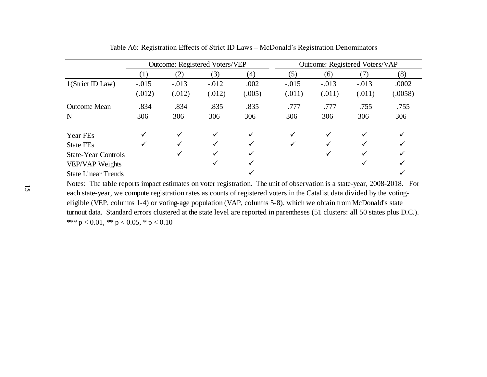|                            | Outcome: Registered Voters/VEP |              |         |              | Outcome: Registered Voters/VAP |         |         |              |  |
|----------------------------|--------------------------------|--------------|---------|--------------|--------------------------------|---------|---------|--------------|--|
|                            | (1)                            | (2)          | (3)     | (4)          | (5)                            | (6)     | (7)     | (8)          |  |
| 1(Strict ID Law)           | $-.015$                        | $-.013$      | $-.012$ | .002         | $-.015$                        | $-.013$ | $-.013$ | .0002        |  |
|                            | (.012)                         | (.012)       | (.012)  | (.005)       | (.011)                         | (.011)  | (.011)  | (.0058)      |  |
| <b>Outcome Mean</b>        | .834                           | .834         | .835    | .835         | .777                           | .777    | .755    | .755         |  |
| N                          | 306                            | 306          | 306     | 306          | 306                            | 306     | 306     | 306          |  |
| Year FEs                   | $\checkmark$                   | $\checkmark$ | ✓       | $\checkmark$ | ✓                              | ✓       | ✓       | $\checkmark$ |  |
| <b>State FEs</b>           | ✓                              | ✓            | ✓       | ✓            | ✓                              | ✓       | ✓       | ✓            |  |
| <b>State-Year Controls</b> |                                | $\checkmark$ | ✓       | ✓            |                                | ✓       | ✓       | ✓            |  |
| VEP/VAP Weights            |                                |              | ✓       |              |                                |         | ✓       | ✓            |  |
| <b>State Linear Trends</b> |                                |              |         |              |                                |         |         |              |  |

<span id="page-59-0"></span>Table A6: Registration Effects of Strict ID Laws – McDonald's Registration Denominators

 Notes: The table reports impact estimates on voter registration. The unit of observation is a state-year, 2008-2018. For each state-year, we compute registration rates as counts of registered voters in the Catalist data divided by the votingeligible (VEP, columns 1-4) or voting-age population (VAP, columns 5-8), which we obtain from McDonald's state turnout data. Standard errors clustered at the state level are reported in parentheses (51 clusters: all 50 states plus D.C.). \*\*\*  $p < 0.01$ , \*\*  $p < 0.05$ , \*  $p < 0.10$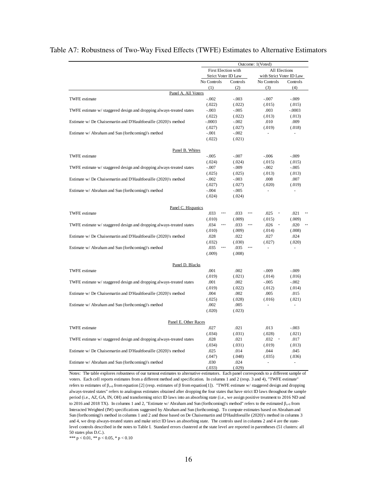|                                                                      |                                                            |                     | Outcome: 1(Voted)        |                          |
|----------------------------------------------------------------------|------------------------------------------------------------|---------------------|--------------------------|--------------------------|
|                                                                      | First Election with                                        |                     | All Elections            |                          |
|                                                                      | Strict Voter ID Law                                        |                     | with Strict Voter ID Law |                          |
|                                                                      | No Controls                                                | Controls            | No Controls              | Controls                 |
|                                                                      | (1)                                                        | (2)                 | (3)                      | (4)                      |
| Panel A. All Voters                                                  |                                                            |                     |                          |                          |
| <b>TWFE</b> estimate                                                 | $-.002$                                                    | $-.003$             | $-.007$                  | $-.009$                  |
|                                                                      | (.022)                                                     | (.022)              | (.015)                   | (.015)                   |
| TWFE estimate w/ staggered design and dropping always-treated states | $-.003$                                                    | $-.005$             | .003                     | $-.0003$                 |
|                                                                      | (.022)                                                     | (.022)              | (.013)                   | (.013)                   |
| Estimate w/ De Chaisemartin and D'Haultfoeuille (2020)'s method      | $-.0003$                                                   | $-.002$             | .010                     | .009                     |
|                                                                      | (.027)                                                     | (.027)              | (.019)                   | (.018)                   |
| Estimate w/ Abraham and Sun (forthcoming)'s method                   | $-.001$                                                    | $-.002$             |                          |                          |
|                                                                      | (.022)                                                     | (.021)              |                          |                          |
| Panel B. Whites                                                      |                                                            |                     |                          |                          |
| <b>TWFE</b> estimate                                                 | $-.005$                                                    | $-.007$             | $-.006$                  | $-.009$                  |
|                                                                      | (.024)                                                     | (.024)              | (.015)                   | (.015)                   |
| TWFE estimate w/ staggered design and dropping always-treated states | $-.007$                                                    | $-.009$             | $-.002$                  | $-.005$                  |
|                                                                      | (.025)                                                     | (.025)              | (.013)                   | (.013)                   |
| Estimate w/ De Chaisemartin and D'Haultfoeuille (2020)'s method      | $-.002$                                                    | $-.003$             | .008                     | .007                     |
|                                                                      | (.027)                                                     | (.027)              | (.020)                   | (.019)                   |
| Estimate w/ Abraham and Sun (forthcoming)'s method                   | $-.004$                                                    | $-.005$             | ä,                       | $\overline{a}$           |
|                                                                      | (.024)                                                     | (.024)              |                          |                          |
| Panel C. Hispanics                                                   |                                                            |                     |                          |                          |
| <b>TWFE</b> estimate                                                 | .033<br>$\begin{smallmatrix}&&4\\3&2&3&4\end{smallmatrix}$ | .033<br>$***$       | .025<br>$\pm$            | .021                     |
|                                                                      | (.010)                                                     | (.009)              | (.015)                   | (.009)                   |
| TWFE estimate w/ staggered design and dropping always-treated states | .034<br>$\pm \pm \pm$                                      | .033<br>$* * *$     | .026<br>$\,$ $\,$        | .020                     |
|                                                                      | (.010)                                                     | (.009)              | (.014)                   | (.008)                   |
| Estimate w/ De Chaisemartin and D'Haultfoeuille (2020)'s method      | .028                                                       | .022                | .027                     | .024                     |
|                                                                      | (.032)                                                     | (.030)              | (.027)                   | (.020)                   |
| Estimate w/ Abraham and Sun (forthcoming)'s method                   | .035<br>$***$                                              | .035<br>$\pm\pm\pm$ |                          |                          |
|                                                                      | (.009)                                                     | (.008)              |                          |                          |
| Panel D. Blacks                                                      |                                                            |                     |                          |                          |
| <b>TWFE</b> estimate                                                 | .001                                                       | .002                | $-.009$                  | $-.009$                  |
|                                                                      | (.019)                                                     | (.021)              | (.014)                   | (.016)                   |
| TWFE estimate w/ staggered design and dropping always-treated states | .001                                                       | .002                | $-.005$                  | $-.002$                  |
|                                                                      | (.019)                                                     | (.022)              | (.012)                   | (.014)                   |
| Estimate w/ De Chaisemartin and D'Haultfoeuille (2020)'s method      | .004                                                       | .002                | .005                     | .015                     |
|                                                                      | (.025)                                                     | (.028)              | (.016)                   | (.021)                   |
| Estimate w/ Abraham and Sun (forthcoming)'s method                   | .002                                                       | .005                | $\overline{a}$           | ÷.                       |
|                                                                      | (.020)                                                     | (.023)              |                          |                          |
| Panel E. Other Races                                                 |                                                            |                     |                          |                          |
| <b>TWFE</b> estimate                                                 | .027                                                       | .021                | .013                     | $-.003$                  |
|                                                                      | (.034)                                                     | (.031)              | (.028)                   | (.021)                   |
| TWFE estimate w/ staggered design and dropping always-treated states | .028                                                       | .021                | .032                     | .017                     |
|                                                                      | (.034)                                                     | (.031)              | (.019)                   | (.013)                   |
| Estimate w/ De Chaisemartin and D'Haultfoeuille (2020)'s method      | .025                                                       | .014                | .044                     | .045                     |
|                                                                      | (.047)                                                     | (.048)              | (.035)                   | (.036)                   |
| Estimate w/ Abraham and Sun (forthcoming)'s method                   | .030                                                       | .024                | $\overline{\phantom{a}}$ | $\overline{\phantom{a}}$ |
|                                                                      | (.033)                                                     | (.029)              |                          |                          |

#### <span id="page-60-0"></span>Table A7: Robustness of Two-Way Fixed Effects (TWFE) Estimates to Alternative Estimators

Notes: The table explores robustness of our turnout estimates to alternative estimators. Each panel corresponds to a different sample of voters. Each cell reports estimates from a different method and specification. In columns 1 and 2 (resp. 3 and 4), "TWFE estimate" refers to estimates of  $\beta_{t=0}$  from equation [2] (resp. estimates of  $\beta$  from equation[1]). "TWFE estimate w/ staggered design and dropping always-treated states" refers to analogous estimates obtained after dropping the four states that have strict ID laws throughout the sample period (i.e., AZ, GA, IN, OH) and transforming strict ID laws into an absorbing state (i.e., we assign positive treatment to 2016 ND and to 2016 and 2018 TX). In columns 1 and 2, "Estimate w/ Abraham and Sun (forthcoming)'s method" refers to the estimated  $\beta_{\tau=0}$  from Interacted Weighted (IW) specifications suggested by Abraham and Sun (forthcoming). To compute estimates based on Abraham and Sun (forthcoming)'s method in columns 1 and 2 and those based on De Chaisemartin and D'Haultfoeuille (2020)'s method in columns 3 and 4, we drop always-treated states and make strict ID laws an absorbing state. The controls used in columns 2 and 4 are the statelevel controls described in the notes to Table I. Standard errors clustered at the state level are reported in parentheses (51 clusters: all 50 states plus D.C.).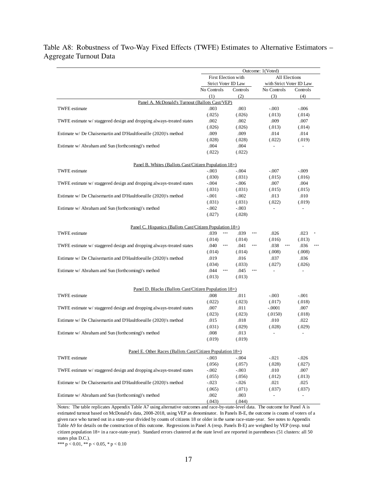# <span id="page-61-0"></span>Table A8: Robustness of Two-Way Fixed Effects (TWFE) Estimates to Alternative Estimators -Aggregate Turnout Data

|                                                                                            | Outcome: 1(Voted)      |                          |                                       |                          |  |  |  |
|--------------------------------------------------------------------------------------------|------------------------|--------------------------|---------------------------------------|--------------------------|--|--|--|
|                                                                                            | First Election with    |                          | All Elections                         |                          |  |  |  |
|                                                                                            | Strict Voter ID Law    |                          | with Strict Voter ID Law              |                          |  |  |  |
|                                                                                            | No Controls            | Controls                 | No Controls                           | Controls                 |  |  |  |
|                                                                                            | (1)                    | (2)                      | (3)                                   | (4)                      |  |  |  |
| Panel A. McDonald's Turnout (Ballots Cast/VEP)                                             |                        |                          |                                       |                          |  |  |  |
| <b>TWFE</b> estimate                                                                       | .003                   | .003                     | $-.003$                               | $-.006$                  |  |  |  |
|                                                                                            | (.025)                 | (.026)                   | (.013)                                | (.014)                   |  |  |  |
| TWFE estimate w/ staggered design and dropping always-treated states                       | .002                   | .002                     | .009                                  | .007                     |  |  |  |
|                                                                                            | (.026)                 | (.026)                   | (.013)                                | (.014)                   |  |  |  |
| Estimate w/De Chaisemartin and D'Haultfoeuille (2020)'s method                             | .009                   | .009                     | .014                                  | .014                     |  |  |  |
|                                                                                            | (.028)                 | (.028)                   | (.022)                                | (.019)                   |  |  |  |
| Estimate w/ Abraham and Sun (forthcoming)'s method                                         | .004                   | .004                     | $\overline{\phantom{0}}$              | $\overline{\phantom{a}}$ |  |  |  |
|                                                                                            | (.022)                 | (.022)                   |                                       |                          |  |  |  |
| Panel B. Whites (Ballots Cast/Citizen Population 18+)                                      |                        |                          |                                       |                          |  |  |  |
| <b>TWFE</b> estimate                                                                       | $-.003$                | $-.004$                  | $-.007$                               | $-.009$                  |  |  |  |
|                                                                                            | (.030)                 | (.031)                   | (.015)                                | (.016)                   |  |  |  |
| TWFE estimate w/ staggered design and dropping always-treated states                       | $-.004$                | $-.006$                  | .007                                  | .004                     |  |  |  |
|                                                                                            | (.031)                 | (.031)                   | (.015)                                | (.015)                   |  |  |  |
| Estimate w/ De Chaisemartin and D'Haultfoeuille (2020)'s method                            | $-.001$                | $-.002$                  | .013                                  | .010                     |  |  |  |
|                                                                                            | (.031)                 | (.031)                   | (.022)                                | (.019)                   |  |  |  |
| Estimate w/ Abraham and Sun (forthcoming)'s method                                         | $-.002$                | $-.003$                  |                                       |                          |  |  |  |
|                                                                                            | (.027)                 | (.028)                   |                                       |                          |  |  |  |
|                                                                                            |                        |                          |                                       |                          |  |  |  |
| <u>Panel C. Hispanics (Ballots Cast/Citizen Population 18+)</u>                            |                        |                          |                                       |                          |  |  |  |
| <b>TWFE</b> estimate                                                                       | .039<br>$\ast\ast\ast$ | .039<br>***              | .026                                  | .023<br>$\ast$           |  |  |  |
|                                                                                            | (.014)                 | (.014)                   | (.016)                                | (.013)                   |  |  |  |
| TWFE estimate w/ staggered design and dropping always-treated states                       | .040<br>$***$          | .041<br>$\ast \ast \ast$ | .038<br>$\ast\ast\ast$                | .036<br>$* * *$          |  |  |  |
|                                                                                            | (.014)                 | (.014)                   | (.008)                                | (.008)                   |  |  |  |
| Estimate w/De Chaisemartin and D'Haultfoeuille (2020)'s method                             | .019                   | .016                     | .037                                  | .036                     |  |  |  |
|                                                                                            | (.034)                 | (.033)                   | (.027)                                | (.026)                   |  |  |  |
| Estimate w/ Abraham and Sun (forthcoming)'s method                                         | .044<br>$\ast\ast\ast$ | .045<br>$***$            | ÷,                                    | $\overline{\phantom{a}}$ |  |  |  |
|                                                                                            | (.013)                 | (.013)                   |                                       |                          |  |  |  |
| Panel D. Blacks (Ballots Cast/Citizen Population 18+)                                      |                        |                          |                                       |                          |  |  |  |
| <b>TWFE</b> estimate                                                                       | .008                   | .011                     | $-.003$                               | $-.001$                  |  |  |  |
|                                                                                            | (.022)                 | (.023)                   | (.017)                                | (.018)                   |  |  |  |
| TWFE estimate w/ staggered design and dropping always-treated states                       | .007                   | .011                     | $-.0001$                              | .007                     |  |  |  |
|                                                                                            | (.023)                 | (.023)                   | (.0150)                               | (.018)                   |  |  |  |
| Estimate w/ De Chaisemartin and D'Haultfoeuille (2020)'s method                            | .015                   | .018                     | .010                                  | .022                     |  |  |  |
|                                                                                            | (.031)                 | (.029)                   | (.028)                                | (.029)                   |  |  |  |
| Estimate w/ Abraham and Sun (forthcoming)'s method                                         | .008                   | .013                     |                                       | $\overline{a}$           |  |  |  |
|                                                                                            | (.019)                 | (.019)                   |                                       |                          |  |  |  |
|                                                                                            |                        |                          |                                       |                          |  |  |  |
| Panel E. Other Races (Ballots Cast/Citizen Population $18+1$ )                             |                        |                          |                                       |                          |  |  |  |
| <b>TWFE</b> estimate                                                                       | $-.003$                | $-.004$                  | $-.021$                               | $-.026$                  |  |  |  |
|                                                                                            | (.056)                 | (.057)                   | (.028)                                | (.027)                   |  |  |  |
| TWFE estimate w/ staggered design and dropping always-treated states                       | $-.002$                | $-.003$                  | .010                                  | .007                     |  |  |  |
|                                                                                            | (.055)                 | (.056)                   | (.012)                                | (.013)                   |  |  |  |
| Estimate w/ De Chaisemartin and D'Haultfoeuille (2020)'s method                            | $-.023$                | $-.026$                  | .021                                  | .025                     |  |  |  |
|                                                                                            | (.065)                 | (.071)                   | (.037)                                | (.037)                   |  |  |  |
| Estimate w/ Abraham and Sun (forthcoming)'s method                                         | .002                   | .003                     | $\overline{a}$                        | $\overline{a}$           |  |  |  |
| Notes: The table replicates Appendix Table A7 using elternative outcomes and race by state | (.043)                 | (.044)                   | Lavel date The outcome for Danal A is |                          |  |  |  |

Notes: The table replicates Appendix Table A7 using alternative outcomes and race-by-state-level data. The outcome for Panel A is estimated turnout based on McDonald's data, 2008-2018, using VEP as denominator. In Panels B-E, the outcome is counts of voters of a given race who turned out in a state-year divided by counts of citizens 18 or older in the same race-state-year. See notes to Appendix Table A9 for details on the construction of this outcome. Regressions in Panel A (resp. Panels B-E) are weighted by VEP (resp. total citizen population 18+ in a race-state-year). Standard errors clustered at the state level are reported in parentheses (51 clusters: all 50 states plus D.C.).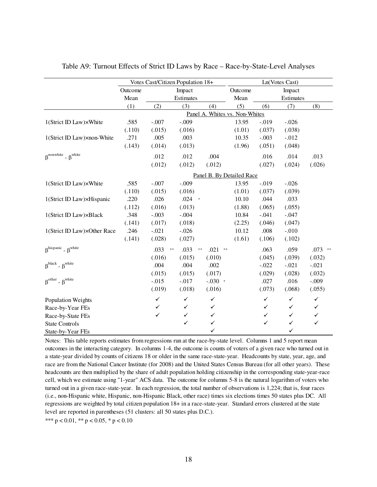|                                                        |         | Votes Cast/Citizen Population 18+ |                    |                  |                           |              | Ln(Votes Cast) |              |
|--------------------------------------------------------|---------|-----------------------------------|--------------------|------------------|---------------------------|--------------|----------------|--------------|
|                                                        | Outcome |                                   | Impact             |                  | Outcome                   |              | Impact         |              |
|                                                        | Mean    |                                   | Estimates          |                  | Mean                      |              | Estimates      |              |
|                                                        | (1)     | (2)                               | (3)                | (4)              | (5)                       | (6)          | (7)            | (8)          |
|                                                        |         |                                   | Panel A.           |                  | Whites vs. Non-Whites     |              |                |              |
| 1(Strict ID Law)×White                                 | .585    | $-.007$                           | $-.009$            |                  | 13.95                     | $-.019$      | $-.026$        |              |
|                                                        | (.110)  | (.015)                            | (.016)             |                  | (1.01)                    | (.037)       | (.038)         |              |
| 1(Strict ID Law)×non-White                             | .271    | .005                              | .003               |                  | 10.35                     | $-.003$      | $-.012$        |              |
|                                                        | (.143)  | (.014)                            | (.013)             |                  | (1.96)                    | (.051)       | (.048)         |              |
| $\beta$ <sup>nonwhite</sup> - $\beta$ <sup>white</sup> |         | .012                              | .012               | .004             |                           | .016         | .014           | .013         |
|                                                        |         | (.012)                            | (.012)             | (.012)           |                           | (.027)       | (.024)         | (.026)       |
|                                                        |         |                                   |                    |                  | Panel B. By Detailed Race |              |                |              |
| 1(Strict ID Law)×White                                 | .585    | $-.007$                           | $-.009$            |                  | 13.95                     | $-.019$      | $-.026$        |              |
|                                                        | (.110)  | (.015)                            | (.016)             |                  | (1.01)                    | (.037)       | (.039)         |              |
| 1(Strict ID Law)×Hispanic                              | .220    | .026                              | $.024$ *           |                  | 10.10                     | .044         | .033           |              |
|                                                        | (.112)  | (.016)                            | (.013)             |                  | (1.88)                    | (.065)       | (.055)         |              |
| 1(Strict ID Law)×Black                                 | .348    | $-.003$                           | $-.004$            |                  | 10.84                     | $-.041$      | $-.047$        |              |
|                                                        | (.141)  | (.017)                            | (.018)             |                  | (2.25)                    | (.046)       | (.047)         |              |
| 1(Strict ID Law)×Other Race                            | .246    | $-.021$                           | $-.026$            |                  | 10.12                     | .008         | $-.010$        |              |
|                                                        | (.141)  | (.028)                            | (.027)             |                  | (1.61)                    | (.106)       | (.102)         |              |
| $\beta^{hispanic}$ - $\beta^{white}$                   |         | .033<br>$\ast\ast$                | .033<br>$\ast\ast$ | .021<br>$\pm\pm$ |                           | .063         | .059           | $.073$ **    |
|                                                        |         | (.016)                            | (.015)             | (.010)           |                           | (.045)       | (.039)         | (.032)       |
| $\beta^{black}$ - $\beta^{white}$                      |         | .004                              | .004               | .002             |                           | $-.022$      | $-.021$        | $-.021$      |
|                                                        |         | (.015)                            | (.015)             | (.017)           |                           | (.029)       | (.028)         | (.032)       |
| $\beta^{\text{other}}$ - $\beta^{\text{white}}$        |         | $-.015$                           | $-.017$            | $-.030$ *        |                           | .027         | .016           | $-.009$      |
|                                                        |         | (.019)                            | (.018)             | (.016)           |                           | (.073)       | (.068)         | (.055)       |
| <b>Population Weights</b>                              |         | $\checkmark$                      | ✓                  | ✓                |                           | $\checkmark$ | ✓              | $\checkmark$ |
| Race-by-Year FEs                                       |         | ✓                                 | ✓                  | ✓                |                           | ✓            | ✓              | ✓            |
| Race-by-State FEs                                      |         | ✓                                 | $\checkmark$       | ✓                |                           | $\checkmark$ | $\checkmark$   | $\checkmark$ |
| <b>State Controls</b>                                  |         |                                   | $\checkmark$       | ✓                |                           | $\checkmark$ | $\checkmark$   | $\checkmark$ |
| State-by-Year FEs                                      |         |                                   |                    | ✓                |                           |              | ✓              |              |

<span id="page-62-0"></span>Table A9: Turnout Effects of Strict ID Laws by Race – Race-by-State-Level Analyses

Notes: This table reports estimates from regressions run at the race-by-state level. Columns 1 and 5 report mean outcomes in the interacting category. In columns 1-4, the outcome is counts of voters of a given race who turned out in a state-year divided by counts of citizens 18 or older in the same race-state-year. Headcounts by state, year, age, and race are from the National Cancer Institute (for 2008) and the United States Census Bureau (for all other years). These headcounts are then multiplied by the share of adult population holding citizenship in the corresponding state-year-race cell, which we estimate using "1-year" ACS data. The outcome for columns 5-8 is the natural logarithm of voters who turned out in a given race-state-year. In each regression, the total number of observations is 1,224; that is, four races (i.e., non-Hispanic white, Hispanic, non-Hispanic Black, other race) times six elections times 50 states plus DC. All regressions are weighted by total citizen population 18+ in a race-state-year. Standard errors clustered at the state level are reported in parentheses (51 clusters: all 50 states plus D.C.).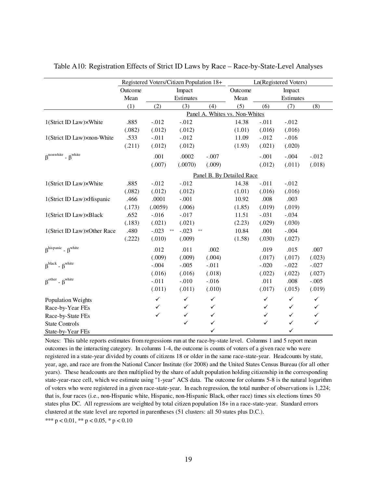|                                                        |         | Registered Voters/Citizen Population 18+ |              |            |                           |              | Ln(Registered Voters) |              |
|--------------------------------------------------------|---------|------------------------------------------|--------------|------------|---------------------------|--------------|-----------------------|--------------|
|                                                        | Outcome |                                          | Impact       |            | Outcome                   | Impact       |                       |              |
|                                                        | Mean    |                                          | Estimates    |            | Mean                      |              | Estimates             |              |
|                                                        | (1)     | (2)                                      | (3)          | (4)        | (5)                       | (6)          | (7)                   | (8)          |
|                                                        |         |                                          | Panel A.     |            | Whites vs. Non-Whites     |              |                       |              |
| 1(Strict ID Law)×White                                 | .885    | $-.012$                                  | $-.012$      |            | 14.38                     | $-.011$      | $-.012$               |              |
|                                                        | (.082)  | (.012)                                   | (.012)       |            | (1.01)                    | (.016)       | (.016)                |              |
| 1(Strict ID Law)×non-White                             | .533    | $-.011$                                  | $-.012$      |            | 11.09                     | $-.012$      | $-.016$               |              |
|                                                        | (.211)  | (.012)                                   | (.012)       |            | (1.93)                    | (.021)       | (.020)                |              |
| $\beta$ <sup>nonwhite</sup> - $\beta$ <sup>white</sup> |         | .001                                     | .0002        | $-.007$    |                           | $-.001$      | $-.004$               | $-.012$      |
|                                                        |         | (.007)                                   | (.0070)      | (.009)     |                           | (.012)       | (.011)                | (.018)       |
|                                                        |         |                                          |              |            | Panel B. By Detailed Race |              |                       |              |
| 1(Strict ID Law)×White                                 | .885    | $-.012$                                  | $-0.012$     |            | 14.38                     | $-.011$      | $-.012$               |              |
|                                                        | (.082)  | (.012)                                   | (.012)       |            | (1.01)                    | (.016)       | (.016)                |              |
| 1(Strict ID Law)×Hispanic                              | .466    | .0001                                    | $-.001$      |            | 10.92                     | .008         | .003                  |              |
|                                                        | (.173)  | (.0059)                                  | (.006)       |            | (1.85)                    | (.019)       | (.019)                |              |
| 1(Strict ID Law)×Black                                 | .652    | $-.016$                                  | $-.017$      |            | 11.51                     | $-.031$      | $-.034$               |              |
|                                                        | (.183)  | (.021)                                   | (.021)       |            | (2.23)                    | (.029)       | (.030)                |              |
| 1(Strict ID Law)×Other Race                            | .480    | $-.023$<br>$\ast\ast$                    | $-.023$      | $\ast\ast$ | 10.84                     | .001         | $-.004$               |              |
|                                                        | (.222)  | (.010)                                   | (.009)       |            | (1.58)                    | (.030)       | (.027)                |              |
| $\beta^{hispanic}$ - $\beta^{white}$                   |         | .012                                     | .011         | .002       |                           | .019         | .015                  | .007         |
|                                                        |         | (.009)                                   | (.009)       | (.004)     |                           | (.017)       | (.017)                | (.023)       |
| $\beta^{black}$ - $\beta^{white}$                      |         | $-.004$                                  | $-.005$      | $-.011$    |                           | $-.020$      | $-.022$               | $-.027$      |
|                                                        |         | (.016)                                   | (.016)       | (.018)     |                           | (.022)       | (.022)                | (.027)       |
| $\beta^{\text{other}}$ - $\beta^{\text{white}}$        |         | $-.011$                                  | $-.010$      | $-.016$    |                           | .011         | .008                  | $-.005$      |
|                                                        |         | (.011)                                   | (.011)       | (.010)     |                           | (.017)       | (.015)                | (.019)       |
| <b>Population Weights</b>                              |         | $\checkmark$                             | $\checkmark$ | ✓          |                           | $\checkmark$ | $\checkmark$          | $\checkmark$ |
| Race-by-Year FEs                                       |         | ✓                                        | ✓            | ✓          |                           | ✓            | ✓                     | ✓            |
| Race-by-State FEs                                      |         | $\checkmark$                             | ✓            | ✓          |                           | $\checkmark$ | $\checkmark$          | $\checkmark$ |
| <b>State Controls</b>                                  |         |                                          | $\checkmark$ | ✓          |                           | $\checkmark$ | $\checkmark$          | $\checkmark$ |
| State-by-Year FEs                                      |         |                                          |              | ✓          |                           |              | ✓                     |              |

<span id="page-63-0"></span>Table A10: Registration Effects of Strict ID Laws by Race – Race-by-State-Level Analyses

Notes: This table reports estimates from regressions run at the race-by-state level. Columns 1 and 5 report mean outcomes in the interacting category. In columns 1-4, the outcome is counts of voters of a given race who were registered in a state-year divided by counts of citizens 18 or older in the same race-state-year. Headcounts by state, year, age, and race are from the National Cancer Institute (for 2008) and the United States Census Bureau (for all other years). These headcounts are then multiplied by the share of adult population holding citizenship in the corresponding state-year-race cell, which we estimate using "1-year" ACS data. The outcome for columns 5-8 is the natural logarithm of voters who were registered in a given race-state-year. In each regression, the total number of observations is 1,224; that is, four races (i.e., non-Hispanic white, Hispanic, non-Hispanic Black, other race) times six elections times 50 states plus DC. All regressions are weighted by total citizen population 18+ in a race-state-year. Standard errors clustered at the state level are reported in parentheses (51 clusters: all 50 states plus D.C.).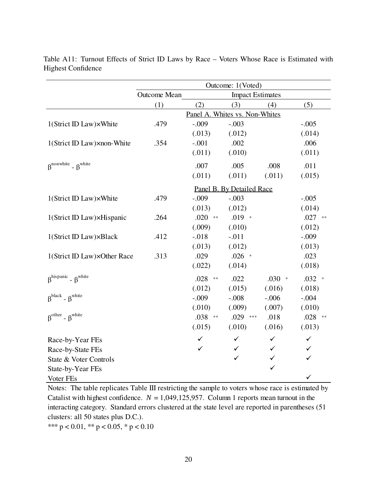|                                                        | Outcome: 1(Voted)   |                                |                           |              |              |  |  |  |
|--------------------------------------------------------|---------------------|--------------------------------|---------------------------|--------------|--------------|--|--|--|
|                                                        | <b>Outcome Mean</b> |                                | <b>Impact Estimates</b>   |              |              |  |  |  |
|                                                        | (1)                 | (2)                            | (3)                       | (4)          | (5)          |  |  |  |
|                                                        |                     | Panel A. Whites vs. Non-Whites |                           |              |              |  |  |  |
| 1(Strict ID Law)×White                                 | .479                | $-.009$                        | $-.003$                   |              | $-.005$      |  |  |  |
|                                                        |                     | (.013)                         | (.012)                    |              | (.014)       |  |  |  |
| 1(Strict ID Law)×non-White                             | .354                | $-.001$                        | .002                      |              | .006         |  |  |  |
|                                                        |                     | (.011)                         | (.010)                    |              | (.011)       |  |  |  |
| $\beta$ <sup>nonwhite</sup> - $\beta$ <sup>white</sup> |                     | .007                           | .005                      | .008         | .011         |  |  |  |
|                                                        |                     | (.011)                         | (.011)                    | (.011)       | (.015)       |  |  |  |
|                                                        |                     |                                | Panel B. By Detailed Race |              |              |  |  |  |
| 1(Strict ID Law)×White                                 | .479                | $-.009$                        | $-.003$                   |              | $-.005$      |  |  |  |
|                                                        |                     | (.013)                         | (.012)                    |              | (.014)       |  |  |  |
| 1(Strict ID Law)×Hispanic                              | .264                | $.020$ **                      | $.019$ *                  |              | $.027$ **    |  |  |  |
|                                                        |                     | (.009)                         | (.010)                    |              | (.012)       |  |  |  |
| 1(Strict ID Law)×Black                                 | .412                | $-.018$                        | $-.011$                   |              | $-.009$      |  |  |  |
|                                                        |                     | (.013)                         | (.012)                    |              | (.013)       |  |  |  |
| 1(Strict ID Law)×Other Race                            | .313                | .029                           | $.026$ *                  |              | .023         |  |  |  |
|                                                        |                     | (.022)                         | (.014)                    |              | (.018)       |  |  |  |
| $\beta^{hispanic}$ - $\beta^{white}$                   |                     | $.028$ **                      | .022                      | $.030*$      | $.032$ *     |  |  |  |
|                                                        |                     | (.012)                         | (.015)                    | (.016)       | (.018)       |  |  |  |
| $\beta^{black}$ - $\beta^{white}$                      |                     | $-.009$                        | $-.008$                   | $-.006$      | $-.004$      |  |  |  |
|                                                        |                     | (.010)                         | (.009)                    | (.007)       | (.010)       |  |  |  |
| $\beta^{\text{other}}$ - $\beta^{\text{white}}$        |                     | .038 **                        | .029 ***                  | .018         | $.028$ **    |  |  |  |
|                                                        |                     | (.015)                         | (.010)                    | (.016)       | (.013)       |  |  |  |
| Race-by-Year FEs                                       |                     | ✓                              | ✓                         | ✓            | ✓            |  |  |  |
| Race-by-State FEs                                      |                     | ✓                              | ✓                         | ✓            | ✓            |  |  |  |
| State & Voter Controls                                 |                     |                                | $\checkmark$              | $\checkmark$ | $\checkmark$ |  |  |  |
| State-by-Year FEs                                      |                     |                                |                           | $\checkmark$ |              |  |  |  |
| Voter FEs                                              |                     |                                |                           |              | ✓            |  |  |  |

<span id="page-64-0"></span>Table A11: Turnout Effects of Strict ID Laws by Race – Voters Whose Race is Estimated with Highest Confidence

Notes: The table replicates Table III restricting the sample to voters whose race is estimated by Catalist with highest confidence.  $N = 1,049,125,957$ . Column 1 reports mean turnout in the interacting category. Standard errors clustered at the state level are reported in parentheses (51 clusters: all 50 states plus D.C.).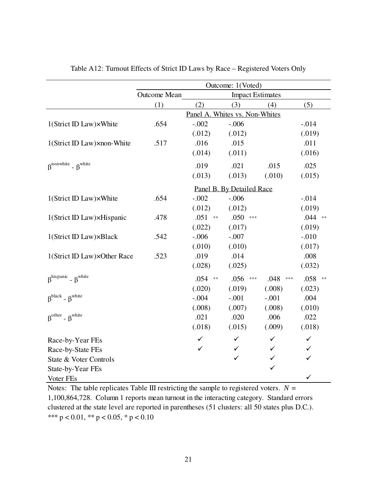<span id="page-65-0"></span>

|                                                        | Outcome: 1(Voted) |                    |                                |               |                    |
|--------------------------------------------------------|-------------------|--------------------|--------------------------------|---------------|--------------------|
|                                                        | Outcome Mean      |                    | <b>Impact Estimates</b>        |               |                    |
|                                                        | (1)               | (2)                | (3)                            | (4)           | (5)                |
|                                                        |                   |                    | Panel A. Whites vs. Non-Whites |               |                    |
| 1(Strict ID Law)×White                                 | .654              | $-.002$            | $-.006$                        |               | $-.014$            |
|                                                        |                   | (.012)             | (.012)                         |               | (.019)             |
| 1(Strict ID Law)×non-White                             | .517              | .016               | .015                           |               | .011               |
|                                                        |                   | (.014)             | (.011)                         |               | (.016)             |
| $\beta$ <sup>nonwhite</sup> - $\beta$ <sup>white</sup> |                   | .019               | .021                           | .015          | .025               |
|                                                        |                   | (.013)             | (.013)                         | (.010)        | (.015)             |
|                                                        |                   |                    | Panel B. By Detailed Race      |               |                    |
| 1(Strict ID Law)×White                                 | .654              | $-.002$            | $-.006$                        |               | $-.014$            |
|                                                        |                   | (.012)             | (.012)                         |               | (.019)             |
| 1(Strict ID Law)×Hispanic                              | .478              | .051<br>$\ast\ast$ | .050<br>$***$                  |               | $.044$ **          |
|                                                        |                   | (.022)             | (.017)                         |               | (.019)             |
| 1(Strict ID Law)×Black                                 | .542              | $-.006$            | $-.007$                        |               | $-.010$            |
|                                                        |                   | (.010)             | (.010)                         |               | (.017)             |
| 1(Strict ID Law)×Other Race                            | .523              | .019               | .014                           |               | .008               |
|                                                        |                   | (.028)             | (.025)                         |               | (.032)             |
| $R^{hispanic}$ - $R^{white}$                           |                   | $.054$ **          | .056<br>$***$                  | .048<br>$***$ | .058<br>$\ast\ast$ |
|                                                        |                   | (.020)             | (.019)                         | (.008)        | (.023)             |
| $\beta^{black}$ - $\beta^{white}$                      |                   | $-.004$            | $-.001$                        | $-.001$       | .004               |
|                                                        |                   | (.008)             | (.007)                         | (.008)        | (.010)             |
| $\beta^{\text{other}}$ - $\beta^{\text{white}}$        |                   | .021               | .020                           | .006          | .022               |
|                                                        |                   | (.018)             | (.015)                         | (.009)        | (.018)             |
| Race-by-Year FEs                                       |                   | ✓                  | $\checkmark$                   | $\checkmark$  | ✓                  |
| Race-by-State FEs                                      |                   | ✓                  | ✓                              | ✓             | ✓                  |
| State & Voter Controls                                 |                   |                    | ✓                              | $\checkmark$  | ✓                  |
| State-by-Year FEs                                      |                   |                    |                                | $\checkmark$  |                    |
| Voter FEs                                              |                   |                    |                                |               | $\checkmark$       |

Table A12: Turnout Effects of Strict ID Laws by Race – Registered Voters Only

\*\*\*  $p < 0.01$ , \*\*  $p < 0.05$ , \*  $p < 0.10$ Notes: The table replicates Table III restricting the sample to registered voters.  $N =$ 1,100,864,728. Column 1 reports mean turnout in the interacting category. Standard errors clustered at the state level are reported in parentheses (51 clusters: all 50 states plus D.C.).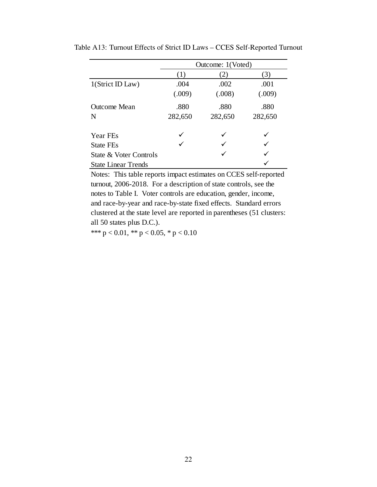|                        | Outcome: 1(Voted) |         |         |  |
|------------------------|-------------------|---------|---------|--|
|                        | (1)               | (2)     | (3)     |  |
| 1(Strict ID Law)       | .004              | .002    | .001    |  |
|                        | (.009)            | (.008)  | (.009)  |  |
| Outcome Mean           | .880              | .880    | .880    |  |
| N                      | 282,650           | 282,650 | 282,650 |  |
| Year FEs               | ✓                 |         |         |  |
| <b>State FEs</b>       |                   |         |         |  |
| State & Voter Controls |                   |         |         |  |
| State Linear Trends    |                   |         |         |  |

<span id="page-66-0"></span>Table A13: Turnout Effects of Strict ID Laws – CCES Self-Reported Turnout

Notes: This table reports impact estimates on CCES self-reported turnout, 2006-2018. For a description of state controls, see the notes to Table I. Voter controls are education, gender, income, and race-by-year and race-by-state fixed effects. Standard errors clustered at the state level are reported in parentheses (51 clusters: all 50 states plus D.C.).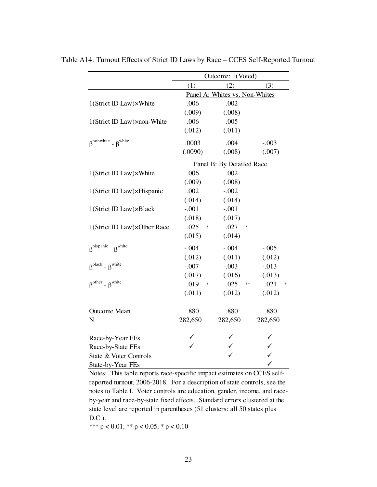|                                                        | Outcome: 1(Voted)              |                           |         |  |  |
|--------------------------------------------------------|--------------------------------|---------------------------|---------|--|--|
|                                                        | (3)<br>(1)<br>(2)              |                           |         |  |  |
|                                                        | Panel A: Whites vs. Non-Whites |                           |         |  |  |
| 1(Strict ID Law)×White                                 | .006                           | .002                      |         |  |  |
|                                                        | (.009)                         | (.008)                    |         |  |  |
| 1(Strict ID Law)×non-White                             | .006                           | .005                      |         |  |  |
|                                                        | (.012)                         | (.011)                    |         |  |  |
| $\beta$ <sup>nonwhite</sup> - $\beta$ <sup>white</sup> | .0003                          | .004                      | $-.003$ |  |  |
|                                                        | (.0090)                        | (.008)                    | (.007)  |  |  |
|                                                        |                                | Panel B: By Detailed Race |         |  |  |
| 1(Strict ID Law)×White                                 | .006                           | .002                      |         |  |  |
|                                                        | (.009)                         | (.008)                    |         |  |  |
| 1(Strict ID Law)×Hispanic                              | .002                           | $-.002$                   |         |  |  |
|                                                        | (.014)                         | (.014)                    |         |  |  |
| 1(Strict ID Law)×Black                                 | $-.001$                        | $-.001$                   |         |  |  |
|                                                        | (.018)                         | (.017)                    |         |  |  |
| 1(Strict ID Law)×Other Race                            | .025<br>$\ast$                 | .027                      |         |  |  |
|                                                        | (.015)                         | (.014)                    |         |  |  |
| $\beta^{hispanic}$ - $\beta^{white}$                   | $-.004$                        | $-.004$                   | $-.005$ |  |  |
|                                                        | (.012)                         | (.011)                    | (.012)  |  |  |
| $\beta^{black}$ - $\beta^{white}$                      | $-.007$                        | $-.003$                   | $-.013$ |  |  |
|                                                        | (.017)                         | (.016)                    | (.013)  |  |  |
| $\beta^{other}$ - $\beta^{white}$                      | .019<br>∗                      | .025<br>**                | .021    |  |  |
|                                                        | (.011)                         | (.012)                    | (.012)  |  |  |
| <b>Outcome Mean</b>                                    | .880                           | .880                      | .880    |  |  |
| N                                                      | 282,650                        | 282,650                   | 282,650 |  |  |
|                                                        |                                |                           |         |  |  |
| Race-by-Year FEs                                       |                                |                           | ✓       |  |  |
| Race-by-State FEs                                      |                                |                           |         |  |  |
| State & Voter Controls                                 |                                |                           |         |  |  |
| State-by-Year FEs                                      |                                |                           |         |  |  |

<span id="page-67-0"></span>Table A14: Turnout Effects of Strict ID Laws by Race – CCES Self-Reported Turnout

Notes: This table reports race-specific impact estimates on CCES selfreported turnout, 2006-2018. For a description of state controls, see the notes to Table I. Voter controls are education, gender, income, and raceby-year and race-by-state fixed effects. Standard errors clustered at the state level are reported in parentheses (51 clusters: all 50 states plus D.C.).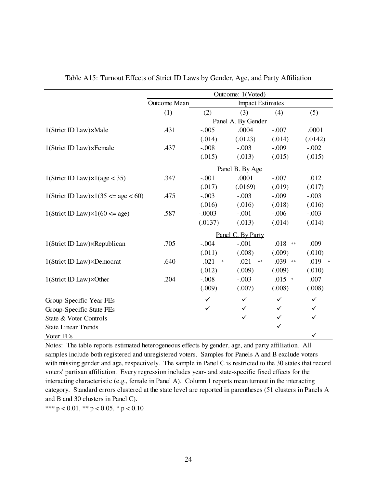<span id="page-68-0"></span>

|                                                     | Outcome: 1(Voted)   |                   |                         |                    |           |
|-----------------------------------------------------|---------------------|-------------------|-------------------------|--------------------|-----------|
|                                                     | <b>Outcome Mean</b> |                   | <b>Impact Estimates</b> |                    |           |
|                                                     | (1)                 | (2)               | (3)                     | (4)                | (5)       |
|                                                     |                     |                   | Panel A. By Gender      |                    |           |
| 1(Strict ID Law)×Male                               | .431                | $-.005$           | .0004                   | $-.007$            | .0001     |
|                                                     |                     | (.014)            | (.0123)                 | (.014)             | (.0142)   |
| 1(Strict ID Law)×Female                             | .437                | $-.008$           | $-.003$                 | $-.009$            | $-.002$   |
|                                                     |                     | (.015)            | (.013)                  | (.015)             | (.015)    |
|                                                     |                     |                   | Panel B. By Age         |                    |           |
| $1(\text{Strict ID Law}) \times 1(\text{age} < 35)$ | .347                | $-.001$           | .0001                   | $-.007$            | .012      |
|                                                     |                     | (.017)            | (.0169)                 | (.019)             | (.017)    |
| 1(Strict ID Law) $\times$ 1(35 <= age < 60)         | .475                | $-.003$           | $-.003$                 | $-.009$            | $-.003$   |
|                                                     |                     | (.016)            | (.016)                  | (.018)             | (.016)    |
| 1(Strict ID Law) $\times$ 1(60 <= age)              | .587                | $-.0003$          | $-.001$                 | $-.006$            | $-.003$   |
|                                                     |                     | (.0137)           | (.013)                  | (.014)             | (.014)    |
|                                                     |                     |                   | Panel C. By Party       |                    |           |
| 1(Strict ID Law)×Republican                         | .705                | $-.004$           | $-.001$                 | .018<br>$\ast\ast$ | .009      |
|                                                     |                     | (.011)            | (.008)                  | (.009)             | (.010)    |
| 1(Strict ID Law)×Democrat                           | .640                | .021<br>$\approx$ | .021<br>$\ast$ $\ast$   | .039 **            | .019<br>未 |
|                                                     |                     | (.012)            | (.009)                  | (.009)             | (.010)    |
| 1(Strict ID Law)×Other                              | .204                | $-.008$           | $-.003$                 | $.015$ *           | .007      |
|                                                     |                     | (.009)            | (.007)                  | (.008)             | (.008)    |
| Group-Specific Year FEs                             |                     | $\checkmark$      | ✓                       | ✓                  | ✓         |
| Group-Specific State FEs                            |                     | ✓                 |                         |                    | ✓         |
| State & Voter Controls                              |                     |                   | ✓                       | ✓                  | ✓         |
| <b>State Linear Trends</b>                          |                     |                   |                         | $\checkmark$       |           |
| Voter FEs                                           |                     |                   |                         |                    | ✓         |

Table A15: Turnout Effects of Strict ID Laws by Gender, Age, and Party Affiliation

Notes: The table reports estimated heterogeneous effects by gender, age, and party affiliation. All samples include both registered and unregistered voters. Samples for Panels A and B exclude voters with missing gender and age, respectively. The sample in Panel C is restricted to the 30 states that record voters' partisan affiliation. Every regression includes year- and state-specific fixed effects for the interacting characteristic (e.g., female in Panel A). Column 1 reports mean turnout in the interacting category. Standard errors clustered at the state level are reported in parentheses (51 clusters in Panels A and B and 30 clusters in Panel C).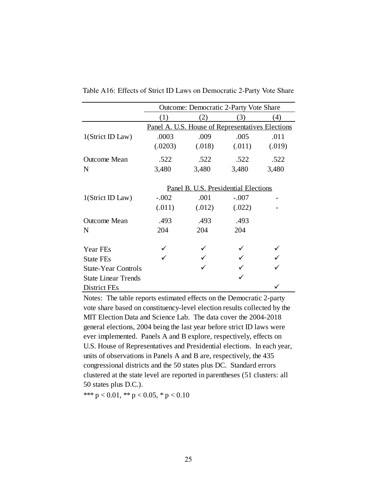|                            | <b>Outcome: Democratic 2-Party Vote Share</b>    |                                      |         |        |  |
|----------------------------|--------------------------------------------------|--------------------------------------|---------|--------|--|
|                            | (1)                                              | (2)                                  | (3)     | (4)    |  |
|                            | Panel A. U.S. House of Representatives Elections |                                      |         |        |  |
| 1(Strict ID Law)           | .0003                                            | .009                                 | .005    | .011   |  |
|                            | (.0203)                                          | (.018)                               | (.011)  | (.019) |  |
| <b>Outcome Mean</b>        | .522                                             | .522                                 | .522    | .522   |  |
| N                          | 3,480                                            | 3,480                                | 3,480   | 3,480  |  |
|                            |                                                  |                                      |         |        |  |
|                            |                                                  | Panel B. U.S. Presidential Elections |         |        |  |
| 1(Strict ID Law)           | $-.002$                                          | .001                                 | $-.007$ |        |  |
|                            | (.011)                                           | (.012)                               | (.022)  |        |  |
| <b>Outcome Mean</b>        | .493                                             | .493                                 | .493    |        |  |
| N                          | 204                                              | 204                                  | 204     |        |  |
|                            |                                                  |                                      |         |        |  |
| Year FEs                   |                                                  |                                      |         |        |  |
| <b>State FEs</b>           |                                                  |                                      |         |        |  |
| <b>State-Year Controls</b> |                                                  |                                      |         |        |  |
| <b>State Linear Trends</b> |                                                  |                                      |         |        |  |
| District FEs               |                                                  |                                      |         |        |  |

<span id="page-69-0"></span>Table A16: Effects of Strict ID Laws on Democratic 2-Party Vote Share

Notes: The table reports estimated effects on the Democratic 2-party vote share based on constituency-level election results collected by the MIT Election Data and Science Lab. The data cover the 2004-2018 general elections, 2004 being the last year before strict ID laws were ever implemented. Panels A and B explore, respectively, effects on U.S. House of Representatives and Presidential elections. In each year, units of observations in Panels A and B are, respectively, the 435 congressional districts and the 50 states plus DC. Standard errors clustered at the state level are reported in parentheses (51 clusters: all 50 states plus D.C.).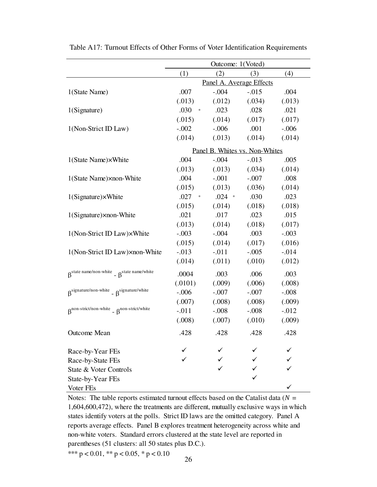|                                                                                         | Outcome: 1(Voted)        |                                |          |          |  |
|-----------------------------------------------------------------------------------------|--------------------------|--------------------------------|----------|----------|--|
|                                                                                         | (4)<br>(1)<br>(3)<br>(2) |                                |          |          |  |
|                                                                                         | Panel A. Average Effects |                                |          |          |  |
| 1(State Name)                                                                           | .007                     | $-.004$                        | $-0.015$ | .004     |  |
|                                                                                         | (.013)                   | (.012)                         | (.034)   | (.013)   |  |
| 1(Signature)                                                                            | .030<br>$*$              | .023                           | .028     | .021     |  |
|                                                                                         | (.015)                   | (.014)                         | (.017)   | (.017)   |  |
| 1(Non-Strict ID Law)                                                                    | $-.002$                  | $-.006$                        | .001     | $-.006$  |  |
|                                                                                         | (.014)                   | (.013)                         | (.014)   | (.014)   |  |
|                                                                                         |                          | Panel B. Whites vs. Non-Whites |          |          |  |
| 1(State Name)×White                                                                     | .004                     | $-.004$                        | $-.013$  | .005     |  |
|                                                                                         | (.013)                   | (.013)                         | (.034)   | (.014)   |  |
| 1(State Name)×non-White                                                                 | .004                     | $-.001$                        | $-.007$  | .008     |  |
|                                                                                         | (.015)                   | (.013)                         | (.036)   | (.014)   |  |
| 1(Signature)×White                                                                      | $.027$ *                 | $.024$ *                       | .030     | .023     |  |
|                                                                                         | (.015)                   | (.014)                         | (.018)   | (.018)   |  |
| 1(Signature)×non-White                                                                  | .021                     | .017                           | .023     | .015     |  |
|                                                                                         | (.013)                   | (.014)                         | (.018)   | (.017)   |  |
| 1(Non-Strict ID Law)×White                                                              | $-.003$                  | $-.004$                        | .003     | $-.003$  |  |
|                                                                                         | (.015)                   | (.014)                         | (.017)   | (.016)   |  |
| 1(Non-Strict ID Law) xnon-White                                                         | $-.013$                  | $-.011$                        | $-.005$  | $-.014$  |  |
|                                                                                         | (.014)                   | (.011)                         | (.010)   | (.012)   |  |
| $\beta^{\text{state name}/\text{non-white}}$ - $\beta^{\text{state name}/\text{white}}$ | .0004                    | .003                           | .006     | .003     |  |
|                                                                                         | (.0101)                  | (.009)                         | (.006)   | (.008)   |  |
| $\beta$ <sup>signature/non-white</sup> - $\beta$ <sup>signature/white</sup>             | $-.006$                  | $-.007$                        | $-.007$  | $-.008$  |  |
|                                                                                         | (.007)                   | (.008)                         | (.008)   | (.009)   |  |
| $\beta^{non-strict/non-white}$ - $\beta^{non-strict/white}$                             | $-.011$                  | $-.008$                        | $-.008$  | $-0.012$ |  |
|                                                                                         | (.008)                   | (.007)                         | (.010)   | (.009)   |  |
| Outcome Mean                                                                            | .428                     | .428                           | .428     | .428     |  |
| Race-by-Year FEs                                                                        |                          |                                |          |          |  |
| Race-by-State FEs                                                                       |                          |                                |          |          |  |
| State & Voter Controls                                                                  |                          |                                |          |          |  |
| State-by-Year FEs                                                                       |                          |                                |          |          |  |
| Voter FEs                                                                               |                          |                                |          |          |  |

<span id="page-70-0"></span>Table A17: Turnout Effects of Other Forms of Voter Identification Requirements

Notes: The table reports estimated turnout effects based on the Catalist data ( $N =$ 1,604,600,472), where the treatments are different, mutually exclusive ways in which states identify voters at the polls. Strict ID laws are the omitted category. Panel A reports average effects. Panel B explores treatment heterogeneity across white and non-white voters. Standard errors clustered at the state level are reported in parentheses (51 clusters: all 50 states plus D.C.).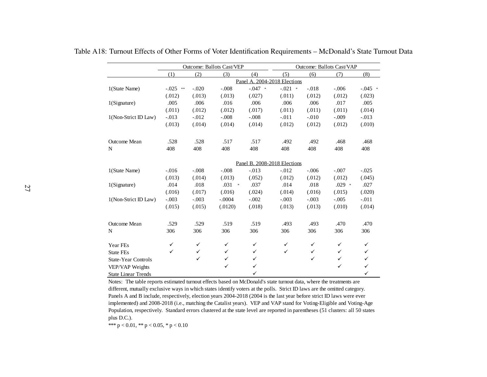|                            | <b>Outcome: Ballots Cast/VEP</b> |              |              | <b>Outcome: Ballots Cast/VAP</b> |              |              |              |              |
|----------------------------|----------------------------------|--------------|--------------|----------------------------------|--------------|--------------|--------------|--------------|
|                            | (1)                              | (2)          | (3)          | (4)                              | (5)          | (6)          | (7)          | (8)          |
|                            |                                  |              |              | Panel A. 2004-2018 Elections     |              |              |              |              |
| 1(State Name)              | $-0.025$ **                      | $-.020$      | $-.008$      | $-.047$ *                        | $-.021$ *    | $-.018$      | $-.006$      | $-.045$ *    |
|                            | (.012)                           | (.013)       | (.013)       | (.027)                           | (.011)       | (.012)       | (.012)       | (.023)       |
| 1(Signature)               | .005                             | .006         | .016         | .006                             | .006         | .006         | .017         | .005         |
|                            | (.011)                           | (.012)       | (.012)       | (.017)                           | (.011)       | (.011)       | (.011)       | (.014)       |
| 1(Non-Strict ID Law)       | $-.013$                          | $-.012$      | $-.008$      | $-.008$                          | $-.011$      | $-.010$      | $-.009$      | $-.013$      |
|                            | (.013)                           | (.014)       | (.014)       | (.014)                           | (.012)       | (.012)       | (.012)       | (.010)       |
| <b>Outcome Mean</b>        | .528                             | .528         | .517         | .517                             | .492         | .492         | .468         | .468         |
| N                          | 408                              | 408          | 408          | 408                              | 408          | 408          | 408          | 408          |
|                            |                                  |              |              | Panel B. 2008-2018 Elections     |              |              |              |              |
| 1(State Name)              | $-.016$                          | $-.008$      | $-.008$      | $-.013$                          | $-.012$      | $-.006$      | $-.007$      | $-.025$      |
|                            | (.013)                           | (.014)       | (.013)       | (.052)                           | (.012)       | (.012)       | (.012)       | (.045)       |
| 1(Signature)               | .014                             | .018         | $.031$ *     | .037                             | .014         | .018         | $.029$ *     | .027         |
|                            | (.016)                           | (.017)       | (.016)       | (.024)                           | (.014)       | (.016)       | (.015)       | (.020)       |
| 1(Non-Strict ID Law)       | $-.003$                          | $-.003$      | $-.0004$     | $-.002$                          | $-.003$      | $-.003$      | $-.005$      | $-.011$      |
|                            | (.015)                           | (.015)       | (.0120)      | (.018)                           | (.013)       | (.013)       | (.010)       | (.014)       |
| <b>Outcome Mean</b>        | .529                             | .529         | .519         | .519                             | .493         | .493         | .470         | .470         |
| N                          | 306                              | 306          | 306          | 306                              | 306          | 306          | 306          | 306          |
| Year FEs                   | ✓                                | ✓            | ✓            | ✓                                | ✓            | ✓            | ✓            | ✓            |
| <b>State FEs</b>           | $\checkmark$                     | $\checkmark$ | $\checkmark$ | $\checkmark$                     | $\checkmark$ | $\checkmark$ | $\checkmark$ | $\checkmark$ |
| <b>State-Year Controls</b> |                                  | $\checkmark$ | ✓            | ✓                                |              | $\checkmark$ | $\checkmark$ | $\checkmark$ |
| VEP/VAP Weights            |                                  |              | $\checkmark$ | ✓                                |              |              | $\checkmark$ | $\checkmark$ |
| <b>State Linear Trends</b> |                                  |              |              | ✓                                |              |              |              | $\checkmark$ |

Table A18: Turnout Effects of Other Forms of Voter Identification Requirements – McDonald's State Turnout Data

<span id="page-71-0"></span> Notes: The table reports estimated turnout effects based on McDonald's state turnout data, where the treatments are different, mutually exclusive ways in which states identify voters at the polls. Strict ID laws are the omitted category. Panels A and B include, respectively, election years 2004-2018 (2004 is the last year before strict ID laws were ever implemented) and 2008-2018 (i.e., matching the Catalist years). VEP and VAP stand for Voting-Eligible and Voting-Age Population, respectively. Standard errors clustered at the state level are reported in parentheses (51 clusters: all 50 states plus D.C.).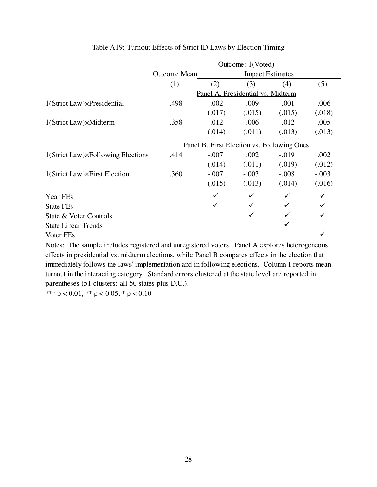|                                   |                                            |              | Outcome: 1(Voted)                 |         |         |  |
|-----------------------------------|--------------------------------------------|--------------|-----------------------------------|---------|---------|--|
|                                   | <b>Outcome Mean</b>                        |              | <b>Impact Estimates</b>           |         |         |  |
|                                   | (1)                                        | (2)          | (3)                               | (4)     | (5)     |  |
|                                   |                                            |              | Panel A. Presidential vs. Midterm |         |         |  |
| 1(Strict Law)×Presidential        | .498                                       | .002         | .009                              | $-.001$ | .006    |  |
|                                   |                                            | (.017)       | (.015)                            | (.015)  | (.018)  |  |
| 1(Strict Law)×Midterm             | .358                                       | $-.012$      | $-.006$                           | $-.012$ | $-.005$ |  |
|                                   |                                            | (.014)       | (.011)                            | (.013)  | (.013)  |  |
|                                   | Panel B. First Election vs. Following Ones |              |                                   |         |         |  |
| 1(Strict Law)×Following Elections | .414                                       | $-.007$      | .002                              | $-.019$ | .002    |  |
|                                   |                                            | (.014)       | (.011)                            | (.019)  | (.012)  |  |
| 1(Strict Law)×First Election      | .360                                       | $-.007$      | $-.003$                           | $-.008$ | $-.003$ |  |
|                                   |                                            | (.015)       | (.013)                            | (.014)  | (.016)  |  |
| Year FEs                          |                                            | $\checkmark$ | ✓                                 | ✓       |         |  |
| <b>State FEs</b>                  |                                            | ✓            |                                   |         |         |  |
| State & Voter Controls            |                                            |              |                                   |         |         |  |
| <b>State Linear Trends</b>        |                                            |              |                                   | ✓       |         |  |
| Voter FEs                         |                                            |              |                                   |         | ✓       |  |

## Table A19: Turnout Effects of Strict ID Laws by Election Timing

Notes: The sample includes registered and unregistered voters. Panel A explores heterogeneous effects in presidential vs. midterm elections, while Panel B compares effects in the election that immediately follows the laws' implementation and in following elections. Column 1 reports mean turnout in the interacting category. Standard errors clustered at the state level are reported in parentheses (51 clusters: all 50 states plus D.C.).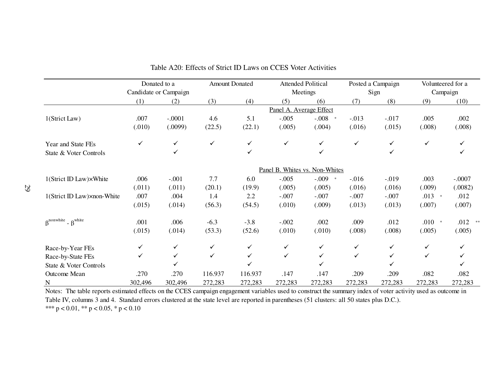|                                                                                                                                                               |              | Donated to a          |              | <b>Amount Donated</b> |                         | <b>Attended Political</b>      |              | Posted a Campaign | Volunteered for a |              |
|---------------------------------------------------------------------------------------------------------------------------------------------------------------|--------------|-----------------------|--------------|-----------------------|-------------------------|--------------------------------|--------------|-------------------|-------------------|--------------|
|                                                                                                                                                               |              | Candidate or Campaign |              |                       |                         | Meetings                       |              | Sign              | Campaign          |              |
|                                                                                                                                                               | (1)          | (2)                   | (3)          | (4)                   | (5)                     | (6)                            | (7)          | (8)               | (9)               | (10)         |
|                                                                                                                                                               |              |                       |              |                       | Panel A. Average Effect |                                |              |                   |                   |              |
| 1(Strict Law)                                                                                                                                                 | .007         | $-.0001$              | 4.6          | 5.1                   | $-.005$                 | $-.008$                        | $-.013$      | $-.017$           | .005              | .002         |
|                                                                                                                                                               | (.010)       | (.0099)               | (22.5)       | (22.1)                | (.005)                  | (.004)                         | (.016)       | (.015)            | (.008)            | (.008)       |
| Year and State FEs                                                                                                                                            | $\checkmark$ | $\checkmark$          | $\checkmark$ | ✓                     | $\checkmark$            | ✓                              | ✓            | $\checkmark$      | $\checkmark$      | $\checkmark$ |
| State & Voter Controls                                                                                                                                        |              | ✓                     |              | ✓                     |                         | ✓                              |              | ✓                 |                   | ✓            |
|                                                                                                                                                               |              |                       |              |                       |                         | Panel B. Whites vs. Non-Whites |              |                   |                   |              |
| 1(Strict ID Law)×White                                                                                                                                        | .006         | $-.001$               | 7.7          | 6.0                   | $-.005$                 | $-.009$<br>$\Rightarrow$       | $-.016$      | $-.019$           | .003              | $-.0007$     |
|                                                                                                                                                               | (.011)       | (.011)                | (20.1)       | (19.9)                | (.005)                  | (.005)                         | (.016)       | (.016)            | (.009)            | (.0082)      |
| 1(Strict ID Law)×non-White                                                                                                                                    | .007         | .004                  | 1.4          | 2.2                   | $-.007$                 | $-.007$                        | $-.007$      | $-.007$           | $.013$ *          | .012         |
|                                                                                                                                                               | (.015)       | (.014)                | (56.3)       | (54.5)                | (.010)                  | (.009)                         | (.013)       | (.013)            | (.007)            | (.007)       |
| $\beta$ <sup>nonwhite</sup> - $\beta$ <sup>white</sup>                                                                                                        | .001         | .006                  | $-6.3$       | $-3.8$                | $-.002$                 | .002                           | .009         | .012              | $.010*$           | .012         |
|                                                                                                                                                               | (.015)       | (.014)                | (53.3)       | (52.6)                | (.010)                  | (.010)                         | (.008)       | (.008)            | (.005)            | (.005)       |
| Race-by-Year FEs                                                                                                                                              | ✓            | ✓                     | ✓            | ✓                     | ✓                       | ✓                              | ✓            | ✓                 | ✓                 |              |
| Race-by-State FEs                                                                                                                                             | ✓            | ✓                     | $\checkmark$ | ✓                     | ✓                       | ✓                              | $\checkmark$ |                   | ✓                 |              |
| State & Voter Controls                                                                                                                                        |              | ✓                     |              |                       |                         |                                |              |                   |                   |              |
| Outcome Mean                                                                                                                                                  | .270         | .270                  | 116.937      | 116.937               | .147                    | .147                           | .209         | .209              | .082              | .082         |
| N                                                                                                                                                             | 302,496      | 302,496               | 272,283      | 272,283               | 272,283                 | 272,283                        | 272,283      | 272,283           | 272,283           | 272,283      |
| Notes: The table reports estimated effects on the CCES campaign engagement variables used to construct the summary index of voter activity used as outcome in |              |                       |              |                       |                         |                                |              |                   |                   |              |

Table A20: Effects of Strict ID Laws on CCES Voter Activities

Table IV, columns 3 and 4. Standard errors clustered at the state level are reported in parentheses (51 clusters: all 50 states plus D.C.). \*\*\*  $p < 0.01$ , \*\*  $p < 0.05$ , \*  $p < 0.10$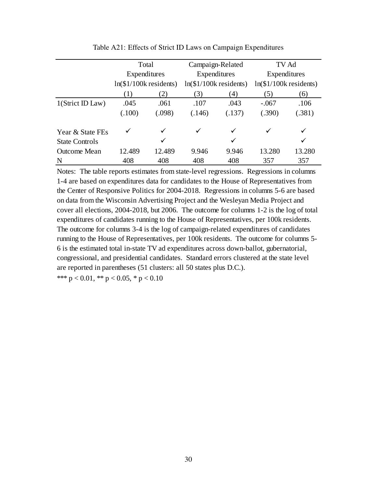|                       | Total                        |        | Campaign-Related             |        | TV Ad                   |        |  |
|-----------------------|------------------------------|--------|------------------------------|--------|-------------------------|--------|--|
|                       | Expenditures                 |        | Expenditures                 |        | Expenditures            |        |  |
|                       | $ln($ \$1/100 $k$ residents) |        | $ln($ \$1/100 $k$ residents) |        | $ln($1/100k$ residents) |        |  |
|                       | (1)                          | (2)    | (3)                          | (4)    | (5)                     | (6)    |  |
| 1(Strict ID Law)      | .045                         | .061   | .107                         | .043   | $-.067$                 | .106   |  |
|                       | (.100)                       | (.098) | (.146)                       | (.137) | (.390)                  | (.381) |  |
| Year & State FEs      |                              | ✓      | ✓                            | ✓      | ✓                       | ✓      |  |
| <b>State Controls</b> |                              | ✓      |                              | ✓      |                         | ✓      |  |
| <b>Outcome Mean</b>   | 12.489                       | 12.489 | 9.946                        | 9.946  | 13.280                  | 13.280 |  |
| N                     | 408                          | 408    | 408                          | 408    | 357                     | 357    |  |

Table A21: Effects of Strict ID Laws on Campaign Expenditures

Notes: The table reports estimates from state-level regressions. Regressions in columns 1-4 are based on expenditures data for candidates to the House of Representatives from the Center of Responsive Politics for 2004-2018. Regressions in columns 5-6 are based on data from the Wisconsin Advertising Project and the Wesleyan Media Project and cover all elections, 2004-2018, but 2006. The outcome for columns 1-2 is the log of total expenditures of candidates running to the House of Representatives, per 100k residents. The outcome for columns 3-4 is the log of campaign-related expenditures of candidates running to the House of Representatives, per 100k residents. The outcome for columns 5- 6 is the estimated total in-state TV ad expenditures across down-ballot, gubernatorial, congressional, and presidential candidates. Standard errors clustered at the state level are reported in parentheses (51 clusters: all 50 states plus D.C.).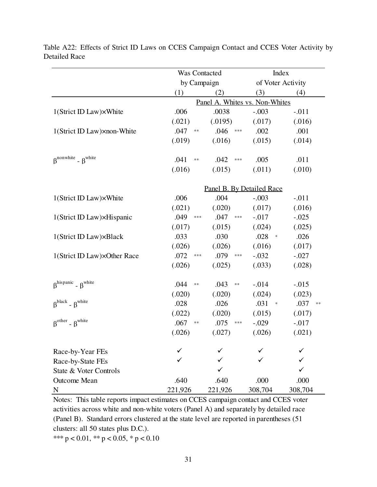|                                                        | Was Contacted             |                                | Index             |            |  |  |  |  |  |
|--------------------------------------------------------|---------------------------|--------------------------------|-------------------|------------|--|--|--|--|--|
|                                                        | by Campaign               |                                | of Voter Activity |            |  |  |  |  |  |
|                                                        | (1)                       | (2)                            | (3)               | (4)        |  |  |  |  |  |
|                                                        |                           | Panel A. Whites vs. Non-Whites |                   |            |  |  |  |  |  |
| 1(Strict ID Law)×White                                 | .006                      | .0038                          | $-.003$           | $-.011$    |  |  |  |  |  |
|                                                        | (.021)                    | (.0195)                        | (.017)            | (.016)     |  |  |  |  |  |
| 1(Strict ID Law) xnon-White                            | .047<br>$\ast\ast$        | .046<br>$***$                  | .002              | .001       |  |  |  |  |  |
|                                                        | (.019)                    | (.016)                         | (.015)            | (.014)     |  |  |  |  |  |
| $\beta$ <sup>nonwhite</sup> - $\beta$ <sup>white</sup> | .041<br>$**$              | .042<br>$***$                  | .005              | .011       |  |  |  |  |  |
|                                                        | (.016)                    | (.015)                         | (.011)            | (.010)     |  |  |  |  |  |
|                                                        | Panel B. By Detailed Race |                                |                   |            |  |  |  |  |  |
| 1(Strict ID Law)×White                                 | .006                      | .004                           | $-.003$           | $-.011$    |  |  |  |  |  |
|                                                        | (.021)                    | (.020)                         | (.017)            | (.016)     |  |  |  |  |  |
| 1(Strict ID Law)×Hispanic                              | .049<br>***               | .047<br>$***$                  | $-.017$           | $-.025$    |  |  |  |  |  |
|                                                        | (.017)                    | (.015)                         | (.024)            | (.025)     |  |  |  |  |  |
| 1(Strict ID Law)×Black                                 | .033                      | .030                           | .028<br>$\ast$    | .026       |  |  |  |  |  |
|                                                        | (.026)                    | (.026)                         | (.016)            | (.017)     |  |  |  |  |  |
| 1(Strict ID Law)×Other Race                            | .072<br>$***$             | .079<br>$***$                  | $-.032$           | $-.027$    |  |  |  |  |  |
|                                                        | (.026)                    | (.025)                         | (.033)            | (.028)     |  |  |  |  |  |
| $\beta^{hispanic}$ - $\beta^{white}$                   | .044<br>$\ast\ast$        | .043<br>$\ast\ast$             | $-.014$           | $-.015$    |  |  |  |  |  |
|                                                        | (.020)                    | (.020)                         | (.024)            | (.023)     |  |  |  |  |  |
| $\beta^{black}$ - $\beta^{white}$                      | .028                      | .026                           | .031<br>$\ast$    | .037<br>** |  |  |  |  |  |
|                                                        | (.022)                    | (.020)                         | (.015)            | (.017)     |  |  |  |  |  |
| $\beta^{other}$ - $\beta^{white}$                      | .067<br>$\ast\ast$        | .075<br>$***$                  | $-.029$           | $-.017$    |  |  |  |  |  |
|                                                        | (.026)                    | (.027)                         | (.026)            | (.021)     |  |  |  |  |  |
| Race-by-Year FEs                                       |                           |                                |                   |            |  |  |  |  |  |
| Race-by-State FEs                                      |                           |                                |                   |            |  |  |  |  |  |
| State & Voter Controls                                 |                           |                                |                   |            |  |  |  |  |  |
| Outcome Mean                                           | .640                      | .640                           | .000              | .000       |  |  |  |  |  |
| N                                                      | 221,926                   | 221,926                        | 308,704           | 308,704    |  |  |  |  |  |

Table A22: Effects of Strict ID Laws on CCES Campaign Contact and CCES Voter Activity by Detailed Race

Notes: This table reports impact estimates on CCES campaign contact and CCES voter activities across white and non-white voters (Panel A) and separately by detailed race (Panel B). Standard errors clustered at the state level are reported in parentheses (51 clusters: all 50 states plus D.C.).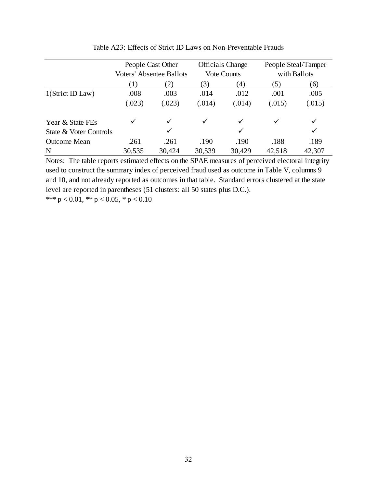|                        | People Cast Other<br><b>Voters' Absentee Ballots</b> |        |        | <b>Officials Change</b><br><b>Vote Counts</b> |        | People Steal/Tamper<br>with Ballots |  |  |
|------------------------|------------------------------------------------------|--------|--------|-----------------------------------------------|--------|-------------------------------------|--|--|
|                        | (1)                                                  |        | 3)     | (4)                                           |        |                                     |  |  |
|                        |                                                      | (2)    |        |                                               | (5)    | (6)                                 |  |  |
| 1(Strict ID Law)       | .008                                                 | .003   | .014   | .012                                          | .001   | .005                                |  |  |
|                        | (.023)                                               | (.023) | (.014) | (.014)                                        | (.015) | (.015)                              |  |  |
| Year & State FEs       |                                                      | ✓      |        | ✓                                             | ✓      |                                     |  |  |
| State & Voter Controls |                                                      | ✓      |        | ✓                                             |        | ✓                                   |  |  |
| <b>Outcome Mean</b>    | .261                                                 | .261   | .190   | .190                                          | .188   | .189                                |  |  |
| N                      | 30,535                                               | 30,424 | 30,539 | 30,429                                        | 42,518 | 42,307                              |  |  |

Table A23: Effects of Strict ID Laws on Non-Preventable Frauds

\*\*\*  $p < 0.01$ , \*\*  $p < 0.05$ , \*  $p < 0.10$ Notes: The table reports estimated effects on the SPAE measures of perceived electoral integrity used to construct the summary index of perceived fraud used as outcome in Table V, columns 9 and 10, and not already reported as outcomes in that table. Standard errors clustered at the state level are reported in parentheses (51 clusters: all 50 states plus D.C.).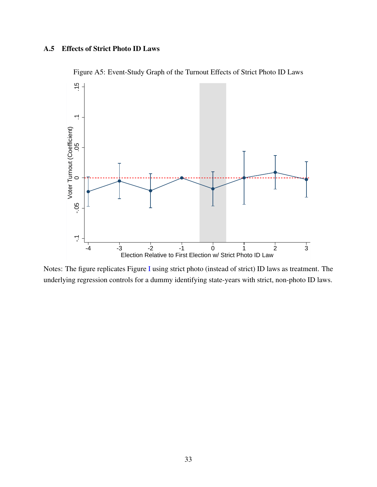# A.5 Effects of Strict Photo ID Laws



Figure A5: Event-Study Graph of the Turnout Effects of Strict Photo ID Laws

Notes: The figure replicates Figure [I](#page-28-0) using strict photo (instead of strict) ID laws as treatment. The underlying regression controls for a dummy identifying state-years with strict, non-photo ID laws.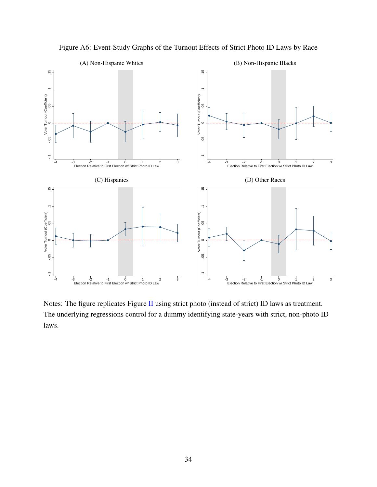

Figure A6: Event-Study Graphs of the Turnout Effects of Strict Photo ID Laws by Race

Notes: The figure replicates Figure [II](#page-29-0) using strict photo (instead of strict) ID laws as treatment. The underlying regressions control for a dummy identifying state-years with strict, non-photo ID laws.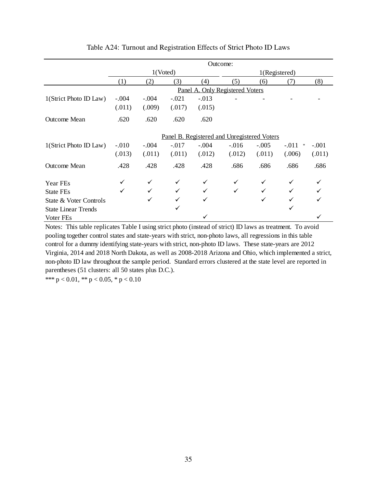|                            |         | Outcome: |         |         |                                             |         |                   |         |  |
|----------------------------|---------|----------|---------|---------|---------------------------------------------|---------|-------------------|---------|--|
|                            |         | 1(Voted) |         |         | 1(Registered)                               |         |                   |         |  |
|                            | (1)     | (2)      | (3)     | (4)     | (5)                                         | (6)     | (7)               | (8)     |  |
|                            |         |          |         |         | Panel A. Only Registered Voters             |         |                   |         |  |
| 1(Strict Photo ID Law)     | $-.004$ | $-.004$  | $-.021$ | $-.013$ |                                             |         |                   |         |  |
|                            | (.011)  | (.009)   | (.017)  | (.015)  |                                             |         |                   |         |  |
| Outcome Mean               | .620    | .620     | .620    | .620    |                                             |         |                   |         |  |
|                            |         |          |         |         | Panel B. Registered and Unregistered Voters |         |                   |         |  |
| 1(Strict Photo ID Law)     | $-.010$ | $-.004$  | $-.017$ | $-.004$ | $-.016$                                     | $-.005$ | $-.011$<br>$\ast$ | $-.001$ |  |
|                            | (.013)  | (.011)   | (.011)  | (.012)  | (.012)                                      | (.011)  | (.006)            | (.011)  |  |
| <b>Outcome Mean</b>        | .428    | .428     | .428    | .428    | .686                                        | .686    | .686              | .686    |  |
| Year FEs                   |         | ✓        | ✓       |         | ✓                                           | ✓       |                   |         |  |
| State FEs                  | ✓       |          | ✓       |         | $\checkmark$                                | ✓       |                   |         |  |
| State & Voter Controls     |         |          | ✓       |         |                                             | ✓       |                   |         |  |
| <b>State Linear Trends</b> |         |          | ✓       |         |                                             |         |                   |         |  |
| Voter FEs                  |         |          |         |         |                                             |         |                   |         |  |

# Table A24: Turnout and Registration Effects of Strict Photo ID Laws

Notes: This table replicates Table I using strict photo (instead of strict) ID laws as treatment. To avoid pooling together control states and state-years with strict, non-photo laws, all regressions in this table control for a dummy identifying state-years with strict, non-photo ID laws. These state-years are 2012 Virginia, 2014 and 2018 North Dakota, as well as 2008-2018 Arizona and Ohio, which implemented a strict, non-photo ID law throughout the sample period. Standard errors clustered at the state level are reported in parentheses (51 clusters: all 50 states plus D.C.).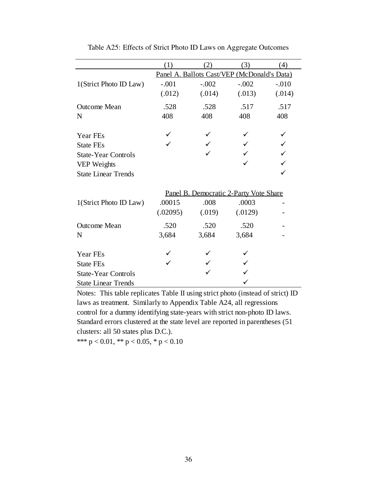|                            | (1)      | (2)     | (3)                                         | (4)     |
|----------------------------|----------|---------|---------------------------------------------|---------|
|                            |          |         | Panel A. Ballots Cast/VEP (McDonald's Data) |         |
| 1(Strict Photo ID Law)     | $-.001$  | $-.002$ | $-.002$                                     | $-.010$ |
|                            | (.012)   | (.014)  | (.013)                                      | (.014)  |
| <b>Outcome Mean</b>        | .528     | .528    | .517                                        | .517    |
| N                          | 408      | 408     | 408                                         | 408     |
| Year FEs                   |          |         |                                             |         |
| <b>State FEs</b>           |          |         |                                             |         |
| <b>State-Year Controls</b> |          |         |                                             |         |
| VEP Weights                |          |         |                                             |         |
| <b>State Linear Trends</b> |          |         |                                             |         |
|                            |          |         | Panel B. Democratic 2-Party Vote Share      |         |
| 1(Strict Photo ID Law)     | .00015   | .008    | .0003                                       |         |
|                            | (.02095) | (.019)  | (.0129)                                     |         |
| <b>Outcome Mean</b>        | .520     | .520    | .520                                        |         |
| N                          | 3,684    | 3,684   | 3,684                                       |         |
| Year FEs                   |          |         |                                             |         |
| <b>State FEs</b>           |          |         |                                             |         |
| <b>State-Year Controls</b> |          |         |                                             |         |
| <b>State Linear Trends</b> |          |         |                                             |         |

Table A25: Effects of Strict Photo ID Laws on Aggregate Outcomes

Notes: This table replicates Table II using strict photo (instead of strict) ID laws as treatment. Similarly to Appendix Table A24, all regressions control for a dummy identifying state-years with strict non-photo ID laws. Standard errors clustered at the state level are reported in parentheses (51 clusters: all 50 states plus D.C.).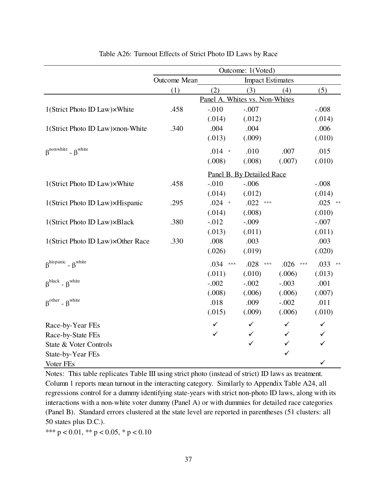|                                                        |              |                                | Outcome: 1(Voted)         |               |              |
|--------------------------------------------------------|--------------|--------------------------------|---------------------------|---------------|--------------|
|                                                        | Outcome Mean |                                | <b>Impact Estimates</b>   |               |              |
|                                                        | (1)          | (2)                            | (3)                       | (4)           | (5)          |
|                                                        |              | Panel A. Whites vs. Non-Whites |                           |               |              |
| 1(Strict Photo ID Law)×White                           | .458         | $-.010$                        | $-.007$                   |               | $-.008$      |
|                                                        |              | (.014)                         | (.012)                    |               | (.014)       |
| 1(Strict Photo ID Law) xnon-White                      | .340         | .004                           | .004                      |               | .006         |
|                                                        |              | (.013)                         | (.009)                    |               | (.010)       |
| $\beta$ <sup>nonwhite</sup> - $\beta$ <sup>white</sup> |              | $.014$ *                       | .010                      | .007          | .015         |
|                                                        |              | (.008)                         | (.008)                    | (.007)        | (.010)       |
|                                                        |              |                                | Panel B. By Detailed Race |               |              |
| 1(Strict Photo ID Law)×White                           | .458         | $-.010$                        | $-.006$                   |               | $-.008$      |
|                                                        |              | (.014)                         | (.012)                    |               | (.014)       |
| 1(Strict Photo ID Law)×Hispanic                        | .295         | $.024$ *                       | .022<br>$***$             |               | $.025$ **    |
|                                                        |              | (.014)                         | (.008)                    |               | (.010)       |
| 1(Strict Photo ID Law)×Black                           | .380         | $-.012$                        | $-.009$                   |               | $-.007$      |
|                                                        |              | (.013)                         | (.011)                    |               | (.011)       |
| 1(Strict Photo ID Law)×Other Race                      | .330         | .008                           | .003                      |               | .003         |
|                                                        |              | (.026)                         | (.019)                    |               | (.020)       |
| $\beta^{hispanic}$ - $\beta^{white}$                   |              | .034<br>$\ast\ast\ast$         | .028<br>$***$             | .026<br>$***$ | $.033$ **    |
|                                                        |              | (.011)                         | (.010)                    | (.006)        | (.013)       |
| $\beta^{black}$ - $\beta^{white}$                      |              | $-.002$                        | $-.002$                   | $-.003$       | .001         |
|                                                        |              | (.008)                         | (.006)                    | (.006)        | (.007)       |
| $\beta^{\text{other}}$ - $\beta^{\text{white}}$        |              | .018                           | .009                      | $-.002$       | .011         |
|                                                        |              | (.015)                         | (.009)                    | (.006)        | (.010)       |
| Race-by-Year FEs                                       |              | ✓                              | ✓                         | ✓             | $\checkmark$ |
| Race-by-State FEs                                      |              | ✓                              | ✓                         | ✓             | ✓            |
| State & Voter Controls                                 |              |                                | ✓                         | $\checkmark$  | $\checkmark$ |
| State-by-Year FEs                                      |              |                                |                           | $\checkmark$  |              |
| Voter FEs                                              |              |                                |                           |               | ✓            |

Table A26: Turnout Effects of Strict Photo ID Laws by Race

Notes: This table replicates Table III using strict photo (instead of strict) ID laws as treatment. Column 1 reports mean turnout in the interacting category. Similarly to Appendix Table A24, all regressions control for a dummy identifying state-years with strict non-photo ID laws, along with its interactions with a non-white voter dummy (Panel A) or with dummies for detailed race categories (Panel B). Standard errors clustered at the state level are reported in parentheses (51 clusters: all 50 states plus D.C.).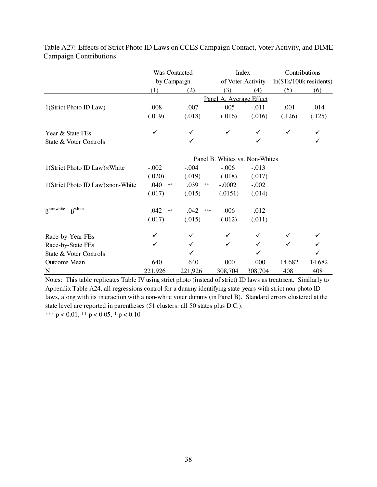|                                      | Was Contacted                  |                    |                         | Index             | Contributions            |        |  |  |
|--------------------------------------|--------------------------------|--------------------|-------------------------|-------------------|--------------------------|--------|--|--|
|                                      | by Campaign                    |                    |                         | of Voter Activity | $ln($1k/100k$ residents) |        |  |  |
|                                      | (1)                            | (2)                | (3)                     | (4)               | (5)                      | (6)    |  |  |
|                                      |                                |                    | Panel A. Average Effect |                   |                          |        |  |  |
| 1(Strict Photo ID Law)               | .008                           | .007               | $-.005$                 | $-.011$           | .001                     | .014   |  |  |
|                                      | (.019)                         | (.018)             | (.016)                  | (.016)            | (.126)                   | (.125) |  |  |
| Year & State FEs                     | ✓                              |                    | ✓                       |                   | ✓                        |        |  |  |
| State & Voter Controls               |                                | ✓                  |                         | ✓                 |                          |        |  |  |
|                                      | Panel B. Whites vs. Non-Whites |                    |                         |                   |                          |        |  |  |
| 1(Strict Photo ID Law)×White         | $-.002$                        | $-.004$            | $-.006$                 | $-.013$           |                          |        |  |  |
|                                      | (.020)                         | (.019)             | (.018)                  | (.017)            |                          |        |  |  |
| 1(Strict Photo ID Law) xnon-White    | .040<br>$\ast\ast$             | .039<br>$\ast\ast$ | $-.0002$                | $-.002$           |                          |        |  |  |
|                                      | (.017)                         | (.015)             | (.0151)                 | (.014)            |                          |        |  |  |
| $\beta^{nonwhite}$ - $\beta^{white}$ | .042<br>$\divideontimes$       | .042<br>$* * *$    | .006                    | .012              |                          |        |  |  |
|                                      | (.017)                         | (.015)             | (.012)                  | (.011)            |                          |        |  |  |
| Race-by-Year FEs                     | ✓                              | ✓                  | ✓                       |                   |                          |        |  |  |
| Race-by-State FEs                    | ✓                              | ✓                  | ✓                       | $\checkmark$      | $\checkmark$             |        |  |  |
| State & Voter Controls               |                                |                    |                         |                   |                          |        |  |  |
| Outcome Mean                         | .640                           | .640               | .000                    | .000              | 14.682                   | 14.682 |  |  |
| $\mathbf N$                          | 221,926                        | 221,926            | 308,704                 | 308,704           | 408                      | 408    |  |  |

Table A27: Effects of Strict Photo ID Laws on CCES Campaign Contact, Voter Activity, and DIME Campaign Contributions

\*\*\*  $p < 0.01$ , \*\*  $p < 0.05$ , \*  $p < 0.10$ Notes: This table replicates Table IV using strict photo (instead of strict) ID laws as treatment. Similarly to Appendix Table A24, all regressions control for a dummy identifying state-years with strict non-photo ID laws, along with its interaction with a non-white voter dummy (in Panel B). Standard errors clustered at the state level are reported in parentheses (51 clusters: all 50 states plus D.C.).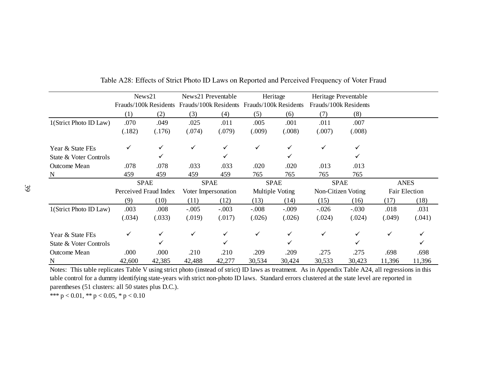|                                                                                                                                                     |        | News21                |         | News21 Preventable    |                       | Heritage        | Heritage Preventable  |         |             |               |
|-----------------------------------------------------------------------------------------------------------------------------------------------------|--------|-----------------------|---------|-----------------------|-----------------------|-----------------|-----------------------|---------|-------------|---------------|
|                                                                                                                                                     |        | Frauds/100k Residents |         | Frauds/100k Residents | Frauds/100k Residents |                 | Frauds/100k Residents |         |             |               |
|                                                                                                                                                     | (1)    | (2)                   | (3)     | (4)                   | (5)                   | (6)             | (7)                   | (8)     |             |               |
| 1(Strict Photo ID Law)                                                                                                                              | .070   | .049                  | .025    | .011                  | .005                  | .001            | .011                  | .007    |             |               |
|                                                                                                                                                     | (.182) | (.176)                | (.074)  | (.079)                | (.009)                | (.008)          | (.007)                | (.008)  |             |               |
| Year & State FEs                                                                                                                                    |        |                       | ✓       |                       | ✓                     | ✓               | ✓                     |         |             |               |
| State & Voter Controls                                                                                                                              |        |                       |         |                       |                       | ✓               |                       |         |             |               |
| <b>Outcome Mean</b>                                                                                                                                 | .078   | .078                  | .033    | .033                  | .020                  | .020            | .013                  | .013    |             |               |
| N                                                                                                                                                   | 459    | 459                   | 459     | 459                   | 765                   | 765             | 765                   | 765     |             |               |
|                                                                                                                                                     |        | <b>SPAE</b>           |         | <b>SPAE</b>           |                       | <b>SPAE</b>     | <b>SPAE</b>           |         | <b>ANES</b> |               |
|                                                                                                                                                     |        | Perceived Fraud Index |         | Voter Impersonation   |                       | Multiple Voting | Non-Citizen Voting    |         |             | Fair Election |
|                                                                                                                                                     | (9)    | (10)                  | (11)    | (12)                  | (13)                  | (14)            | (15)                  | (16)    | (17)        | (18)          |
| 1(Strict Photo ID Law)                                                                                                                              | .003   | .008                  | $-.005$ | $-.003$               | $-.008$               | $-.009$         | $-.026$               | $-.030$ | .018        | .031          |
|                                                                                                                                                     | (.034) | (.033)                | (.019)  | (.017)                | (.026)                | (.026)          | (.024)                | (.024)  | (.049)      | (.041)        |
| Year & State FEs                                                                                                                                    |        |                       |         |                       | ✓                     | ✓               | ✓                     |         | ✓           |               |
| State & Voter Controls                                                                                                                              |        |                       |         |                       |                       | ✓               |                       |         |             |               |
| <b>Outcome Mean</b>                                                                                                                                 | .000   | .000                  | .210    | .210                  | .209                  | .209            | .275                  | .275    | .698        | .698          |
| N                                                                                                                                                   | 42,600 | 42,385                | 42,488  | 42,277                | 30,534                | 30,424          | 30,533                | 30,423  | 11,396      | 11,396        |
| Notes: This table replicates Table V using strict photo (instead of strict) ID laws as treatment. As in Appendix Table A24, all regressions in this |        |                       |         |                       |                       |                 |                       |         |             |               |

Table A28: Effects of Strict Photo ID Laws on Reported and Perceived Frequency of Voter Fraud

table control for a dummy identifying state-years with strict non-photo ID laws. Standard errors clustered at the state level are reported in parentheses (51 clusters: all 50 states plus D.C.).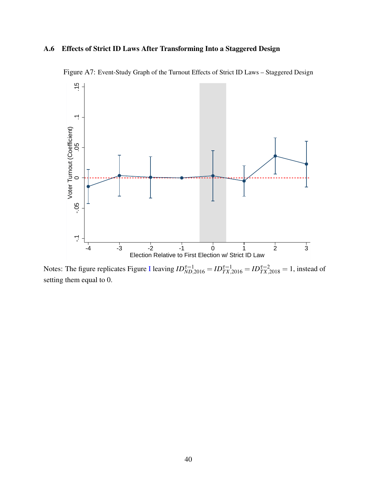# A.6 Effects of Strict ID Laws After Transforming Into a Staggered Design



Figure A7: Event-Study Graph of the Turnout Effects of Strict ID Laws – Staggered Design

Notes: The figure replicates Figure [I](#page-28-0) leaving  $ID_{ND,2016}^{\tau=1} = ID_{TX,2016}^{\tau=1} = ID_{TX,2018}^{\tau=2} = 1$ , instead of setting them equal to 0.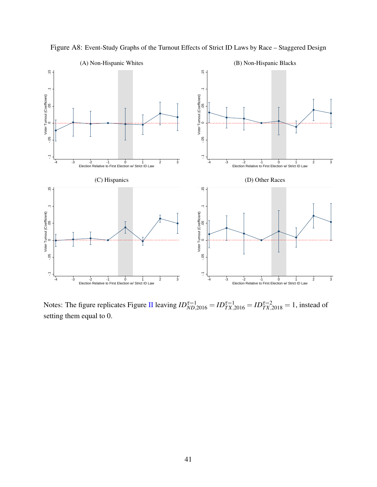

Figure A8: Event-Study Graphs of the Turnout Effects of Strict ID Laws by Race – Staggered Design

Notes: The figure replicates Figure [II](#page-29-0) leaving  $ID_{ND,2016}^{\tau=1} = ID_{TX,2016}^{\tau=1} = ID_{TX,2018}^{\tau=2} = 1$ , instead of setting them equal to 0.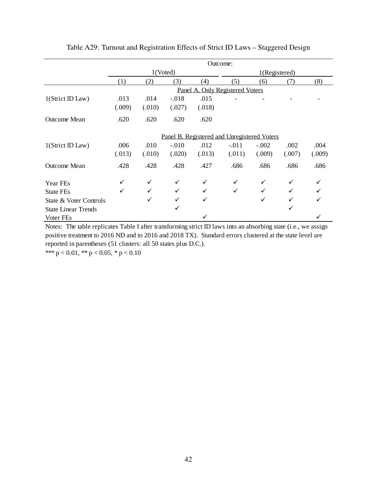|                            |        | Outcome: |              |        |                                             |         |        |        |  |
|----------------------------|--------|----------|--------------|--------|---------------------------------------------|---------|--------|--------|--|
|                            |        | 1(Voted) |              |        | 1(Registered)                               |         |        |        |  |
|                            | (1)    | (2)      | (3)          | (4)    | (5)                                         | (6)     | (7)    | (8)    |  |
|                            |        |          |              |        | Panel A. Only Registered Voters             |         |        |        |  |
| 1(Strict ID Law)           | .013   | .014     | $-.018$      | .015   |                                             |         |        |        |  |
|                            | (.009) | (.010)   | (.027)       | (.018) |                                             |         |        |        |  |
| Outcome Mean               | .620   | .620     | .620         | .620   |                                             |         |        |        |  |
|                            |        |          |              |        | Panel B. Registered and Unregistered Voters |         |        |        |  |
| 1(Strict ID Law)           | .006   | .010     | $-.010$      | .012   | $-.011$                                     | $-.002$ | .002   | .004   |  |
|                            | (.013) | (.010)   | (.020)       | (.013) | (.011)                                      | (.009)  | (.007) | (.009) |  |
| <b>Outcome Mean</b>        | .428   | .428     | .428         | .427   | .686                                        | .686    | .686   | .686   |  |
| <b>Year FEs</b>            |        | ✓        | ✓            | ✓      | ✓                                           | ✓       | ✓      |        |  |
| <b>State FEs</b>           | ✓      | ✓        | $\checkmark$ | ✓      | $\checkmark$                                | ✓       |        |        |  |
| State & Voter Controls     |        | ✓        | ✓            | ✓      |                                             | ✓       |        |        |  |
| <b>State Linear Trends</b> |        |          | ✓            |        |                                             |         |        |        |  |
| Voter FEs                  |        |          |              |        |                                             |         |        |        |  |

Table A29: Turnout and Registration Effects of Strict ID Laws – Staggered Design

Notes: The table replicates Table I after transforming strict ID laws into an absorbing state (i.e., we assign positive treatment to 2016 ND and to 2016 and 2018 TX). Standard errors clustered at the state level are reported in parentheses (51 clusters: all 50 states plus D.C.).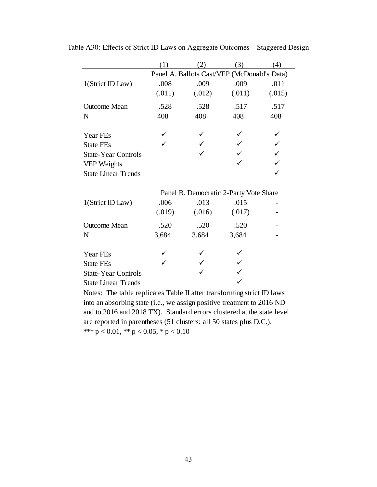|                            | (1)    | $\left( 2\right)$ | (3)                                         | (4)    |
|----------------------------|--------|-------------------|---------------------------------------------|--------|
|                            |        |                   | Panel A. Ballots Cast/VEP (McDonald's Data) |        |
| 1(Strict ID Law)           | .008   | .009              | .009                                        | .011   |
|                            | (.011) | (.012)            | (.011)                                      | (.015) |
| <b>Outcome Mean</b>        | .528   | .528              | .517                                        | .517   |
| N                          | 408    | 408               | 408                                         | 408    |
| Year FEs                   |        |                   |                                             |        |
| <b>State FEs</b>           |        |                   |                                             |        |
| <b>State-Year Controls</b> |        |                   |                                             |        |
| VEP Weights                |        |                   |                                             |        |
| <b>State Linear Trends</b> |        |                   |                                             |        |
|                            |        |                   | Panel B. Democratic 2-Party Vote Share      |        |
| 1(Strict ID Law)           | .006   | .013              | .015                                        |        |
|                            | (.019) | (.016)            | (.017)                                      |        |
| <b>Outcome Mean</b>        | .520   | .520              | .520                                        |        |
| N                          | 3,684  | 3,684             | 3,684                                       |        |
| Year FEs                   |        |                   |                                             |        |
| <b>State FEs</b>           |        |                   |                                             |        |
| <b>State-Year Controls</b> |        |                   |                                             |        |
| <b>State Linear Trends</b> |        |                   |                                             |        |

Table A30: Effects of Strict ID Laws on Aggregate Outcomes – Staggered Design

\*\*\* p < 0.01, \*\* p < 0.05, \* p < 0.10 Notes: The table replicates Table II after transforming strict ID laws into an absorbing state (i.e., we assign positive treatment to 2016 ND and to 2016 and 2018 TX). Standard errors clustered at the state level are reported in parentheses (51 clusters: all 50 states plus D.C.).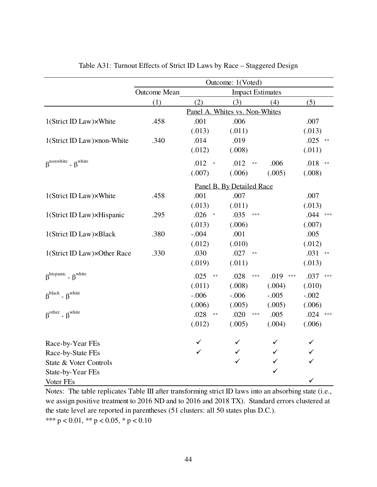|                                                        | Outcome: 1(Voted) |                       |                                |                         |              |                    |  |  |  |
|--------------------------------------------------------|-------------------|-----------------------|--------------------------------|-------------------------|--------------|--------------------|--|--|--|
|                                                        | Outcome Mean      |                       |                                | <b>Impact Estimates</b> |              |                    |  |  |  |
|                                                        | (1)               | (2)                   | (3)                            |                         | (4)          | (5)                |  |  |  |
|                                                        |                   |                       | Panel A. Whites vs. Non-Whites |                         |              |                    |  |  |  |
| $1$ (Strict ID Law) $\times$ White                     | .458              | .001                  | .006                           |                         |              | .007               |  |  |  |
|                                                        |                   | (.013)                | (.011)                         |                         |              | (.013)             |  |  |  |
| 1(Strict ID Law) xnon-White                            | .340              | .014                  | .019                           |                         |              | $.025$ **          |  |  |  |
|                                                        |                   | (.012)                | (.008)                         |                         |              | (.011)             |  |  |  |
| $\beta$ <sup>nonwhite</sup> - $\beta$ <sup>white</sup> |                   | .012<br>$\,$ $\,$     | .012                           | $\ast\ast$              | .006         | .018<br>$\ast\ast$ |  |  |  |
|                                                        |                   | (.007)                | (.006)                         |                         | (.005)       | (.008)             |  |  |  |
|                                                        |                   |                       | Panel B. By Detailed Race      |                         |              |                    |  |  |  |
| 1(Strict ID Law)×White                                 | .458              | .001                  | .007                           |                         |              | .007               |  |  |  |
|                                                        |                   | (.013)                | (.011)                         |                         |              | (.013)             |  |  |  |
| 1(Strict ID Law)×Hispanic                              | .295              | .026<br>$\Rightarrow$ | .035                           | $***$                   |              | $.044$ ***         |  |  |  |
|                                                        |                   | (.013)                | (.006)                         |                         |              | (.007)             |  |  |  |
| 1(Strict ID Law) xBlack                                | .380              | $-.004$               | .001                           |                         |              | .005               |  |  |  |
|                                                        |                   | (.012)                | (.010)                         |                         |              | (.012)             |  |  |  |
| 1(Strict ID Law)×Other Race                            | .330              | .030                  | .027                           | $\ast\ast$              |              | $.031$ **          |  |  |  |
|                                                        |                   | (.019)                | (.011)                         |                         |              | (.013)             |  |  |  |
| $\beta^{hispanic}$ - $\beta^{white}$                   |                   | .025                  | .028<br>$\ast\ast$             | ***                     | .019<br>***  | .037<br>$***$      |  |  |  |
|                                                        |                   | (.011)                | (.008)                         |                         | (.004)       | (.010)             |  |  |  |
| $\beta^{black}$ - $\beta^{white}$                      |                   | $-.006$               | $-.006$                        |                         | $-.005$      | $-.002$            |  |  |  |
|                                                        |                   | (.006)                | (.005)                         |                         | (.005)       | (.006)             |  |  |  |
| $\beta^{\text{other}}$ - $\beta^{\text{white}}$        |                   | .028                  | .020<br>$\ast\ast$             | $\ast \ast \ast$        | .005         | .024<br>$***$      |  |  |  |
|                                                        |                   | (.012)                | (.005)                         |                         | (.004)       | (.006)             |  |  |  |
| Race-by-Year FEs                                       |                   | ✓                     |                                |                         | ✓            | ✓                  |  |  |  |
| Race-by-State FEs                                      |                   |                       | ✓                              |                         | ✓            | ✓                  |  |  |  |
| State & Voter Controls                                 |                   |                       | ✓                              |                         | ✓            | ✓                  |  |  |  |
| State-by-Year FEs                                      |                   |                       |                                |                         | $\checkmark$ |                    |  |  |  |
| Voter FEs                                              |                   |                       |                                |                         |              | ✓                  |  |  |  |

Table A31: Turnout Effects of Strict ID Laws by Race – Staggered Design

Notes: The table replicates Table III after transforming strict ID laws into an absorbing state (i.e., we assign positive treatment to 2016 ND and to 2016 and 2018 TX). Standard errors clustered at the state level are reported in parentheses (51 clusters: all 50 states plus D.C.). \*\*\*  $p < 0.01$ , \*\*  $p < 0.05$ , \*  $p < 0.10$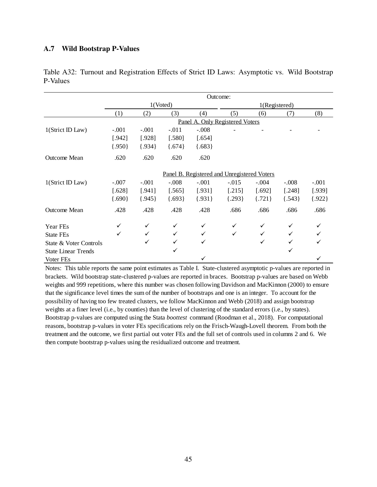#### A.7 Wild Bootstrap P-Values

|                            | Outcome:                                    |          |          |          |               |            |            |          |  |
|----------------------------|---------------------------------------------|----------|----------|----------|---------------|------------|------------|----------|--|
|                            | 1(Voted)                                    |          |          |          | 1(Registered) |            |            |          |  |
|                            | (1)                                         | (2)      | (3)      | (4)      | (5)           | (6)        | (7)        | (8)      |  |
|                            | Panel A. Only Registered Voters             |          |          |          |               |            |            |          |  |
| 1(Strict ID Law)           | $-.001$                                     | $-.001$  | $-.011$  | $-.008$  |               |            |            |          |  |
|                            | [.942]                                      | [.928]   | [.580]   | [.654]   |               |            |            |          |  |
|                            | ${.950}$                                    | ${.934}$ | ${674}$  | ${683}$  |               |            |            |          |  |
| Outcome Mean               | .620                                        | .620     | .620     | .620     |               |            |            |          |  |
|                            | Panel B. Registered and Unregistered Voters |          |          |          |               |            |            |          |  |
| 1(Strict ID Law)           | $-.007$                                     | $-.001$  | $-.008$  | $-.001$  | $-.015$       | $-.004$    | $-.008$    | $-.001$  |  |
|                            | $[.628]$                                    | [.941]   | $[.565]$ | [.931]   | [.215]        | [.692]     | [.248]     | [.939]   |  |
|                            | ${690}$                                     | ${945}$  | ${693}$  | ${.931}$ | $\{.293\}$    | $\{.721\}$ | $\{.543\}$ | ${.922}$ |  |
| <b>Outcome Mean</b>        | .428                                        | .428     | .428     | .428     | .686          | .686       | .686       | .686     |  |
| Year FEs                   | ✓                                           | ✓        |          | ✓        | ✓             | ✓          |            |          |  |
| State FEs                  | ✓                                           | ✓        |          |          |               |            |            |          |  |
| State & Voter Controls     |                                             | ✓        |          | ✓        |               | ✓          |            |          |  |
| <b>State Linear Trends</b> |                                             |          | ✓        |          |               |            | ✓          |          |  |
| Voter FEs                  |                                             |          |          |          |               |            |            |          |  |

Table A32: Turnout and Registration Effects of Strict ID Laws: Asymptotic vs. Wild Bootstrap P-Values

Notes: This table reports the same point estimates as Table I. State-clustered asymptotic p-values are reported in brackets. Wild bootstrap state-clustered p-values are reported in braces. Bootstrap p-values are based on Webb weights and 999 repetitions, where this number was chosen following Davidson and MacKinnon (2000) to ensure that the significance level times the sum of the number of bootstraps and one is an integer. To account for the possibility of having too few treated clusters, we follow MacKinnon and Webb (2018) and assign bootstrap weights at a finer level (i.e., by counties) than the level of clustering of the standard errors (i.e., by states). Bootstrap p-values are computed using the Stata *boottest* command (Roodman et al., 2018). For computational reasons, bootstrap p-values in voter FEs specifications rely on the Frisch-Waugh-Lovell theorem. From both the treatment and the outcome, we first partial out voter FEs and the full set of controls used in columns 2 and 6. We then compute bootstrap p-values using the residualized outcome and treatment.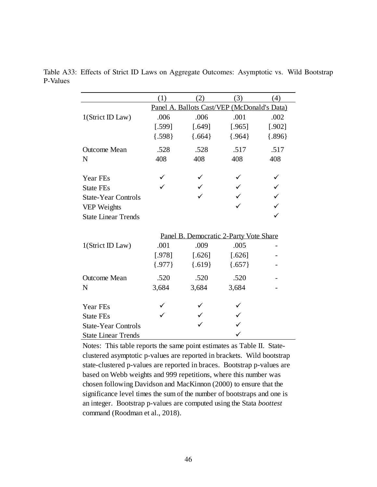|                            | (1)      | (2)      | (3)                                         | (4)      |
|----------------------------|----------|----------|---------------------------------------------|----------|
|                            |          |          | Panel A. Ballots Cast/VEP (McDonald's Data) |          |
| 1(Strict ID Law)           | .006     | .006     | .001                                        | .002     |
|                            | [.599]   | [.649]   | [.965]                                      | $[.902]$ |
|                            | ${598}$  | ${664}$  | ${964}$                                     | ${896}$  |
| <b>Outcome Mean</b>        | .528     | .528     | .517                                        | .517     |
| N                          | 408      | 408      | 408                                         | 408      |
| Year FEs                   |          |          |                                             |          |
| <b>State FEs</b>           |          |          |                                             |          |
| <b>State-Year Controls</b> |          |          |                                             |          |
| VEP Weights                |          |          |                                             |          |
| <b>State Linear Trends</b> |          |          |                                             |          |
|                            |          |          | Panel B. Democratic 2-Party Vote Share      |          |
| 1(Strict ID Law)           | .001     | .009     | .005                                        |          |
|                            | [.978]   | $[.626]$ | $[.626]$                                    |          |
|                            | ${.977}$ | ${619}$  | ${657}$                                     |          |
| Outcome Mean               | .520     | .520     | .520                                        |          |
| N                          | 3,684    | 3,684    | 3,684                                       |          |
| Year FEs                   |          |          |                                             |          |
| <b>State FEs</b>           |          |          |                                             |          |
| <b>State-Year Controls</b> |          |          |                                             |          |
| <b>State Linear Trends</b> |          |          |                                             |          |

Table A33: Effects of Strict ID Laws on Aggregate Outcomes: Asymptotic vs. Wild Bootstrap P-Values

Notes: This table reports the same point estimates as Table II. Stateclustered asymptotic p-values are reported in brackets. Wild bootstrap state-clustered p-values are reported in braces. Bootstrap p-values are based on Webb weights and 999 repetitions, where this number was chosen following Davidson and MacKinnon (2000) to ensure that the significance level times the sum of the number of bootstraps and one is an integer. Bootstrap p-values are computed using the Stata *boottest*  command (Roodman et al., 2018).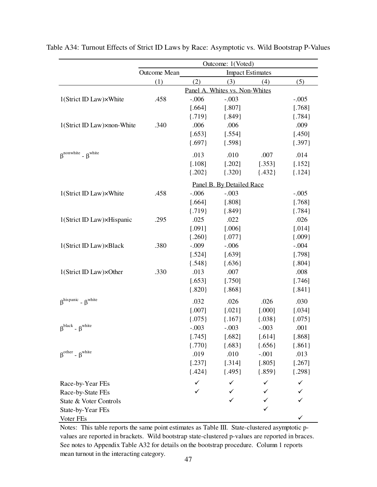|                                                 | Outcome: 1(Voted) |          |                                |          |            |  |  |
|-------------------------------------------------|-------------------|----------|--------------------------------|----------|------------|--|--|
|                                                 | Outcome Mean      |          | <b>Impact Estimates</b>        |          |            |  |  |
|                                                 | (1)               | (2)      | (3)                            | (4)      | (5)        |  |  |
|                                                 |                   |          | Panel A. Whites vs. Non-Whites |          |            |  |  |
| 1(Strict ID Law)×White                          | .458              | $-.006$  | $-.003$                        |          | $-.005$    |  |  |
|                                                 |                   | $[.664]$ | [.807]                         |          | [.768]     |  |  |
|                                                 |                   | ${719}$  | ${.849}$                       |          | ${784}$    |  |  |
| 1(Strict ID Law)×non-White                      | .340              | .006     | .006                           |          | .009       |  |  |
|                                                 |                   | [.653]   | [.554]                         |          | [.450]     |  |  |
|                                                 |                   | ${.697}$ | ${598}$                        |          | ${397}$    |  |  |
| $\beta^{nonwhite}$ - $\beta^{white}$            |                   | .013     | .010                           | .007     | .014       |  |  |
|                                                 |                   | $[.108]$ | $[.202]$                       | [.353]   | [.152]     |  |  |
|                                                 |                   | ${.202}$ | ${320}$                        | ${432}$  | $\{.124\}$ |  |  |
|                                                 |                   |          | Panel B. By Detailed Race      |          |            |  |  |
| 1(Strict ID Law)×White                          | .458              | $-.006$  | $-.003$                        |          | $-.005$    |  |  |
|                                                 |                   | [.664]   | [.808]                         |          | [.768]     |  |  |
|                                                 |                   | ${719}$  | ${849}$                        |          | ${.784}$   |  |  |
| 1(Strict ID Law)×Hispanic                       | .295              | .025     | .022                           |          | .026       |  |  |
|                                                 |                   | [.091]   | [.006]                         |          | [.014]     |  |  |
|                                                 |                   | ${.260}$ | $\{.077\}$                     |          | ${009}$    |  |  |
| 1(Strict ID Law)×Black                          | .380              | $-.009$  | $-.006$                        |          | $-.004$    |  |  |
|                                                 |                   | [.524]   | [.639]                         |          | [.798]     |  |  |
|                                                 |                   | ${548}$  | ${636}$                        |          | ${.804}$   |  |  |
| 1(Strict ID Law)×Other                          | .330              | .013     | .007                           |          | .008       |  |  |
|                                                 |                   | [.653]   | [.750]                         |          | [.746]     |  |  |
|                                                 |                   | ${.820}$ | ${.868}$                       |          | ${.841}$   |  |  |
| $\beta^{hispanic}$ - $\beta^{white}$            |                   | .032     | .026                           | .026     | .030       |  |  |
|                                                 |                   | [.007]   | $[.021]$                       | [.000]   | [.034]     |  |  |
|                                                 |                   | ${075}$  | $\{.167\}$                     | ${038}$  | ${075}$    |  |  |
| $\beta^{black}$ - $\beta^{white}$               |                   | $-.003$  | $-.003$                        | $-.003$  | .001       |  |  |
|                                                 |                   | [.745]   | [.682]                         | [.614]   | [.868]     |  |  |
|                                                 |                   | ${770}$  | ${683}$                        | ${656}$  | ${.861}$   |  |  |
| $\beta^{\text{other}}$ - $\beta^{\text{white}}$ |                   | .019     | .010                           | $-.001$  | .013       |  |  |
|                                                 |                   | [.237]   | [.314]                         | [.805]   | $[.267]$   |  |  |
|                                                 |                   | ${424}$  | ${495}$                        | ${.859}$ | ${298}$    |  |  |
| Race-by-Year FEs                                |                   |          |                                |          | ✓          |  |  |
| Race-by-State FEs                               |                   | ✓        |                                |          |            |  |  |
| State & Voter Controls                          |                   |          |                                |          |            |  |  |
| State-by-Year FEs                               |                   |          |                                | ✓        |            |  |  |
| Voter FEs                                       |                   |          |                                |          |            |  |  |

Table A34: Turnout Effects of Strict ID Laws by Race: Asymptotic vs. Wild Bootstrap P-Values

Notes: This table reports the same point estimates as Table III. State-clustered asymptotic pvalues are reported in brackets. Wild bootstrap state-clustered p-values are reported in braces. See notes to Appendix Table A32 for details on the bootstrap procedure. Column 1 reports mean turnout in the interacting category.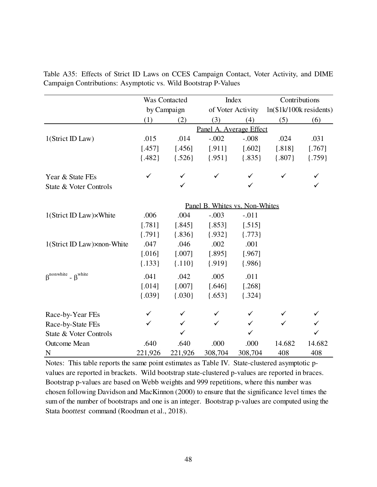|                                                        |          | Was Contacted |                                | Index                   |          | Contributions            |  |  |
|--------------------------------------------------------|----------|---------------|--------------------------------|-------------------------|----------|--------------------------|--|--|
|                                                        |          | by Campaign   |                                | of Voter Activity       |          | $ln($1k/100k$ residents) |  |  |
|                                                        | (1)      | (2)           | (3)                            | (4)                     | (5)      | (6)                      |  |  |
|                                                        |          |               |                                | Panel A. Average Effect |          |                          |  |  |
| 1(Strict ID Law)                                       | .015     | .014          | $-.002$                        | $-.008$                 | .024     | .031                     |  |  |
|                                                        | [.457]   | [.456]        | [.911]                         | [.602]                  | [.818]   | [.767]                   |  |  |
|                                                        | ${482}$  | ${526}$       | ${.951}$                       | ${.835}$                | ${.807}$ | ${.759}$                 |  |  |
| Year & State FEs                                       |          |               | ✓                              |                         |          | ✓                        |  |  |
| State & Voter Controls                                 |          | ✓             |                                | ✓                       |          | ✓                        |  |  |
|                                                        |          |               | Panel B. Whites vs. Non-Whites |                         |          |                          |  |  |
| 1(Strict ID Law)×White                                 | .006     | .004          | $-.003$                        | $-.011$                 |          |                          |  |  |
|                                                        | [.781]   | [.845]        | [.853]                         | [.515]                  |          |                          |  |  |
|                                                        | ${791}$  | ${.836}$      | ${.932}$                       | ${.773}$                |          |                          |  |  |
| 1(Strict ID Law) xnon-White                            | .047     | .046          | .002                           | .001                    |          |                          |  |  |
|                                                        | [.016]   | [.007]        | [.895]                         | [.967]                  |          |                          |  |  |
|                                                        | ${.133}$ | ${.110}$      | ${.919}$                       | ${986}$                 |          |                          |  |  |
| $\beta$ <sup>nonwhite</sup> - $\beta$ <sup>white</sup> | .041     | .042          | .005                           | .011                    |          |                          |  |  |
|                                                        | [.014]   | [.007]        | [.646]                         | [.268]                  |          |                          |  |  |
|                                                        | ${039}$  | ${030}$       | ${653}$                        | ${324}$                 |          |                          |  |  |
| Race-by-Year FEs                                       | ✓        | ✓             | ✓                              | ✓                       |          |                          |  |  |
| Race-by-State FEs                                      |          |               | ✓                              | ✓                       |          |                          |  |  |
| State & Voter Controls                                 |          |               |                                | $\checkmark$            |          | $\checkmark$             |  |  |
| Outcome Mean                                           | .640     | .640          | .000                           | .000                    | 14.682   | 14.682                   |  |  |
| $\mathbf N$                                            | 221,926  | 221,926       | 308,704                        | 308,704                 | 408      | 408                      |  |  |

Table A35: Effects of Strict ID Laws on CCES Campaign Contact, Voter Activity, and DIME Campaign Contributions: Asymptotic vs. Wild Bootstrap P-Values

Notes: This table reports the same point estimates as Table IV. State-clustered asymptotic pvalues are reported in brackets. Wild bootstrap state-clustered p-values are reported in braces. Bootstrap p-values are based on Webb weights and 999 repetitions, where this number was chosen following Davidson and MacKinnon (2000) to ensure that the significance level times the sum of the number of bootstraps and one is an integer. Bootstrap p-values are computed using the Stata *boottest* command (Roodman et al., 2018).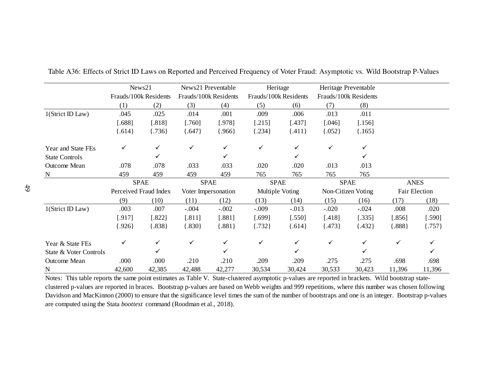|                        | News21                |          | News21 Preventable    |                     | Heritage        |                       | Heritage Preventable |                       |               |          |
|------------------------|-----------------------|----------|-----------------------|---------------------|-----------------|-----------------------|----------------------|-----------------------|---------------|----------|
|                        | Frauds/100k Residents |          | Frauds/100k Residents |                     |                 | Frauds/100k Residents |                      | Frauds/100k Residents |               |          |
|                        | (1)                   | (2)      | (3)                   | (4)                 | (5)             | (6)                   | (7)                  | (8)                   |               |          |
| 1(Strict ID Law)       | .045                  | .025     | .014                  | .001                | .009            | .006                  | .013                 | .011                  |               |          |
|                        | $[.688]$              | $[.818]$ | $[.760]$              | $[.978]$            | $[.215]$        | $[.437]$              | $[.046]$             | $[.156]$              |               |          |
|                        | [.614]                | ${736}$  | ${647}$               | ${966}$             | ${.234}$        | ${411}$               | ${052}$              | $\{.165\}$            |               |          |
| Year and State FEs     | ✓                     |          | ✓                     |                     | ✓               | ✓                     | ✓                    |                       |               |          |
| <b>State Controls</b>  |                       |          |                       |                     |                 | ✓                     |                      |                       |               |          |
| Outcome Mean           | .078                  | .078     | .033                  | .033                | .020            | .020                  | .013                 | .013                  |               |          |
| $\mathbf N$            | 459                   | 459      | 459                   | 459                 | 765             | 765                   | 765                  | 765                   |               |          |
|                        | <b>SPAE</b>           |          |                       | <b>SPAE</b>         |                 | <b>SPAE</b>           |                      | <b>SPAE</b>           | <b>ANES</b>   |          |
|                        | Perceived Fraud Index |          |                       | Voter Impersonation | Multiple Voting |                       | Non-Citizen Voting   |                       | Fair Election |          |
|                        | (9)                   | (10)     | (11)                  | (12)                | (13)            | (14)                  | (15)                 | (16)                  | (17)          | (18)     |
| 1(Strict ID Law)       | .003                  | .007     | $-.004$               | $-.002$             | $-.009$         | $-.013$               | $-.020$              | $-.024$               | .008          | .020     |
|                        | $[.917]$              | $[.822]$ | $[.811]$              | $[.881]$            | [.699]          | $[.550]$              | $[.418]$             | $[.335]$              | $[.856]$      | $[.590]$ |
|                        | [.926]                | ${.838}$ | [.830]                | ${.881}$            | ${732}$         | ${614}$               | ${473}$              | ${432}$               | .888          | ${.757}$ |
| Year & State FEs       | ✓                     | ✓        | ✓                     | ✓                   | ✓               | $\checkmark$          | ✓                    | ✓                     | ✓             |          |
| State & Voter Controls |                       | ✓        |                       |                     |                 | ✓                     |                      |                       |               |          |
| <b>Outcome Mean</b>    | .000                  | .000     | .210                  | .210                | .209            | .209                  | .275                 | .275                  | .698          | .698     |
| N                      | 42,600                | 42,385   | 42,488                | 42,277              | 30,534          | 30,424                | 30,533               | 30,423                | 11,396        | 11,396   |

Table A36: Effects of Strict ID Laws on Reported and Perceived Frequency of Voter Fraud: Asymptotic vs. Wild Bootstrap P-Values

N 42,600 42,385 42,488 42,277 30,534 30,424 30,533 30,423 11,396 11,396<br>Notes: This table reports the same point estimates as Table V. State-clustered asymptotic p-values are reported in brackets. Wild bootstrap stateclustered p-values are reported in braces. Bootstrap p-values are based on Webb weights and 999 repetitions, where this number was chosen following Davidson and MacKinnon (2000) to ensure that the significance level times the sum of the number of bootstraps and one is an integer. Bootstrap p-values are computed using the Stata *boottest* command (Roodman et al., 2018).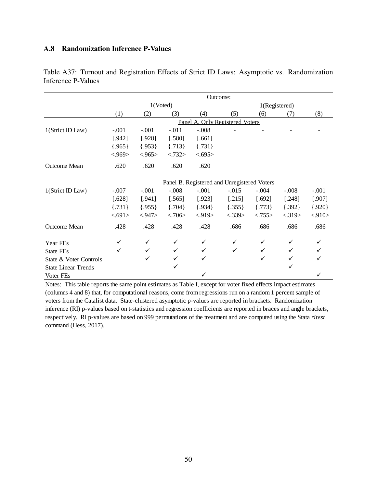### A.8 Randomization Inference P-Values

|                            | Outcome:                                    |          |            |            |               |            |         |          |  |
|----------------------------|---------------------------------------------|----------|------------|------------|---------------|------------|---------|----------|--|
|                            |                                             | 1(Voted) |            |            | 1(Registered) |            |         |          |  |
|                            | (1)                                         | (2)      | (3)        | (4)        | (5)           | (6)        | (7)     | (8)      |  |
|                            | Panel A. Only Registered Voters             |          |            |            |               |            |         |          |  |
| 1(Strict ID Law)           | $-.001$                                     | $-.001$  | $-.011$    | $-.008$    |               |            |         |          |  |
|                            | [.942]                                      | [.928]   | [.580]     | $[.661]$   |               |            |         |          |  |
|                            | ${965}$                                     | ${.953}$ | $\{.713\}$ | $\{.731\}$ |               |            |         |          |  |
|                            | < .969                                      | < 965    | < .732>    | < .695>    |               |            |         |          |  |
| Outcome Mean               | .620                                        | .620     | .620       | .620       |               |            |         |          |  |
|                            | Panel B. Registered and Unregistered Voters |          |            |            |               |            |         |          |  |
| 1(Strict ID Law)           | $-.007$                                     | $-.001$  | $-.008$    | $-.001$    | $-.015$       | $-.004$    | $-.008$ | $-.001$  |  |
|                            | $[.628]$                                    | [.941]   | [.565]     | [.923]     | [.215]        | [.692]     | [.248]  | [.907]   |  |
|                            | $\{.731\}$                                  | ${.955}$ | ${704}$    | ${934}$    | ${355}$       | $\{.773\}$ | ${392}$ | ${.920}$ |  |
|                            | < .691>                                     | < .947>  | < .706>    | < 919      | < .339>       | < .755>    | < .319> | < 910    |  |
| Outcome Mean               | .428                                        | .428     | .428       | .428       | .686          | .686       | .686    | .686     |  |
| Year FEs                   |                                             | ✓        |            |            |               |            |         |          |  |
| <b>State FEs</b>           | ✓                                           | ✓        |            |            |               | ✓          |         |          |  |
| State & Voter Controls     |                                             | ✓        |            | ✓          |               | ✓          |         |          |  |
| <b>State Linear Trends</b> |                                             |          | ✓          |            |               |            | ✓       |          |  |
| Voter FEs                  |                                             |          |            |            |               |            |         |          |  |

Table A37: Turnout and Registration Effects of Strict ID Laws: Asymptotic vs. Randomization Inference P-Values

Notes: This table reports the same point estimates as Table I, except for voter fixed effects impact estimates (columns 4 and 8) that, for computational reasons, come from regressions run on a random 1 percent sample of voters from the Catalist data. State-clustered asymptotic p-values are reported in brackets. Randomization inference (RI) p-values based on t-statistics and regression coefficients are reported in braces and angle brackets, respectively. RI p-values are based on 999 permutations of the treatment and are computed using the Stata *ritest*  command (Hess, 2017).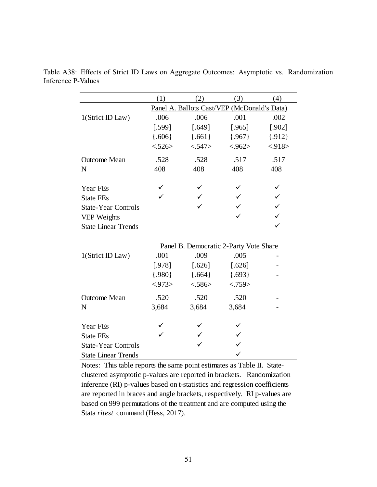|                                           | (1)     | (2)                                         | (3)      | (4)          |
|-------------------------------------------|---------|---------------------------------------------|----------|--------------|
|                                           |         | Panel A. Ballots Cast/VEP (McDonald's Data) |          |              |
| 1(Strict ID Law)                          | .006    | .006                                        | .001     | .002         |
|                                           | [.599]  | [.649]                                      | [.965]   | [.902]       |
|                                           | ${606}$ | ${661}$                                     | ${.967}$ | ${.912}$     |
|                                           | < .526> | < .547>                                     | < .962>  | < .918>      |
| <b>Outcome Mean</b>                       | .528    | .528                                        | .517     | .517         |
| N                                         | 408     | 408                                         | 408      | 408          |
| Year FEs                                  |         |                                             |          |              |
| <b>State FEs</b>                          |         |                                             |          | $\checkmark$ |
| <b>State-Year Controls</b>                |         |                                             |          | $\checkmark$ |
|                                           |         |                                             |          |              |
| VEP Weights<br><b>State Linear Trends</b> |         |                                             |          | $\checkmark$ |
|                                           |         |                                             |          |              |
|                                           |         | Panel B. Democratic 2-Party Vote Share      |          |              |
| 1(Strict ID Law)                          | .001    | .009                                        | .005     |              |
|                                           | [.978]  | $[.626]$                                    | [.626]   |              |
|                                           | ${980}$ | ${664}$                                     | ${693}$  |              |
|                                           | < .973> | < .586>                                     | < .759>  |              |
| <b>Outcome Mean</b>                       | .520    | .520                                        | .520     |              |
| N                                         | 3,684   | 3,684                                       | 3,684    |              |
|                                           |         |                                             |          |              |
| Year FEs                                  |         |                                             |          |              |
| <b>State FEs</b>                          |         |                                             |          |              |
| <b>State-Year Controls</b>                |         |                                             |          |              |
| <b>State Linear Trends</b>                |         |                                             |          |              |

Table A38: Effects of Strict ID Laws on Aggregate Outcomes: Asymptotic vs. Randomization Inference P-Values

Notes: This table reports the same point estimates as Table II. Stateclustered asymptotic p-values are reported in brackets. Randomization inference (RI) p-values based on t-statistics and regression coefficients are reported in braces and angle brackets, respectively. RI p-values are based on 999 permutations of the treatment and are computed using the Stata *ritest* command (Hess, 2017).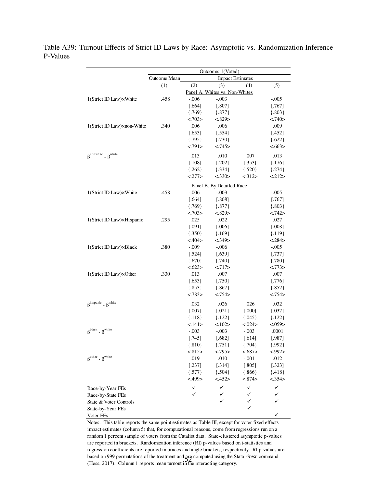Table A39: Turnout Effects of Strict ID Laws by Race: Asymptotic vs. Randomization Inference P-Values

|                                                        |              | Outcome: 1(Voted)              |                           |          |            |  |  |  |
|--------------------------------------------------------|--------------|--------------------------------|---------------------------|----------|------------|--|--|--|
|                                                        | Outcome Mean |                                | <b>Impact Estimates</b>   |          |            |  |  |  |
|                                                        | (1)          | (2)                            | (3)                       | (4)      | (5)        |  |  |  |
|                                                        |              | Panel A. Whites vs. Non-Whites |                           |          |            |  |  |  |
| 1(Strict ID Law)×White                                 | .458         | $-.006$                        | $-.003$                   |          | $-.005$    |  |  |  |
|                                                        |              | [.664]                         | [.807]                    |          | [.767]     |  |  |  |
|                                                        |              | ${769}$                        | ${.877}$                  |          | ${.803}$   |  |  |  |
|                                                        |              | < .703>                        | < .829>                   |          | < .740>    |  |  |  |
| 1(Strict ID Law)×non-White                             | .340         | .006                           | .006                      |          | .009       |  |  |  |
|                                                        |              | [.653]                         | [.554]                    |          | [.452]     |  |  |  |
|                                                        |              | ${.795}$                       | ${730}$                   |          | ${622}$    |  |  |  |
|                                                        |              | < .791>                        | < .745>                   |          | < 663>     |  |  |  |
| $\beta$ <sup>nonwhite</sup> - $\beta$ <sup>white</sup> |              | .013                           | .010                      | .007     | .013       |  |  |  |
|                                                        |              | [.108]                         | $[.202]$                  | [.353]   | [.176]     |  |  |  |
|                                                        |              | ${.262}$                       | ${334}$                   | ${520}$  | $\{.274\}$ |  |  |  |
|                                                        |              | <.277>                         | < .330>                   | < .312>  | <.212>     |  |  |  |
|                                                        |              |                                | Panel B. By Detailed Race |          |            |  |  |  |
| 1(Strict ID Law)×White                                 | .458         | $-.006$                        | $-.003$                   |          | $-.005$    |  |  |  |
|                                                        |              | [.664]                         | [.808]                    |          | [.767]     |  |  |  |
|                                                        |              | ${769}$                        | ${.877}$                  |          | ${.803}$   |  |  |  |
|                                                        |              | <.703>                         | < 829                     |          | < .742>    |  |  |  |
| 1(Strict ID Law)×Hispanic                              | .295         | .025                           | .022                      |          | .027       |  |  |  |
|                                                        |              | [.091]                         | [.006]                    |          | [.008]     |  |  |  |
|                                                        |              | ${350}$                        | ${.169}$                  |          | ${119}$    |  |  |  |
|                                                        |              | < .404>                        | < .349>                   |          | < .284>    |  |  |  |
| 1(Strict ID Law)×Black                                 | .380         | $-.009$                        | $-.006$                   |          | $-.005$    |  |  |  |
|                                                        |              | [.524]                         | $[.639]$                  |          | [.737]     |  |  |  |
|                                                        |              | ${670}$                        | ${740}$                   |          | ${780}$    |  |  |  |
|                                                        |              | < 623>                         | <.717>                    |          | <.773>     |  |  |  |
| 1(Strict ID Law)×Other                                 | .330         | .013                           | .007                      |          | .007       |  |  |  |
|                                                        |              | [.653]                         | [.750]                    |          | [.776]     |  |  |  |
|                                                        |              | ${.853}$                       | ${.867}$                  |          | ${.852}$   |  |  |  |
|                                                        |              | < .783>                        | < .754>                   |          | < .754>    |  |  |  |
| $\beta^{hispanic}$ - $\beta^{white}$                   |              | .032                           | .026                      | .026     | .032       |  |  |  |
|                                                        |              | [.007]                         | $[.021]$                  | [.000]   | $[.037]$   |  |  |  |
|                                                        |              | ${.118}$                       | ${122}$                   | ${045}$  | ${122}$    |  |  |  |
|                                                        |              | < .141>                        | < 102                     | <.024>   | < .059>    |  |  |  |
| $\beta^{black}$ - $\beta^{white}$                      |              | $-.003$                        | $-.003$                   | $-.003$  | .0001      |  |  |  |
|                                                        |              | [.745]                         | [.682]                    | [.614]   | [.987]     |  |  |  |
|                                                        |              | ${.810}$                       | ${.751}$                  | ${704}$  | ${.992}$   |  |  |  |
|                                                        |              | < 815                          | < .795>                   | < 687    | < .992>    |  |  |  |
| $\beta^{\text{other}}$ - $\beta^{\text{white}}$        |              | .019                           | .010                      | $-.001$  | .012       |  |  |  |
|                                                        |              | [.237]                         | [.314]                    | [.805]   | [.323]     |  |  |  |
|                                                        |              | $\{.577\}$                     | ${504}$                   | ${.866}$ | ${418}$    |  |  |  |
|                                                        |              | < .499>                        | < .452>                   | < 874    | < .354>    |  |  |  |
| Race-by-Year FEs                                       |              | ✓                              | ✓                         | ✓        | ✓          |  |  |  |
| Race-by-State FEs                                      |              | ✓                              | ✓                         | ✓        | ✓          |  |  |  |
| State & Voter Controls                                 |              |                                | ✓                         | ✓        | ✓          |  |  |  |
| State-by-Year FEs                                      |              |                                |                           | ✓        |            |  |  |  |
| Voter FEs                                              |              |                                |                           |          | ✓          |  |  |  |

Notes: This table reports the same point estimates as Table III, except for voter fixed effects impact estimates (column 5) that, for computational reasons, come from regressions run on a random 1 percent sample of voters from the Catalist data. State-clustered asymptotic p-values are reported in brackets. Randomization inference (RI) p-values based on t-statistics and regression coefficients are reported in braces and angle brackets, respectively. RI p-values are based on 999 permutations of the treatment and **are** computed using the Stata *ritest* command (Hegg 2017). Column 1 reports mean turnout in the interacting optionary (Hess, 2017). Column 1 reports mean turnout in the interacting category.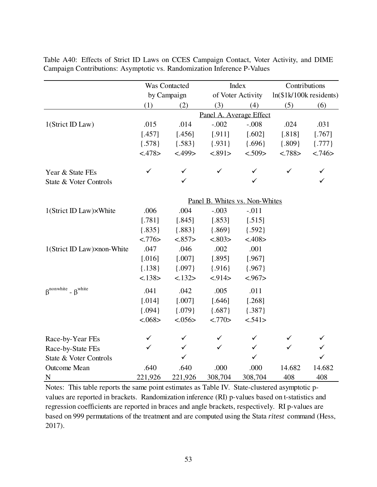|                                                        |                                | Was Contacted |                         | Index             | Contributions                 |              |  |  |  |
|--------------------------------------------------------|--------------------------------|---------------|-------------------------|-------------------|-------------------------------|--------------|--|--|--|
|                                                        |                                | by Campaign   |                         | of Voter Activity | $ln($ \$1k $/100k$ residents) |              |  |  |  |
|                                                        | (1)                            | (2)           | (3)                     | (4)               | (5)                           | (6)          |  |  |  |
|                                                        |                                |               | Panel A. Average Effect |                   |                               |              |  |  |  |
| 1(Strict ID Law)                                       | .015                           | .014          | $-.002$                 | $-.008$           | .024                          | .031         |  |  |  |
|                                                        | [.457]                         | [.456]        | [.911]                  | [.602]            | [.818]                        | [.767]       |  |  |  |
|                                                        | ${578}$                        | ${583}$       | ${.931}$                | ${696}$           | ${809}$                       | ${.777}$     |  |  |  |
|                                                        | <.478>                         | < .499>       | < .891>                 | < .509>           | < .788>                       | < .746>      |  |  |  |
| Year & State FEs                                       | $\checkmark$                   | ✓             | ✓                       | ✓                 | ✓                             | $\checkmark$ |  |  |  |
| State & Voter Controls                                 |                                | ✓             |                         | ✓                 |                               | $\checkmark$ |  |  |  |
|                                                        | Panel B. Whites vs. Non-Whites |               |                         |                   |                               |              |  |  |  |
| 1(Strict ID Law)×White                                 | .006                           | .004          | $-.003$                 | $-.011$           |                               |              |  |  |  |
|                                                        | [.781]                         | [.845]        | [.853]                  | [.515]            |                               |              |  |  |  |
|                                                        | ${.835}$                       | ${.883}$      | ${869}$                 | ${592}$           |                               |              |  |  |  |
|                                                        | < .776>                        | < 857         | < .803>                 | < .408>           |                               |              |  |  |  |
| 1(Strict ID Law)×non-White                             | .047                           | .046          | .002                    | .001              |                               |              |  |  |  |
|                                                        | [.016]                         | [.007]        | [.895]                  | [.967]            |                               |              |  |  |  |
|                                                        | ${.138}$                       | ${097}$       | ${.916}$                | ${.967}$          |                               |              |  |  |  |
|                                                        | < 138>                         | < 132>        | < .914>                 | < .967>           |                               |              |  |  |  |
| $\beta$ <sup>nonwhite</sup> - $\beta$ <sup>white</sup> | .041                           | .042          | .005                    | .011              |                               |              |  |  |  |
|                                                        | [.014]                         | [.007]        | [.646]                  | [.268]            |                               |              |  |  |  |
|                                                        | ${094}$                        | ${079}$       | ${687}$                 | ${387}$           |                               |              |  |  |  |
|                                                        | < .068>                        | < .056>       | <.770>                  | < .541>           |                               |              |  |  |  |
| Race-by-Year FEs                                       | $\checkmark$                   | ✓             | ✓                       | ✓                 |                               |              |  |  |  |
| Race-by-State FEs                                      | ✓                              | $\checkmark$  | ✓                       | $\checkmark$      | ✓                             | $\checkmark$ |  |  |  |
| State & Voter Controls                                 |                                | $\checkmark$  |                         | $\checkmark$      |                               | $\checkmark$ |  |  |  |
| <b>Outcome Mean</b>                                    | .640                           | .640          | .000                    | .000              | 14.682                        | 14.682       |  |  |  |
| $\mathbf N$                                            | 221,926                        | 221,926       | 308,704                 | 308,704           | 408                           | 408          |  |  |  |

Table A40: Effects of Strict ID Laws on CCES Campaign Contact, Voter Activity, and DIME Campaign Contributions: Asymptotic vs. Randomization Inference P-Values

Notes: This table reports the same point estimates as Table IV. State-clustered asymptotic pvalues are reported in brackets. Randomization inference (RI) p-values based on t-statistics and regression coefficients are reported in braces and angle brackets, respectively. RI p-values are based on 999 permutations of the treatment and are computed using the Stata *ritest* command (Hess, 2017).